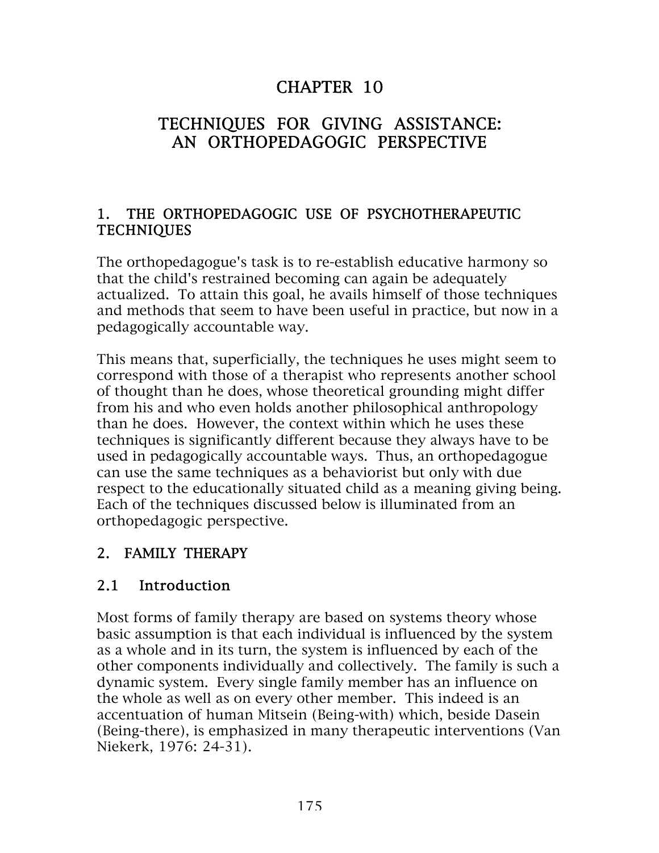# CHAPTER 10

# TECHNIQUES FOR GIVING ASSISTANCE: AN ORTHOPEDAGOGIC PERSPECTIVE

#### 1. THE ORTHOPEDAGOGIC USE OF PSYCHOTHERAPEUTIC TECHNIQUES

The orthopedagogue's task is to re-establish educative harmony so that the child's restrained becoming can again be adequately actualized. To attain this goal, he avails himself of those techniques and methods that seem to have been useful in practice, but now in a pedagogically accountable way.

This means that, superficially, the techniques he uses might seem to correspond with those of a therapist who represents another school of thought than he does, whose theoretical grounding might differ from his and who even holds another philosophical anthropology than he does. However, the context within which he uses these techniques is significantly different because they always have to be used in pedagogically accountable ways. Thus, an orthopedagogue can use the same techniques as a behaviorist but only with due respect to the educationally situated child as a meaning giving being. Each of the techniques discussed below is illuminated from an orthopedagogic perspective.

### 2. FAMILY THERAPY

### 2.1 Introduction

Most forms of family therapy are based on systems theory whose basic assumption is that each individual is influenced by the system as a whole and in its turn, the system is influenced by each of the other components individually and collectively. The family is such a dynamic system. Every single family member has an influence on the whole as well as on every other member. This indeed is an accentuation of human Mitsein (Being-with) which, beside Dasein (Being-there), is emphasized in many therapeutic interventions (Van Niekerk, 1976: 24-31).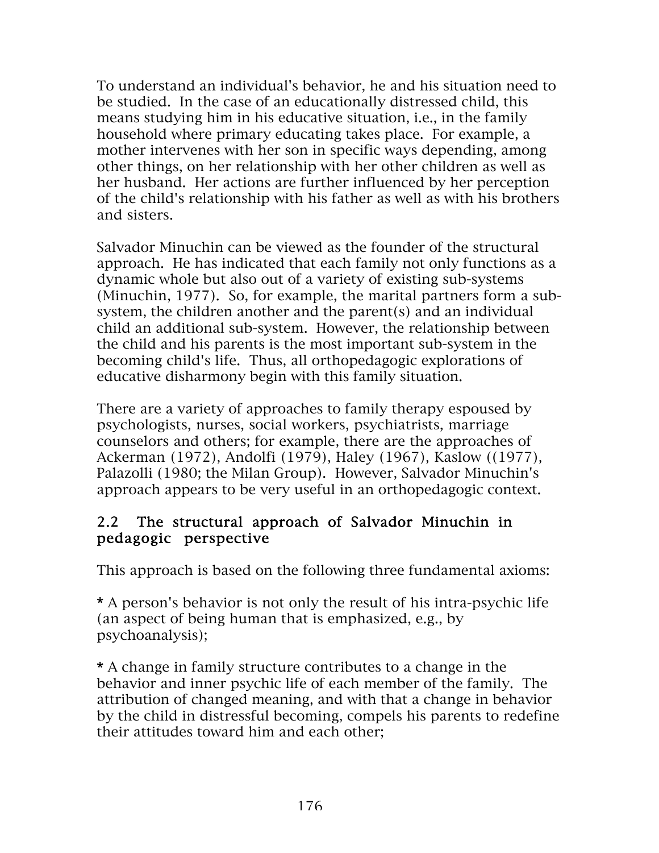To understand an individual's behavior, he and his situation need to be studied. In the case of an educationally distressed child, this means studying him in his educative situation, i.e., in the family household where primary educating takes place. For example, a mother intervenes with her son in specific ways depending, among other things, on her relationship with her other children as well as her husband. Her actions are further influenced by her perception of the child's relationship with his father as well as with his brothers and sisters.

Salvador Minuchin can be viewed as the founder of the structural approach. He has indicated that each family not only functions as a dynamic whole but also out of a variety of existing sub-systems (Minuchin, 1977). So, for example, the marital partners form a subsystem, the children another and the parent(s) and an individual child an additional sub-system. However, the relationship between the child and his parents is the most important sub-system in the becoming child's life. Thus, all orthopedagogic explorations of educative disharmony begin with this family situation.

There are a variety of approaches to family therapy espoused by psychologists, nurses, social workers, psychiatrists, marriage counselors and others; for example, there are the approaches of Ackerman (1972), Andolfi (1979), Haley (1967), Kaslow ((1977), Palazolli (1980; the Milan Group). However, Salvador Minuchin's approach appears to be very useful in an orthopedagogic context.

#### 2.2 The structural approach of Salvador Minuchin in pedagogic perspective

This approach is based on the following three fundamental axioms:

\* A person's behavior is not only the result of his intra-psychic life (an aspect of being human that is emphasized, e.g., by psychoanalysis);

\* A change in family structure contributes to a change in the behavior and inner psychic life of each member of the family. The attribution of changed meaning, and with that a change in behavior by the child in distressful becoming, compels his parents to redefine their attitudes toward him and each other;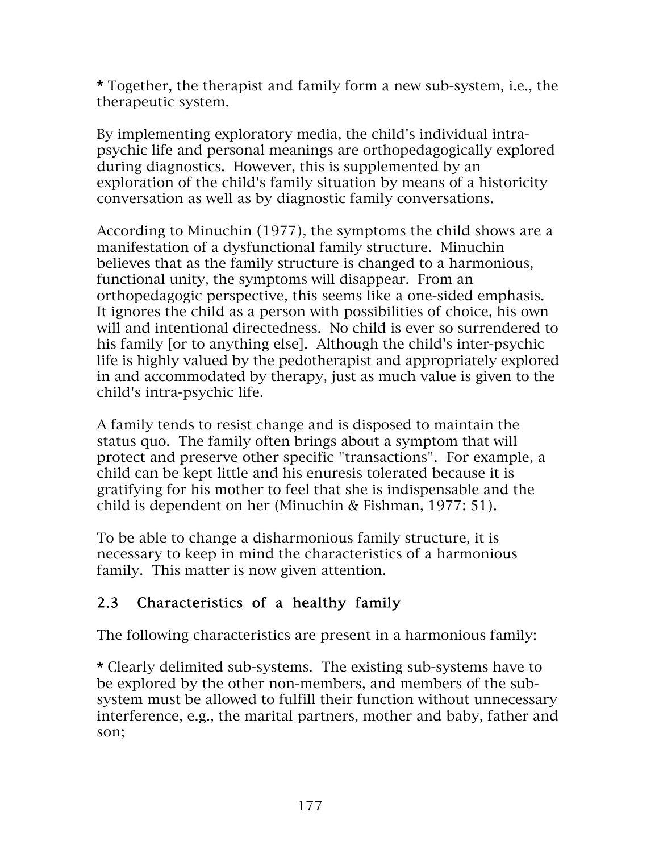\* Together, the therapist and family form a new sub-system, i.e., the therapeutic system.

By implementing exploratory media, the child's individual intrapsychic life and personal meanings are orthopedagogically explored during diagnostics. However, this is supplemented by an exploration of the child's family situation by means of a historicity conversation as well as by diagnostic family conversations.

According to Minuchin (1977), the symptoms the child shows are a manifestation of a dysfunctional family structure. Minuchin believes that as the family structure is changed to a harmonious, functional unity, the symptoms will disappear. From an orthopedagogic perspective, this seems like a one-sided emphasis. It ignores the child as a person with possibilities of choice, his own will and intentional directedness. No child is ever so surrendered to his family [or to anything else]. Although the child's inter-psychic life is highly valued by the pedotherapist and appropriately explored in and accommodated by therapy, just as much value is given to the child's intra-psychic life.

A family tends to resist change and is disposed to maintain the status quo. The family often brings about a symptom that will protect and preserve other specific "transactions". For example, a child can be kept little and his enuresis tolerated because it is gratifying for his mother to feel that she is indispensable and the child is dependent on her (Minuchin & Fishman, 1977: 51).

To be able to change a disharmonious family structure, it is necessary to keep in mind the characteristics of a harmonious family. This matter is now given attention.

## 2.3 Characteristics of a healthy family

The following characteristics are present in a harmonious family:

\* Clearly delimited sub-systems. The existing sub-systems have to be explored by the other non-members, and members of the subsystem must be allowed to fulfill their function without unnecessary interference, e.g., the marital partners, mother and baby, father and son;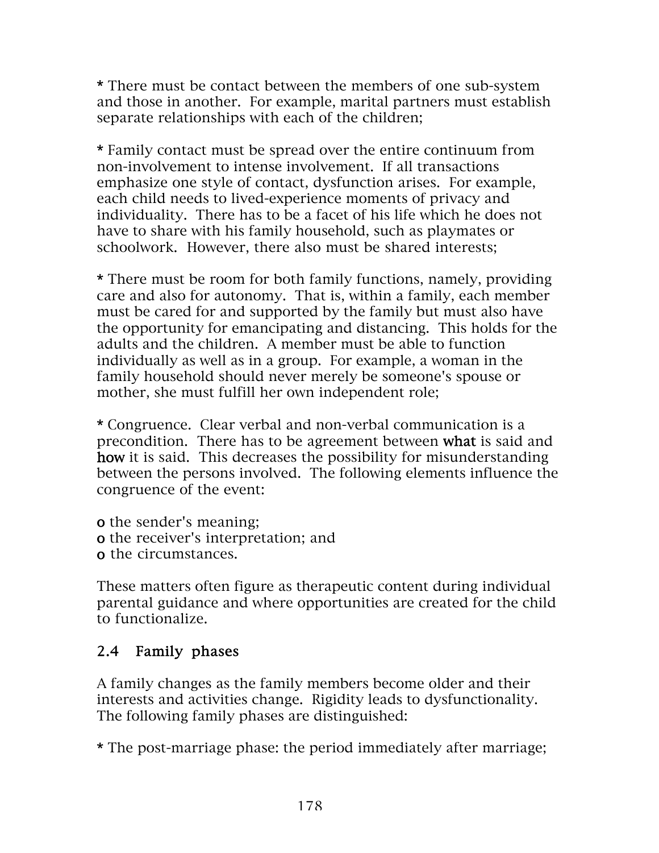\* There must be contact between the members of one sub-system and those in another. For example, marital partners must establish separate relationships with each of the children;

\* Family contact must be spread over the entire continuum from non-involvement to intense involvement. If all transactions emphasize one style of contact, dysfunction arises. For example, each child needs to lived-experience moments of privacy and individuality. There has to be a facet of his life which he does not have to share with his family household, such as playmates or schoolwork. However, there also must be shared interests;

\* There must be room for both family functions, namely, providing care and also for autonomy. That is, within a family, each member must be cared for and supported by the family but must also have the opportunity for emancipating and distancing. This holds for the adults and the children. A member must be able to function individually as well as in a group. For example, a woman in the family household should never merely be someone's spouse or mother, she must fulfill her own independent role;

\* Congruence. Clear verbal and non-verbal communication is a precondition. There has to be agreement between what is said and how it is said. This decreases the possibility for misunderstanding between the persons involved. The following elements influence the congruence of the event:

o the sender's meaning;

o the receiver's interpretation; and

o the circumstances.

These matters often figure as therapeutic content during individual parental guidance and where opportunities are created for the child to functionalize.

## 2.4 Family phases

A family changes as the family members become older and their interests and activities change. Rigidity leads to dysfunctionality. The following family phases are distinguished:

\* The post-marriage phase: the period immediately after marriage;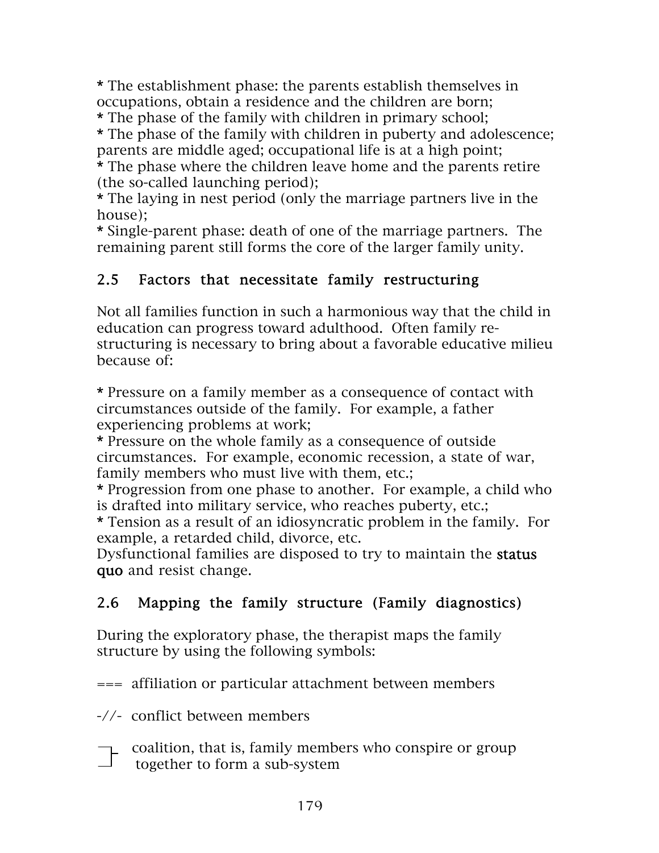\* The establishment phase: the parents establish themselves in occupations, obtain a residence and the children are born;

\* The phase of the family with children in primary school; \* The phase of the family with children in puberty and adolescence; parents are middle aged; occupational life is at a high point;

\* The phase where the children leave home and the parents retire (the so-called launching period);

\* The laying in nest period (only the marriage partners live in the house);

\* Single-parent phase: death of one of the marriage partners. The remaining parent still forms the core of the larger family unity.

## 2.5 Factors that necessitate family restructuring

Not all families function in such a harmonious way that the child in education can progress toward adulthood. Often family restructuring is necessary to bring about a favorable educative milieu because of:

\* Pressure on a family member as a consequence of contact with circumstances outside of the family. For example, a father experiencing problems at work;

\* Pressure on the whole family as a consequence of outside circumstances. For example, economic recession, a state of war, family members who must live with them, etc.;

\* Progression from one phase to another. For example, a child who is drafted into military service, who reaches puberty, etc.;

\* Tension as a result of an idiosyncratic problem in the family. For example, a retarded child, divorce, etc.

Dysfunctional families are disposed to try to maintain the status quo and resist change.

# 2.6 Mapping the family structure (Family diagnostics)

During the exploratory phase, the therapist maps the family structure by using the following symbols:

=== affiliation or particular attachment between members

-//- conflict between members

 coalition, that is, family members who conspire or group  $\int$  together to form a sub-system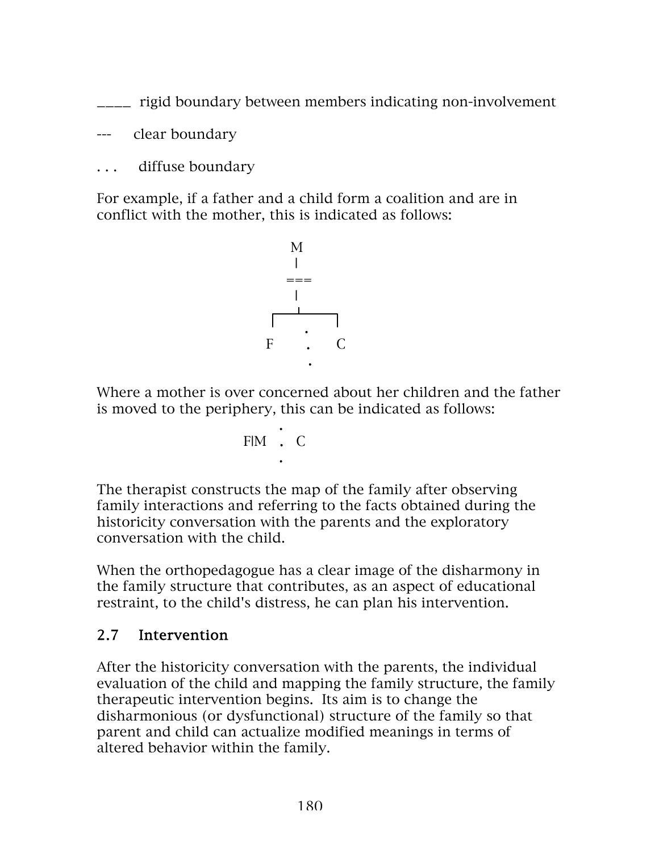\_\_\_\_ rigid boundary between members indicating non-involvement

--- clear boundary

. . . diffuse boundary

For example, if a father and a child form a coalition and are in conflict with the mother, this is indicated as follows:



Where a mother is over concerned about her children and the father is moved to the periphery, this can be indicated as follows:

$$
\begin{array}{c}\n\vdots \\
\vdots\n\end{array}
$$

The therapist constructs the map of the family after observing family interactions and referring to the facts obtained during the historicity conversation with the parents and the exploratory conversation with the child.

When the orthopedagogue has a clear image of the disharmony in the family structure that contributes, as an aspect of educational restraint, to the child's distress, he can plan his intervention.

### 2.7 Intervention

After the historicity conversation with the parents, the individual evaluation of the child and mapping the family structure, the family therapeutic intervention begins. Its aim is to change the disharmonious (or dysfunctional) structure of the family so that parent and child can actualize modified meanings in terms of altered behavior within the family.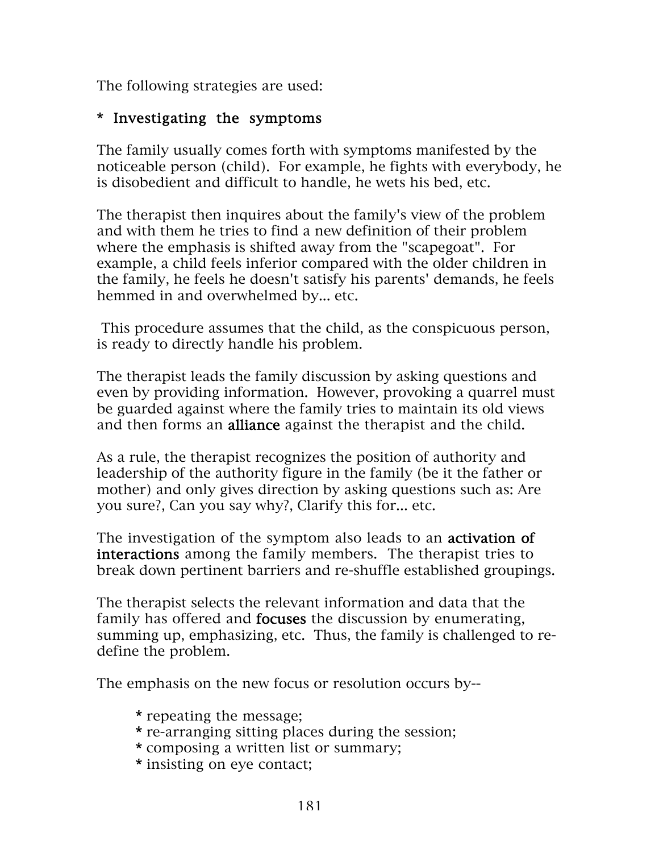The following strategies are used:

### \* Investigating the symptoms

The family usually comes forth with symptoms manifested by the noticeable person (child). For example, he fights with everybody, he is disobedient and difficult to handle, he wets his bed, etc.

The therapist then inquires about the family's view of the problem and with them he tries to find a new definition of their problem where the emphasis is shifted away from the "scapegoat". For example, a child feels inferior compared with the older children in the family, he feels he doesn't satisfy his parents' demands, he feels hemmed in and overwhelmed by... etc.

This procedure assumes that the child, as the conspicuous person, is ready to directly handle his problem.

The therapist leads the family discussion by asking questions and even by providing information. However, provoking a quarrel must be guarded against where the family tries to maintain its old views and then forms an alliance against the therapist and the child.

As a rule, the therapist recognizes the position of authority and leadership of the authority figure in the family (be it the father or mother) and only gives direction by asking questions such as: Are you sure?, Can you say why?, Clarify this for... etc.

The investigation of the symptom also leads to an **activation of** interactions among the family members. The therapist tries to break down pertinent barriers and re-shuffle established groupings.

The therapist selects the relevant information and data that the family has offered and **focuses** the discussion by enumerating, summing up, emphasizing, etc. Thus, the family is challenged to redefine the problem.

The emphasis on the new focus or resolution occurs by--

- \* repeating the message;
- \* re-arranging sitting places during the session;
- \* composing a written list or summary;
- \* insisting on eye contact;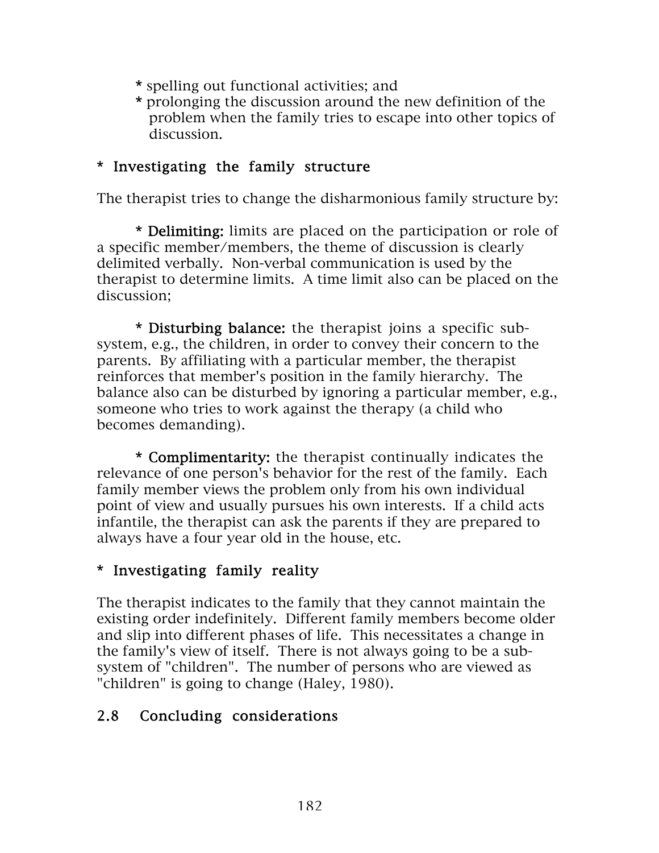- \* spelling out functional activities; and
- \* prolonging the discussion around the new definition of the problem when the family tries to escape into other topics of discussion.

### \* Investigating the family structure

The therapist tries to change the disharmonious family structure by:

\* Delimiting: limits are placed on the participation or role of a specific member/members, the theme of discussion is clearly delimited verbally. Non-verbal communication is used by the therapist to determine limits. A time limit also can be placed on the discussion;

\* Disturbing balance: the therapist joins a specific subsystem, e.g., the children, in order to convey their concern to the parents. By affiliating with a particular member, the therapist reinforces that member's position in the family hierarchy. The balance also can be disturbed by ignoring a particular member, e.g., someone who tries to work against the therapy (a child who becomes demanding).

\* Complimentarity: the therapist continually indicates the relevance of one person's behavior for the rest of the family. Each family member views the problem only from his own individual point of view and usually pursues his own interests. If a child acts infantile, the therapist can ask the parents if they are prepared to always have a four year old in the house, etc.

#### \* Investigating family reality

The therapist indicates to the family that they cannot maintain the existing order indefinitely. Different family members become older and slip into different phases of life. This necessitates a change in the family's view of itself. There is not always going to be a subsystem of "children". The number of persons who are viewed as "children" is going to change (Haley, 1980).

### 2.8 Concluding considerations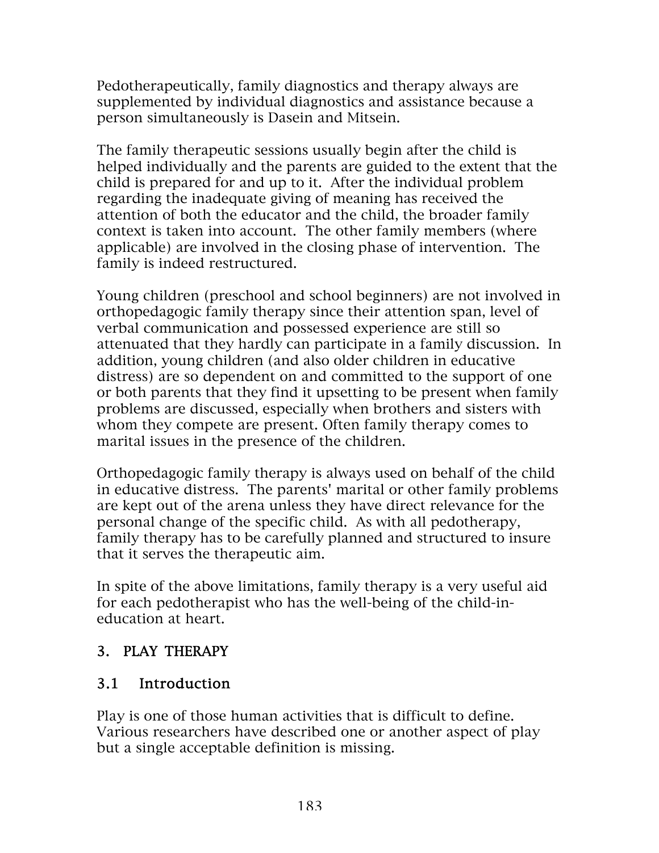Pedotherapeutically, family diagnostics and therapy always are supplemented by individual diagnostics and assistance because a person simultaneously is Dasein and Mitsein.

The family therapeutic sessions usually begin after the child is helped individually and the parents are guided to the extent that the child is prepared for and up to it. After the individual problem regarding the inadequate giving of meaning has received the attention of both the educator and the child, the broader family context is taken into account. The other family members (where applicable) are involved in the closing phase of intervention. The family is indeed restructured.

Young children (preschool and school beginners) are not involved in orthopedagogic family therapy since their attention span, level of verbal communication and possessed experience are still so attenuated that they hardly can participate in a family discussion. In addition, young children (and also older children in educative distress) are so dependent on and committed to the support of one or both parents that they find it upsetting to be present when family problems are discussed, especially when brothers and sisters with whom they compete are present. Often family therapy comes to marital issues in the presence of the children.

Orthopedagogic family therapy is always used on behalf of the child in educative distress. The parents' marital or other family problems are kept out of the arena unless they have direct relevance for the personal change of the specific child. As with all pedotherapy, family therapy has to be carefully planned and structured to insure that it serves the therapeutic aim.

In spite of the above limitations, family therapy is a very useful aid for each pedotherapist who has the well-being of the child-ineducation at heart.

## 3. PLAY THERAPY

## 3.1 Introduction

Play is one of those human activities that is difficult to define. Various researchers have described one or another aspect of play but a single acceptable definition is missing.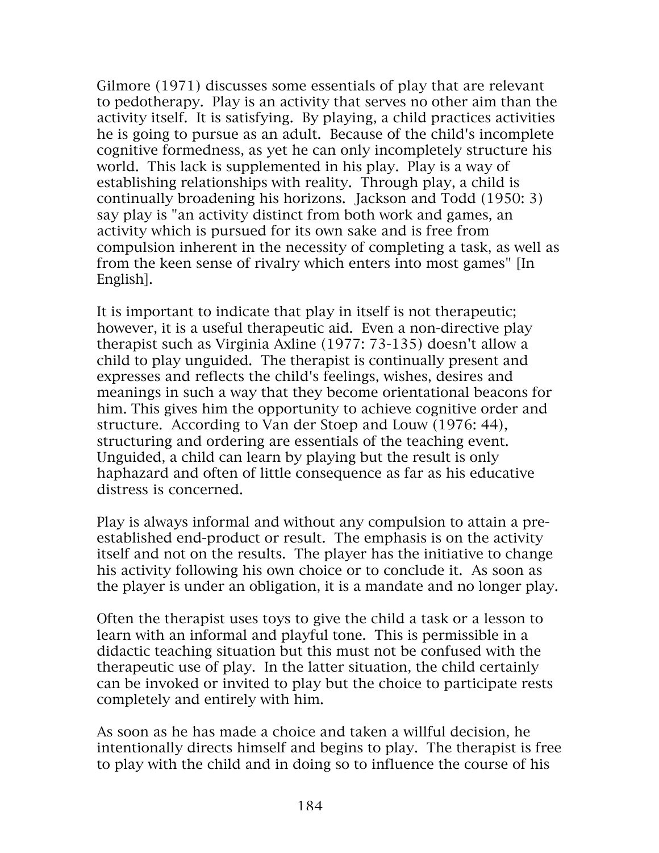Gilmore (1971) discusses some essentials of play that are relevant to pedotherapy. Play is an activity that serves no other aim than the activity itself. It is satisfying. By playing, a child practices activities he is going to pursue as an adult. Because of the child's incomplete cognitive formedness, as yet he can only incompletely structure his world. This lack is supplemented in his play. Play is a way of establishing relationships with reality. Through play, a child is continually broadening his horizons. Jackson and Todd (1950: 3) say play is "an activity distinct from both work and games, an activity which is pursued for its own sake and is free from compulsion inherent in the necessity of completing a task, as well as from the keen sense of rivalry which enters into most games" [In English].

It is important to indicate that play in itself is not therapeutic; however, it is a useful therapeutic aid. Even a non-directive play therapist such as Virginia Axline (1977: 73-135) doesn't allow a child to play unguided. The therapist is continually present and expresses and reflects the child's feelings, wishes, desires and meanings in such a way that they become orientational beacons for him. This gives him the opportunity to achieve cognitive order and structure. According to Van der Stoep and Louw (1976: 44), structuring and ordering are essentials of the teaching event. Unguided, a child can learn by playing but the result is only haphazard and often of little consequence as far as his educative distress is concerned.

Play is always informal and without any compulsion to attain a preestablished end-product or result. The emphasis is on the activity itself and not on the results. The player has the initiative to change his activity following his own choice or to conclude it. As soon as the player is under an obligation, it is a mandate and no longer play.

Often the therapist uses toys to give the child a task or a lesson to learn with an informal and playful tone. This is permissible in a didactic teaching situation but this must not be confused with the therapeutic use of play. In the latter situation, the child certainly can be invoked or invited to play but the choice to participate rests completely and entirely with him.

As soon as he has made a choice and taken a willful decision, he intentionally directs himself and begins to play. The therapist is free to play with the child and in doing so to influence the course of his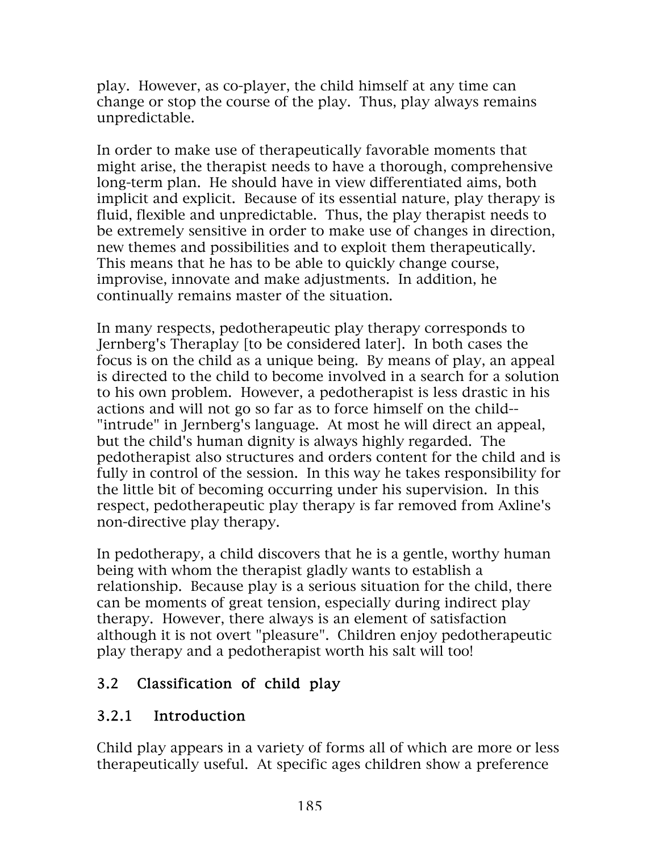play. However, as co-player, the child himself at any time can change or stop the course of the play. Thus, play always remains unpredictable.

In order to make use of therapeutically favorable moments that might arise, the therapist needs to have a thorough, comprehensive long-term plan. He should have in view differentiated aims, both implicit and explicit. Because of its essential nature, play therapy is fluid, flexible and unpredictable. Thus, the play therapist needs to be extremely sensitive in order to make use of changes in direction, new themes and possibilities and to exploit them therapeutically. This means that he has to be able to quickly change course, improvise, innovate and make adjustments. In addition, he continually remains master of the situation.

In many respects, pedotherapeutic play therapy corresponds to Jernberg's Theraplay [to be considered later]. In both cases the focus is on the child as a unique being. By means of play, an appeal is directed to the child to become involved in a search for a solution to his own problem. However, a pedotherapist is less drastic in his actions and will not go so far as to force himself on the child-- "intrude" in Jernberg's language. At most he will direct an appeal, but the child's human dignity is always highly regarded. The pedotherapist also structures and orders content for the child and is fully in control of the session. In this way he takes responsibility for the little bit of becoming occurring under his supervision. In this respect, pedotherapeutic play therapy is far removed from Axline's non-directive play therapy.

In pedotherapy, a child discovers that he is a gentle, worthy human being with whom the therapist gladly wants to establish a relationship. Because play is a serious situation for the child, there can be moments of great tension, especially during indirect play therapy. However, there always is an element of satisfaction although it is not overt "pleasure". Children enjoy pedotherapeutic play therapy and a pedotherapist worth his salt will too!

## 3.2 Classification of child play

## 3.2.1 Introduction

Child play appears in a variety of forms all of which are more or less therapeutically useful. At specific ages children show a preference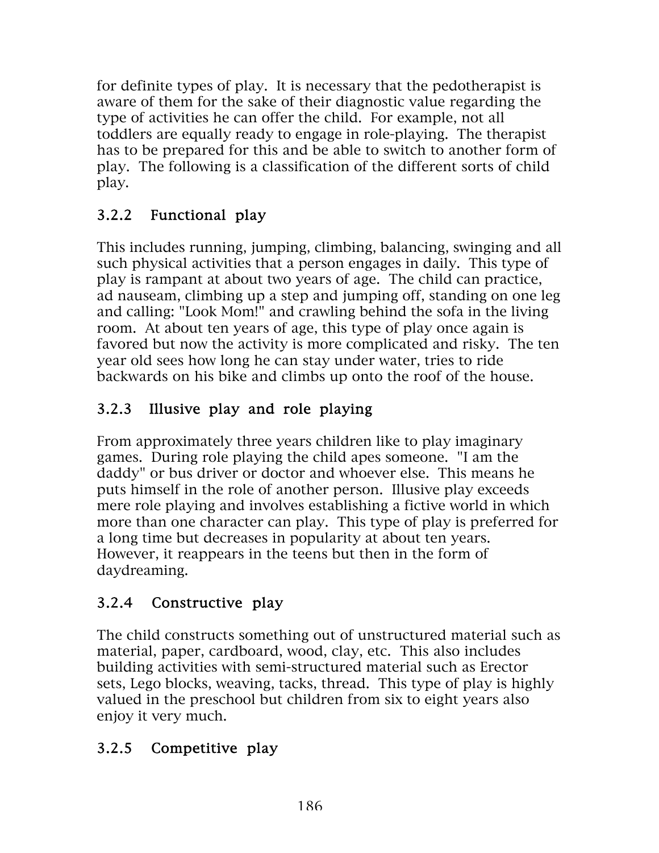for definite types of play. It is necessary that the pedotherapist is aware of them for the sake of their diagnostic value regarding the type of activities he can offer the child. For example, not all toddlers are equally ready to engage in role-playing. The therapist has to be prepared for this and be able to switch to another form of play. The following is a classification of the different sorts of child play.

## 3.2.2 Functional play

This includes running, jumping, climbing, balancing, swinging and all such physical activities that a person engages in daily. This type of play is rampant at about two years of age. The child can practice, ad nauseam, climbing up a step and jumping off, standing on one leg and calling: "Look Mom!" and crawling behind the sofa in the living room. At about ten years of age, this type of play once again is favored but now the activity is more complicated and risky. The ten year old sees how long he can stay under water, tries to ride backwards on his bike and climbs up onto the roof of the house.

# 3.2.3 Illusive play and role playing

From approximately three years children like to play imaginary games. During role playing the child apes someone. "I am the daddy" or bus driver or doctor and whoever else. This means he puts himself in the role of another person. Illusive play exceeds mere role playing and involves establishing a fictive world in which more than one character can play. This type of play is preferred for a long time but decreases in popularity at about ten years. However, it reappears in the teens but then in the form of daydreaming.

# 3.2.4 Constructive play

The child constructs something out of unstructured material such as material, paper, cardboard, wood, clay, etc. This also includes building activities with semi-structured material such as Erector sets, Lego blocks, weaving, tacks, thread. This type of play is highly valued in the preschool but children from six to eight years also enjoy it very much.

# 3.2.5 Competitive play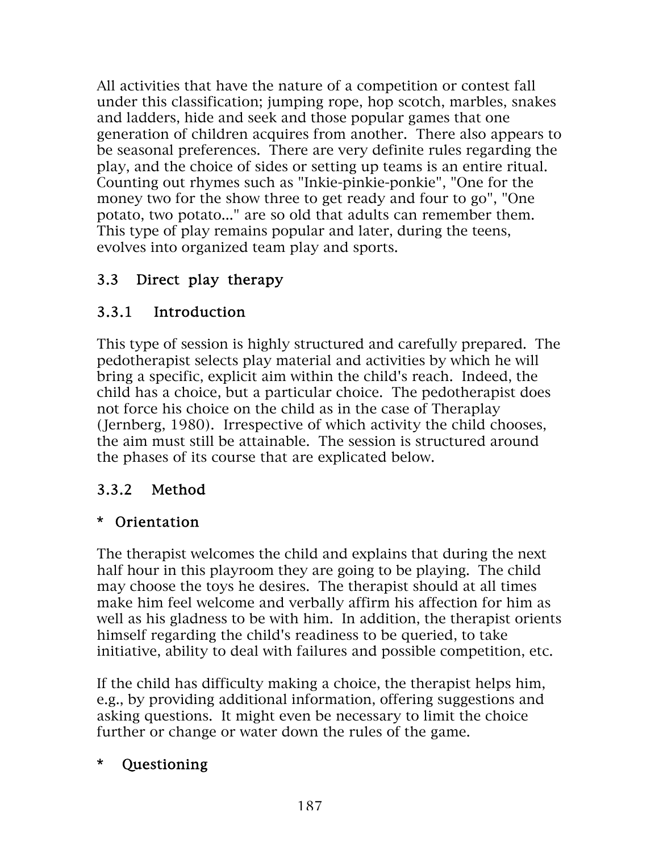All activities that have the nature of a competition or contest fall under this classification; jumping rope, hop scotch, marbles, snakes and ladders, hide and seek and those popular games that one generation of children acquires from another. There also appears to be seasonal preferences. There are very definite rules regarding the play, and the choice of sides or setting up teams is an entire ritual. Counting out rhymes such as "Inkie-pinkie-ponkie", "One for the money two for the show three to get ready and four to go", "One potato, two potato..." are so old that adults can remember them. This type of play remains popular and later, during the teens, evolves into organized team play and sports.

# 3.3 Direct play therapy

## 3.3.1 Introduction

This type of session is highly structured and carefully prepared. The pedotherapist selects play material and activities by which he will bring a specific, explicit aim within the child's reach. Indeed, the child has a choice, but a particular choice. The pedotherapist does not force his choice on the child as in the case of Theraplay (Jernberg, 1980). Irrespective of which activity the child chooses, the aim must still be attainable. The session is structured around the phases of its course that are explicated below.

## 3.3.2 Method

## \* Orientation

The therapist welcomes the child and explains that during the next half hour in this playroom they are going to be playing. The child may choose the toys he desires. The therapist should at all times make him feel welcome and verbally affirm his affection for him as well as his gladness to be with him. In addition, the therapist orients himself regarding the child's readiness to be queried, to take initiative, ability to deal with failures and possible competition, etc.

If the child has difficulty making a choice, the therapist helps him, e.g., by providing additional information, offering suggestions and asking questions. It might even be necessary to limit the choice further or change or water down the rules of the game.

### \* Questioning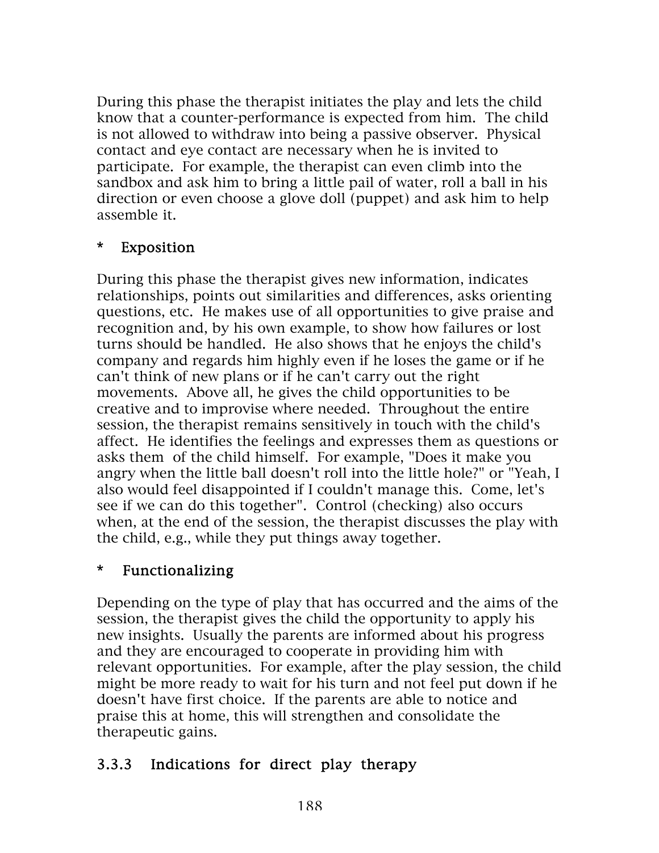During this phase the therapist initiates the play and lets the child know that a counter-performance is expected from him. The child is not allowed to withdraw into being a passive observer. Physical contact and eye contact are necessary when he is invited to participate. For example, the therapist can even climb into the sandbox and ask him to bring a little pail of water, roll a ball in his direction or even choose a glove doll (puppet) and ask him to help assemble it.

#### \* Exposition

During this phase the therapist gives new information, indicates relationships, points out similarities and differences, asks orienting questions, etc. He makes use of all opportunities to give praise and recognition and, by his own example, to show how failures or lost turns should be handled. He also shows that he enjoys the child's company and regards him highly even if he loses the game or if he can't think of new plans or if he can't carry out the right movements. Above all, he gives the child opportunities to be creative and to improvise where needed. Throughout the entire session, the therapist remains sensitively in touch with the child's affect. He identifies the feelings and expresses them as questions or asks them of the child himself. For example, "Does it make you angry when the little ball doesn't roll into the little hole?" or "Yeah, I also would feel disappointed if I couldn't manage this. Come, let's see if we can do this together". Control (checking) also occurs when, at the end of the session, the therapist discusses the play with the child, e.g., while they put things away together.

#### \* Functionalizing

Depending on the type of play that has occurred and the aims of the session, the therapist gives the child the opportunity to apply his new insights. Usually the parents are informed about his progress and they are encouraged to cooperate in providing him with relevant opportunities. For example, after the play session, the child might be more ready to wait for his turn and not feel put down if he doesn't have first choice. If the parents are able to notice and praise this at home, this will strengthen and consolidate the therapeutic gains.

### 3.3.3 Indications for direct play therapy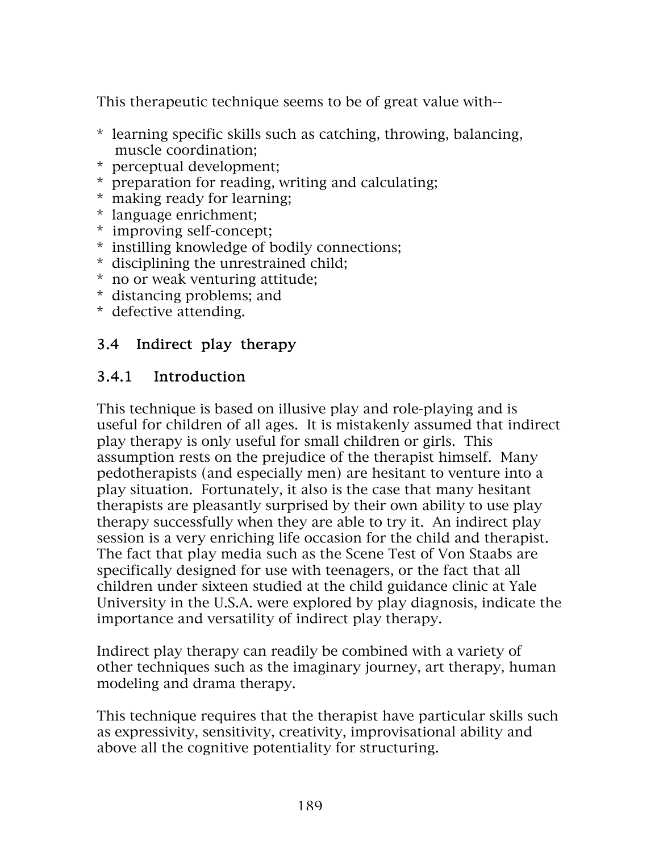This therapeutic technique seems to be of great value with--

- \* learning specific skills such as catching, throwing, balancing, muscle coordination;
- \* perceptual development;
- \* preparation for reading, writing and calculating;
- \* making ready for learning;
- \* language enrichment;
- \* improving self-concept;
- \* instilling knowledge of bodily connections;
- \* disciplining the unrestrained child;
- \* no or weak venturing attitude;
- \* distancing problems; and
- \* defective attending.

### 3.4 Indirect play therapy

### 3.4.1 Introduction

This technique is based on illusive play and role-playing and is useful for children of all ages. It is mistakenly assumed that indirect play therapy is only useful for small children or girls. This assumption rests on the prejudice of the therapist himself. Many pedotherapists (and especially men) are hesitant to venture into a play situation. Fortunately, it also is the case that many hesitant therapists are pleasantly surprised by their own ability to use play therapy successfully when they are able to try it. An indirect play session is a very enriching life occasion for the child and therapist. The fact that play media such as the Scene Test of Von Staabs are specifically designed for use with teenagers, or the fact that all children under sixteen studied at the child guidance clinic at Yale University in the U.S.A. were explored by play diagnosis, indicate the importance and versatility of indirect play therapy.

Indirect play therapy can readily be combined with a variety of other techniques such as the imaginary journey, art therapy, human modeling and drama therapy.

This technique requires that the therapist have particular skills such as expressivity, sensitivity, creativity, improvisational ability and above all the cognitive potentiality for structuring.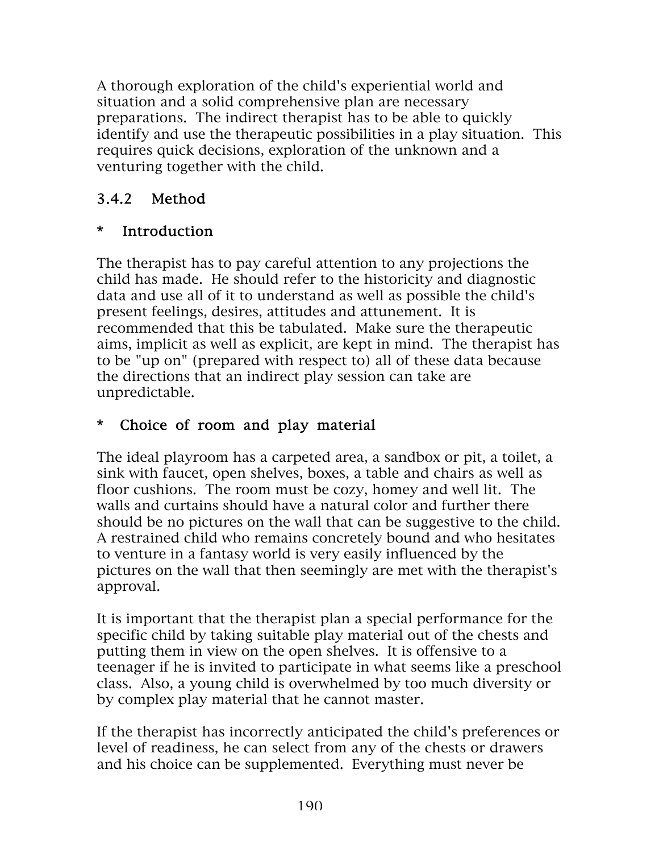A thorough exploration of the child's experiential world and situation and a solid comprehensive plan are necessary preparations. The indirect therapist has to be able to quickly identify and use the therapeutic possibilities in a play situation. This requires quick decisions, exploration of the unknown and a venturing together with the child.

# 3.4.2 Method

# \* Introduction

The therapist has to pay careful attention to any projections the child has made. He should refer to the historicity and diagnostic data and use all of it to understand as well as possible the child's present feelings, desires, attitudes and attunement. It is recommended that this be tabulated. Make sure the therapeutic aims, implicit as well as explicit, are kept in mind. The therapist has to be "up on" (prepared with respect to) all of these data because the directions that an indirect play session can take are unpredictable.

## \* Choice of room and play material

The ideal playroom has a carpeted area, a sandbox or pit, a toilet, a sink with faucet, open shelves, boxes, a table and chairs as well as floor cushions. The room must be cozy, homey and well lit. The walls and curtains should have a natural color and further there should be no pictures on the wall that can be suggestive to the child. A restrained child who remains concretely bound and who hesitates to venture in a fantasy world is very easily influenced by the pictures on the wall that then seemingly are met with the therapist's approval.

It is important that the therapist plan a special performance for the specific child by taking suitable play material out of the chests and putting them in view on the open shelves. It is offensive to a teenager if he is invited to participate in what seems like a preschool class. Also, a young child is overwhelmed by too much diversity or by complex play material that he cannot master.

If the therapist has incorrectly anticipated the child's preferences or level of readiness, he can select from any of the chests or drawers and his choice can be supplemented. Everything must never be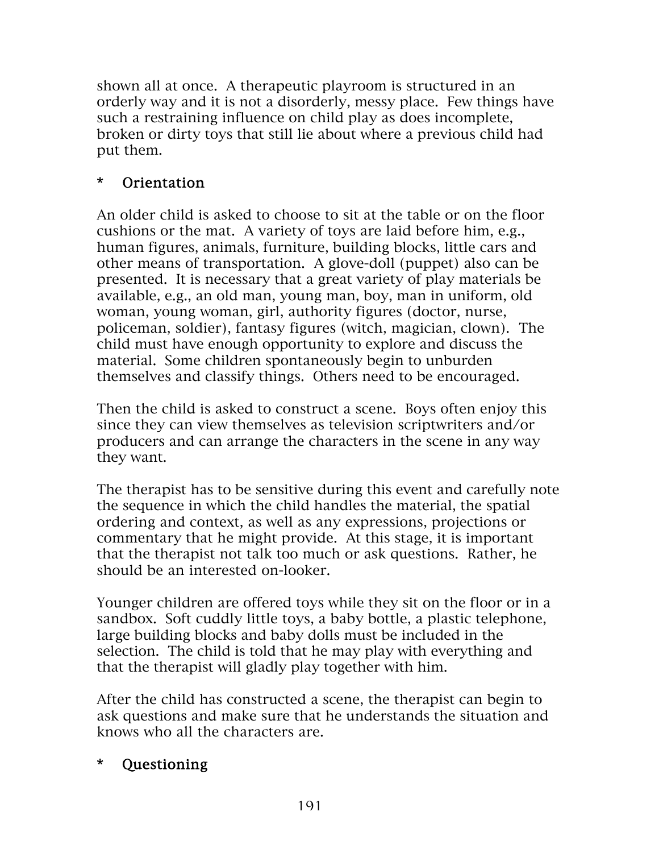shown all at once. A therapeutic playroom is structured in an orderly way and it is not a disorderly, messy place. Few things have such a restraining influence on child play as does incomplete, broken or dirty toys that still lie about where a previous child had put them.

## \* Orientation

An older child is asked to choose to sit at the table or on the floor cushions or the mat. A variety of toys are laid before him, e.g., human figures, animals, furniture, building blocks, little cars and other means of transportation. A glove-doll (puppet) also can be presented. It is necessary that a great variety of play materials be available, e.g., an old man, young man, boy, man in uniform, old woman, young woman, girl, authority figures (doctor, nurse, policeman, soldier), fantasy figures (witch, magician, clown). The child must have enough opportunity to explore and discuss the material. Some children spontaneously begin to unburden themselves and classify things. Others need to be encouraged.

Then the child is asked to construct a scene. Boys often enjoy this since they can view themselves as television scriptwriters and/or producers and can arrange the characters in the scene in any way they want.

The therapist has to be sensitive during this event and carefully note the sequence in which the child handles the material, the spatial ordering and context, as well as any expressions, projections or commentary that he might provide. At this stage, it is important that the therapist not talk too much or ask questions. Rather, he should be an interested on-looker.

Younger children are offered toys while they sit on the floor or in a sandbox. Soft cuddly little toys, a baby bottle, a plastic telephone, large building blocks and baby dolls must be included in the selection. The child is told that he may play with everything and that the therapist will gladly play together with him.

After the child has constructed a scene, the therapist can begin to ask questions and make sure that he understands the situation and knows who all the characters are.

### \* Questioning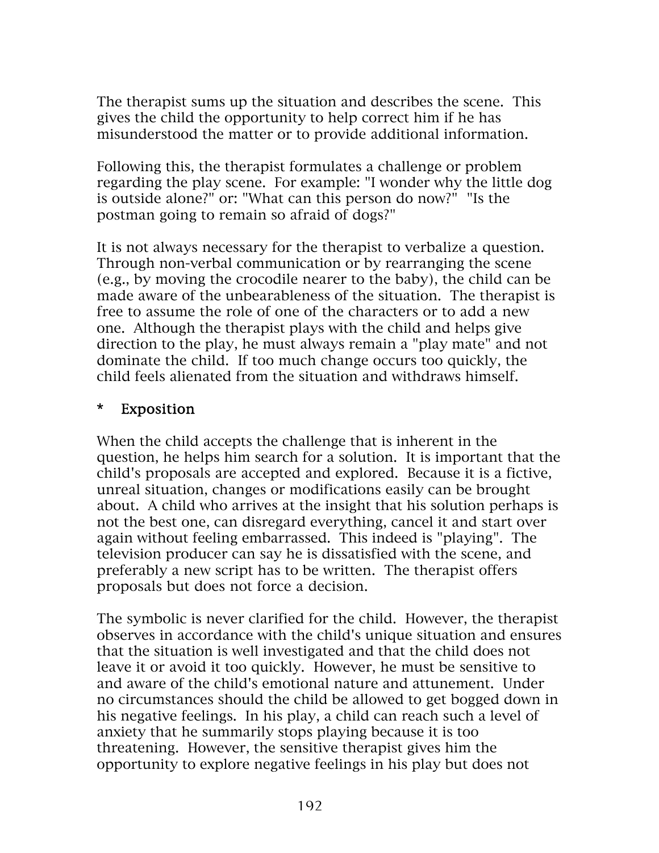The therapist sums up the situation and describes the scene. This gives the child the opportunity to help correct him if he has misunderstood the matter or to provide additional information.

Following this, the therapist formulates a challenge or problem regarding the play scene. For example: "I wonder why the little dog is outside alone?" or: "What can this person do now?" "Is the postman going to remain so afraid of dogs?"

It is not always necessary for the therapist to verbalize a question. Through non-verbal communication or by rearranging the scene (e.g., by moving the crocodile nearer to the baby), the child can be made aware of the unbearableness of the situation. The therapist is free to assume the role of one of the characters or to add a new one. Although the therapist plays with the child and helps give direction to the play, he must always remain a "play mate" and not dominate the child. If too much change occurs too quickly, the child feels alienated from the situation and withdraws himself.

#### \* Exposition

When the child accepts the challenge that is inherent in the question, he helps him search for a solution. It is important that the child's proposals are accepted and explored. Because it is a fictive, unreal situation, changes or modifications easily can be brought about. A child who arrives at the insight that his solution perhaps is not the best one, can disregard everything, cancel it and start over again without feeling embarrassed. This indeed is "playing". The television producer can say he is dissatisfied with the scene, and preferably a new script has to be written. The therapist offers proposals but does not force a decision.

The symbolic is never clarified for the child. However, the therapist observes in accordance with the child's unique situation and ensures that the situation is well investigated and that the child does not leave it or avoid it too quickly. However, he must be sensitive to and aware of the child's emotional nature and attunement. Under no circumstances should the child be allowed to get bogged down in his negative feelings. In his play, a child can reach such a level of anxiety that he summarily stops playing because it is too threatening. However, the sensitive therapist gives him the opportunity to explore negative feelings in his play but does not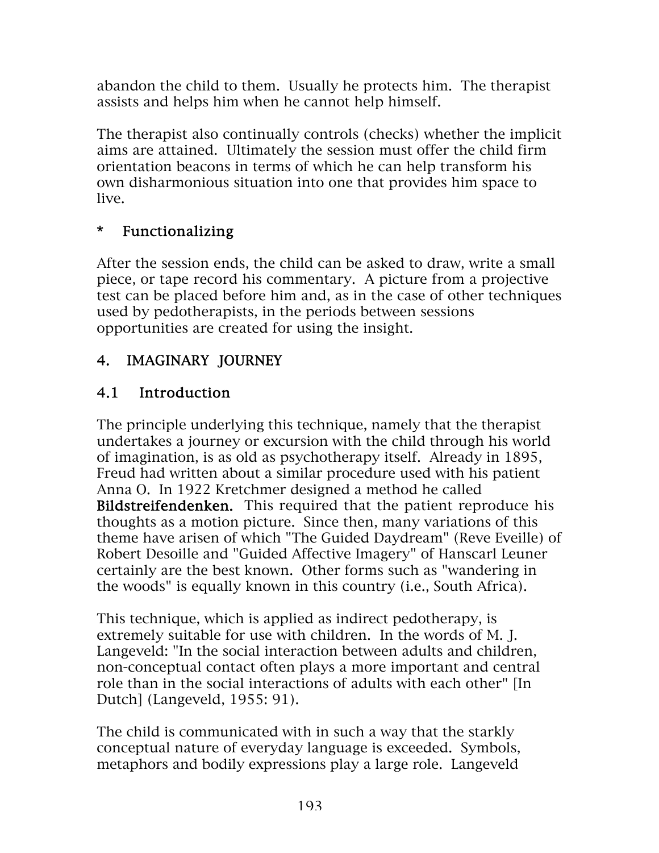abandon the child to them. Usually he protects him. The therapist assists and helps him when he cannot help himself.

The therapist also continually controls (checks) whether the implicit aims are attained. Ultimately the session must offer the child firm orientation beacons in terms of which he can help transform his own disharmonious situation into one that provides him space to live.

### \* Functionalizing

After the session ends, the child can be asked to draw, write a small piece, or tape record his commentary. A picture from a projective test can be placed before him and, as in the case of other techniques used by pedotherapists, in the periods between sessions opportunities are created for using the insight.

## 4. IMAGINARY JOURNEY

### 4.1 Introduction

The principle underlying this technique, namely that the therapist undertakes a journey or excursion with the child through his world of imagination, is as old as psychotherapy itself. Already in 1895, Freud had written about a similar procedure used with his patient Anna O. In 1922 Kretchmer designed a method he called Bildstreifendenken. This required that the patient reproduce his thoughts as a motion picture. Since then, many variations of this theme have arisen of which "The Guided Daydream" (Reve Eveille) of Robert Desoille and "Guided Affective Imagery" of Hanscarl Leuner certainly are the best known. Other forms such as "wandering in the woods" is equally known in this country (i.e., South Africa).

This technique, which is applied as indirect pedotherapy, is extremely suitable for use with children. In the words of M. J. Langeveld: "In the social interaction between adults and children, non-conceptual contact often plays a more important and central role than in the social interactions of adults with each other" [In Dutch] (Langeveld, 1955: 91).

The child is communicated with in such a way that the starkly conceptual nature of everyday language is exceeded. Symbols, metaphors and bodily expressions play a large role. Langeveld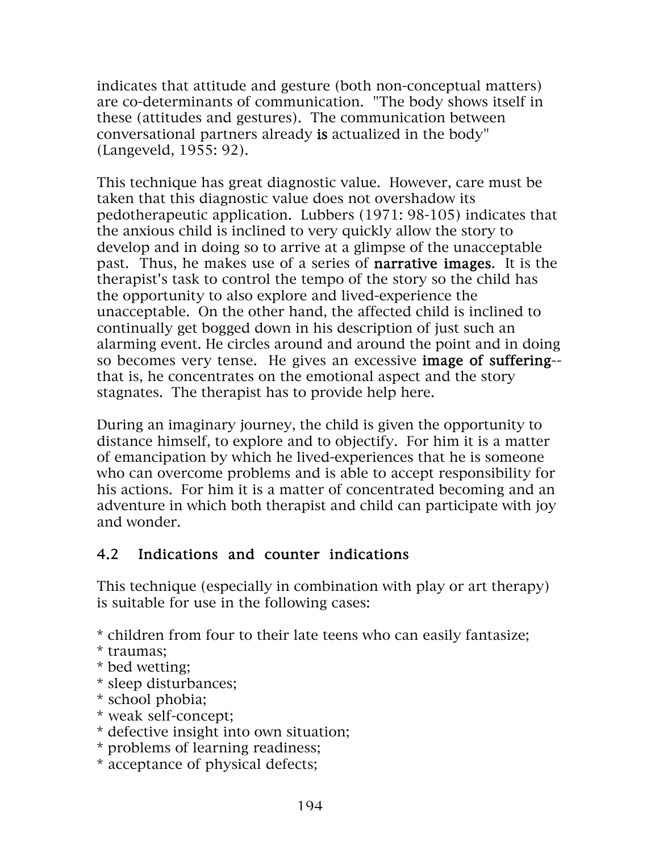indicates that attitude and gesture (both non-conceptual matters) are co-determinants of communication. "The body shows itself in these (attitudes and gestures). The communication between conversational partners already is actualized in the body" (Langeveld, 1955: 92).

This technique has great diagnostic value. However, care must be taken that this diagnostic value does not overshadow its pedotherapeutic application. Lubbers (1971: 98-105) indicates that the anxious child is inclined to very quickly allow the story to develop and in doing so to arrive at a glimpse of the unacceptable past. Thus, he makes use of a series of narrative images. It is the therapist's task to control the tempo of the story so the child has the opportunity to also explore and lived-experience the unacceptable. On the other hand, the affected child is inclined to continually get bogged down in his description of just such an alarming event. He circles around and around the point and in doing so becomes very tense. He gives an excessive image of suffering- that is, he concentrates on the emotional aspect and the story stagnates. The therapist has to provide help here.

During an imaginary journey, the child is given the opportunity to distance himself, to explore and to objectify. For him it is a matter of emancipation by which he lived-experiences that he is someone who can overcome problems and is able to accept responsibility for his actions. For him it is a matter of concentrated becoming and an adventure in which both therapist and child can participate with joy and wonder.

### 4.2 Indications and counter indications

This technique (especially in combination with play or art therapy) is suitable for use in the following cases:

\* children from four to their late teens who can easily fantasize;

- \* traumas;
- \* bed wetting;
- \* sleep disturbances;
- \* school phobia;
- \* weak self-concept;
- \* defective insight into own situation;
- \* problems of learning readiness;
- \* acceptance of physical defects;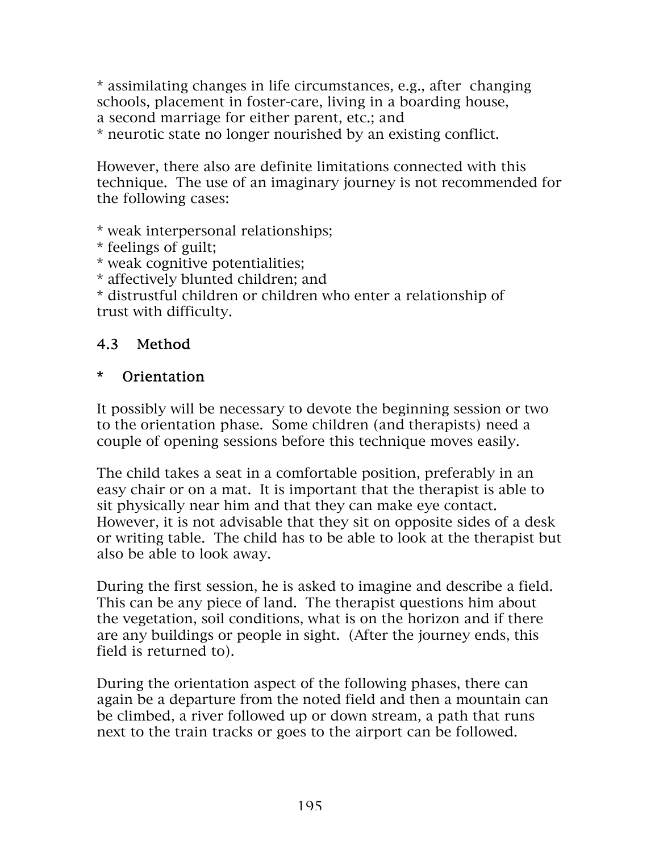\* assimilating changes in life circumstances, e.g., after changing schools, placement in foster-care, living in a boarding house, a second marriage for either parent, etc.; and

\* neurotic state no longer nourished by an existing conflict.

However, there also are definite limitations connected with this technique. The use of an imaginary journey is not recommended for the following cases:

\* weak interpersonal relationships;

\* feelings of guilt;

\* weak cognitive potentialities;

\* affectively blunted children; and

\* distrustful children or children who enter a relationship of trust with difficulty.

### 4.3 Method

#### \* Orientation

It possibly will be necessary to devote the beginning session or two to the orientation phase. Some children (and therapists) need a couple of opening sessions before this technique moves easily.

The child takes a seat in a comfortable position, preferably in an easy chair or on a mat. It is important that the therapist is able to sit physically near him and that they can make eye contact. However, it is not advisable that they sit on opposite sides of a desk or writing table. The child has to be able to look at the therapist but also be able to look away.

During the first session, he is asked to imagine and describe a field. This can be any piece of land. The therapist questions him about the vegetation, soil conditions, what is on the horizon and if there are any buildings or people in sight. (After the journey ends, this field is returned to).

During the orientation aspect of the following phases, there can again be a departure from the noted field and then a mountain can be climbed, a river followed up or down stream, a path that runs next to the train tracks or goes to the airport can be followed.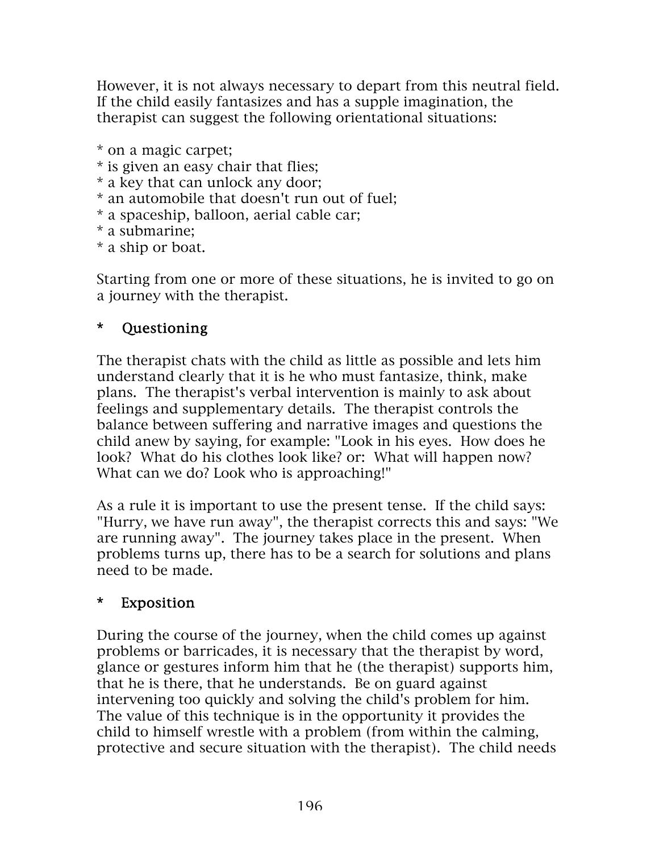However, it is not always necessary to depart from this neutral field. If the child easily fantasizes and has a supple imagination, the therapist can suggest the following orientational situations:

- \* on a magic carpet;
- \* is given an easy chair that flies;
- \* a key that can unlock any door;
- \* an automobile that doesn't run out of fuel;
- \* a spaceship, balloon, aerial cable car;
- \* a submarine;
- \* a ship or boat.

Starting from one or more of these situations, he is invited to go on a journey with the therapist.

### \* Questioning

The therapist chats with the child as little as possible and lets him understand clearly that it is he who must fantasize, think, make plans. The therapist's verbal intervention is mainly to ask about feelings and supplementary details. The therapist controls the balance between suffering and narrative images and questions the child anew by saying, for example: "Look in his eyes. How does he look? What do his clothes look like? or: What will happen now? What can we do? Look who is approaching!"

As a rule it is important to use the present tense. If the child says: "Hurry, we have run away", the therapist corrects this and says: "We are running away". The journey takes place in the present. When problems turns up, there has to be a search for solutions and plans need to be made.

### \* Exposition

During the course of the journey, when the child comes up against problems or barricades, it is necessary that the therapist by word, glance or gestures inform him that he (the therapist) supports him, that he is there, that he understands. Be on guard against intervening too quickly and solving the child's problem for him. The value of this technique is in the opportunity it provides the child to himself wrestle with a problem (from within the calming, protective and secure situation with the therapist). The child needs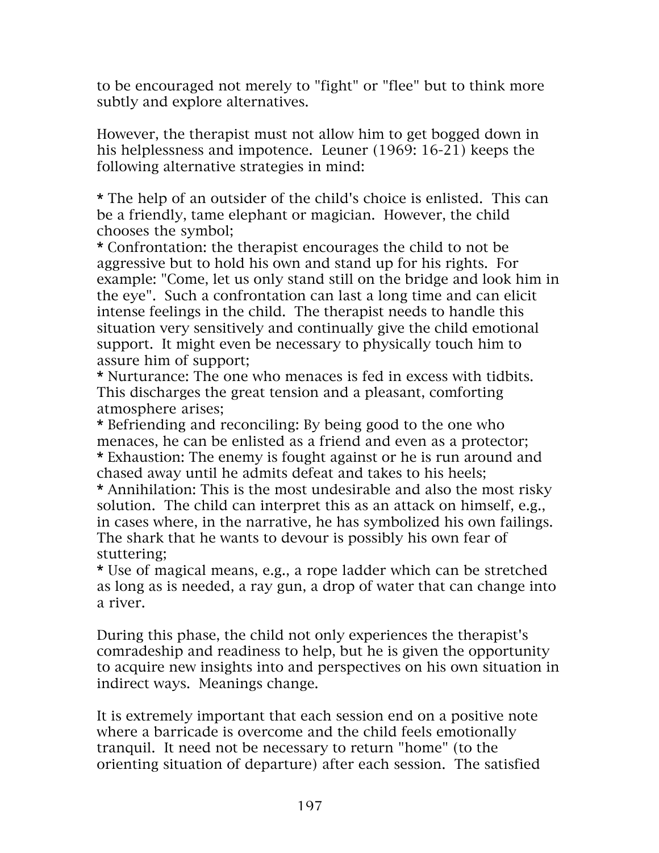to be encouraged not merely to "fight" or "flee" but to think more subtly and explore alternatives.

However, the therapist must not allow him to get bogged down in his helplessness and impotence. Leuner (1969: 16-21) keeps the following alternative strategies in mind:

\* The help of an outsider of the child's choice is enlisted. This can be a friendly, tame elephant or magician. However, the child chooses the symbol;

\* Confrontation: the therapist encourages the child to not be aggressive but to hold his own and stand up for his rights. For example: "Come, let us only stand still on the bridge and look him in the eye". Such a confrontation can last a long time and can elicit intense feelings in the child. The therapist needs to handle this situation very sensitively and continually give the child emotional support. It might even be necessary to physically touch him to assure him of support;

\* Nurturance: The one who menaces is fed in excess with tidbits. This discharges the great tension and a pleasant, comforting atmosphere arises;

\* Befriending and reconciling: By being good to the one who menaces, he can be enlisted as a friend and even as a protector; \* Exhaustion: The enemy is fought against or he is run around and chased away until he admits defeat and takes to his heels;

\* Annihilation: This is the most undesirable and also the most risky solution. The child can interpret this as an attack on himself, e.g., in cases where, in the narrative, he has symbolized his own failings. The shark that he wants to devour is possibly his own fear of stuttering;

\* Use of magical means, e.g., a rope ladder which can be stretched as long as is needed, a ray gun, a drop of water that can change into a river.

During this phase, the child not only experiences the therapist's comradeship and readiness to help, but he is given the opportunity to acquire new insights into and perspectives on his own situation in indirect ways. Meanings change.

It is extremely important that each session end on a positive note where a barricade is overcome and the child feels emotionally tranquil. It need not be necessary to return "home" (to the orienting situation of departure) after each session. The satisfied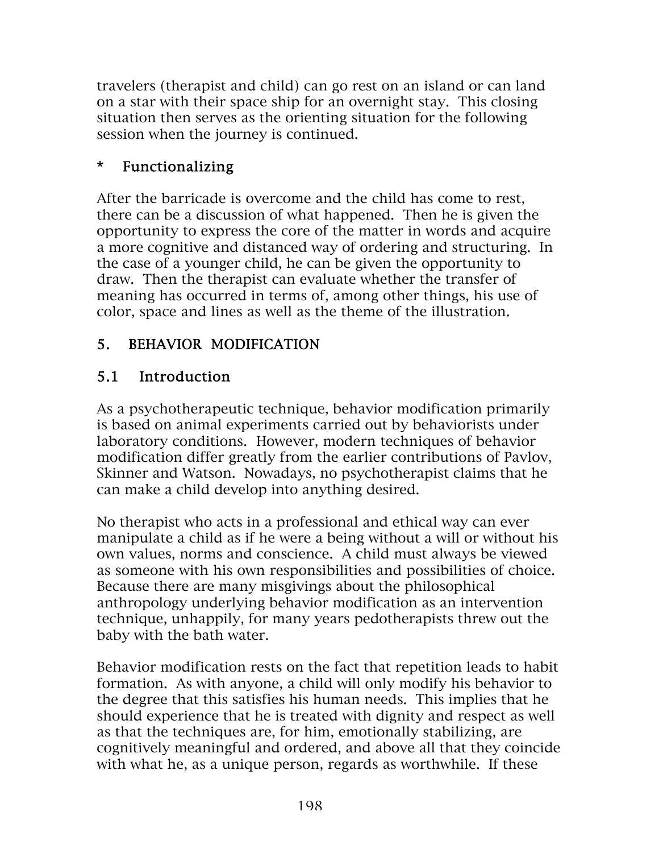travelers (therapist and child) can go rest on an island or can land on a star with their space ship for an overnight stay. This closing situation then serves as the orienting situation for the following session when the journey is continued.

## \* Functionalizing

After the barricade is overcome and the child has come to rest, there can be a discussion of what happened. Then he is given the opportunity to express the core of the matter in words and acquire a more cognitive and distanced way of ordering and structuring. In the case of a younger child, he can be given the opportunity to draw. Then the therapist can evaluate whether the transfer of meaning has occurred in terms of, among other things, his use of color, space and lines as well as the theme of the illustration.

## 5. BEHAVIOR MODIFICATION

### 5.1 Introduction

As a psychotherapeutic technique, behavior modification primarily is based on animal experiments carried out by behaviorists under laboratory conditions. However, modern techniques of behavior modification differ greatly from the earlier contributions of Pavlov, Skinner and Watson. Nowadays, no psychotherapist claims that he can make a child develop into anything desired.

No therapist who acts in a professional and ethical way can ever manipulate a child as if he were a being without a will or without his own values, norms and conscience. A child must always be viewed as someone with his own responsibilities and possibilities of choice. Because there are many misgivings about the philosophical anthropology underlying behavior modification as an intervention technique, unhappily, for many years pedotherapists threw out the baby with the bath water.

Behavior modification rests on the fact that repetition leads to habit formation. As with anyone, a child will only modify his behavior to the degree that this satisfies his human needs. This implies that he should experience that he is treated with dignity and respect as well as that the techniques are, for him, emotionally stabilizing, are cognitively meaningful and ordered, and above all that they coincide with what he, as a unique person, regards as worthwhile. If these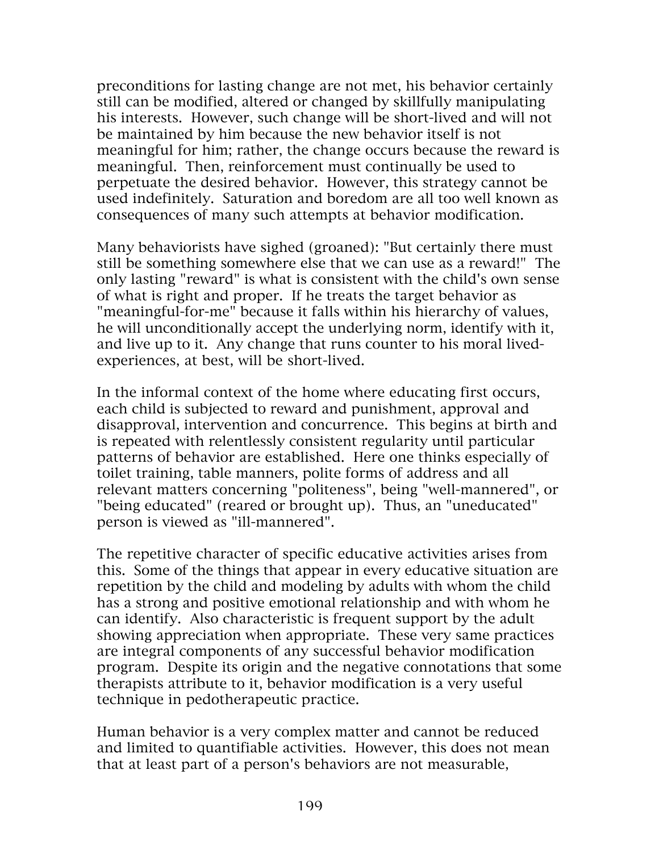preconditions for lasting change are not met, his behavior certainly still can be modified, altered or changed by skillfully manipulating his interests. However, such change will be short-lived and will not be maintained by him because the new behavior itself is not meaningful for him; rather, the change occurs because the reward is meaningful. Then, reinforcement must continually be used to perpetuate the desired behavior. However, this strategy cannot be used indefinitely. Saturation and boredom are all too well known as consequences of many such attempts at behavior modification.

Many behaviorists have sighed (groaned): "But certainly there must still be something somewhere else that we can use as a reward!" The only lasting "reward" is what is consistent with the child's own sense of what is right and proper. If he treats the target behavior as "meaningful-for-me" because it falls within his hierarchy of values, he will unconditionally accept the underlying norm, identify with it, and live up to it. Any change that runs counter to his moral livedexperiences, at best, will be short-lived.

In the informal context of the home where educating first occurs, each child is subjected to reward and punishment, approval and disapproval, intervention and concurrence. This begins at birth and is repeated with relentlessly consistent regularity until particular patterns of behavior are established. Here one thinks especially of toilet training, table manners, polite forms of address and all relevant matters concerning "politeness", being "well-mannered", or "being educated" (reared or brought up). Thus, an "uneducated" person is viewed as "ill-mannered".

The repetitive character of specific educative activities arises from this. Some of the things that appear in every educative situation are repetition by the child and modeling by adults with whom the child has a strong and positive emotional relationship and with whom he can identify. Also characteristic is frequent support by the adult showing appreciation when appropriate. These very same practices are integral components of any successful behavior modification program. Despite its origin and the negative connotations that some therapists attribute to it, behavior modification is a very useful technique in pedotherapeutic practice.

Human behavior is a very complex matter and cannot be reduced and limited to quantifiable activities. However, this does not mean that at least part of a person's behaviors are not measurable,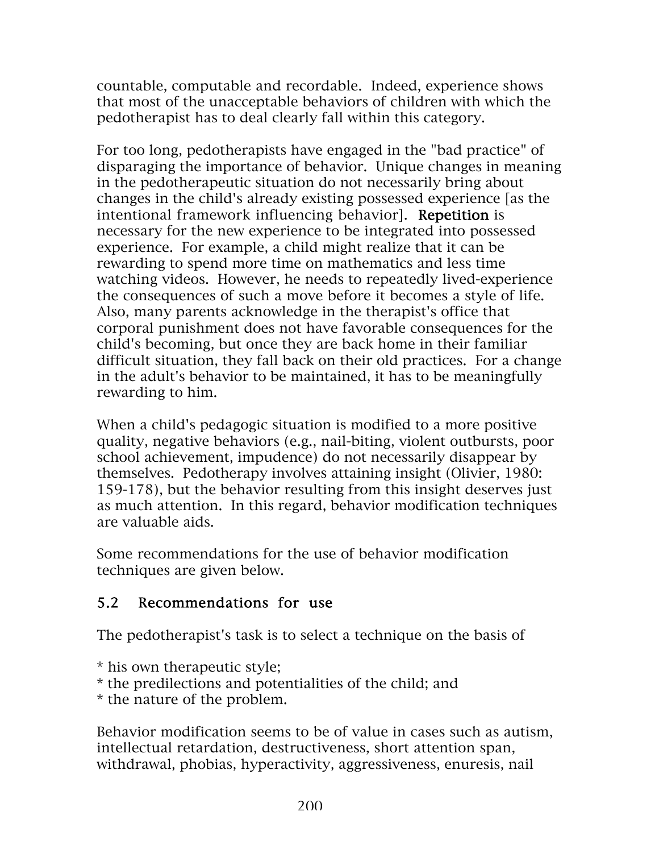countable, computable and recordable. Indeed, experience shows that most of the unacceptable behaviors of children with which the pedotherapist has to deal clearly fall within this category.

For too long, pedotherapists have engaged in the "bad practice" of disparaging the importance of behavior. Unique changes in meaning in the pedotherapeutic situation do not necessarily bring about changes in the child's already existing possessed experience [as the intentional framework influencing behavior]. Repetition is necessary for the new experience to be integrated into possessed experience. For example, a child might realize that it can be rewarding to spend more time on mathematics and less time watching videos. However, he needs to repeatedly lived-experience the consequences of such a move before it becomes a style of life. Also, many parents acknowledge in the therapist's office that corporal punishment does not have favorable consequences for the child's becoming, but once they are back home in their familiar difficult situation, they fall back on their old practices. For a change in the adult's behavior to be maintained, it has to be meaningfully rewarding to him.

When a child's pedagogic situation is modified to a more positive quality, negative behaviors (e.g., nail-biting, violent outbursts, poor school achievement, impudence) do not necessarily disappear by themselves. Pedotherapy involves attaining insight (Olivier, 1980: 159-178), but the behavior resulting from this insight deserves just as much attention. In this regard, behavior modification techniques are valuable aids.

Some recommendations for the use of behavior modification techniques are given below.

### 5.2 Recommendations for use

The pedotherapist's task is to select a technique on the basis of

\* his own therapeutic style;

\* the predilections and potentialities of the child; and

\* the nature of the problem.

Behavior modification seems to be of value in cases such as autism, intellectual retardation, destructiveness, short attention span, withdrawal, phobias, hyperactivity, aggressiveness, enuresis, nail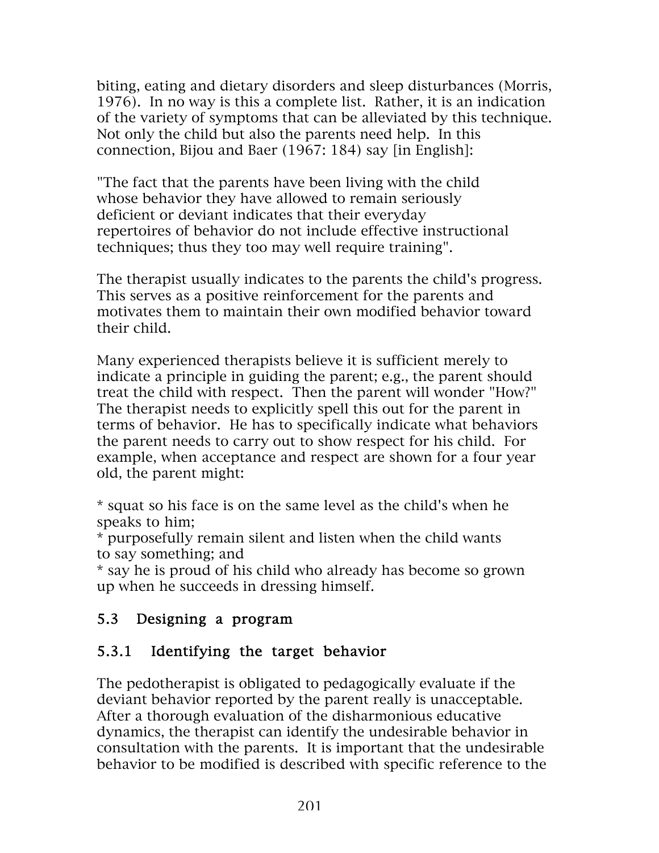biting, eating and dietary disorders and sleep disturbances (Morris, 1976). In no way is this a complete list. Rather, it is an indication of the variety of symptoms that can be alleviated by this technique. Not only the child but also the parents need help. In this connection, Bijou and Baer (1967: 184) say [in English]:

"The fact that the parents have been living with the child whose behavior they have allowed to remain seriously deficient or deviant indicates that their everyday repertoires of behavior do not include effective instructional techniques; thus they too may well require training".

The therapist usually indicates to the parents the child's progress. This serves as a positive reinforcement for the parents and motivates them to maintain their own modified behavior toward their child.

Many experienced therapists believe it is sufficient merely to indicate a principle in guiding the parent; e.g., the parent should treat the child with respect. Then the parent will wonder "How?" The therapist needs to explicitly spell this out for the parent in terms of behavior. He has to specifically indicate what behaviors the parent needs to carry out to show respect for his child. For example, when acceptance and respect are shown for a four year old, the parent might:

\* squat so his face is on the same level as the child's when he speaks to him;

\* purposefully remain silent and listen when the child wants to say something; and

\* say he is proud of his child who already has become so grown up when he succeeds in dressing himself.

### 5.3 Designing a program

## 5.3.1 Identifying the target behavior

The pedotherapist is obligated to pedagogically evaluate if the deviant behavior reported by the parent really is unacceptable. After a thorough evaluation of the disharmonious educative dynamics, the therapist can identify the undesirable behavior in consultation with the parents. It is important that the undesirable behavior to be modified is described with specific reference to the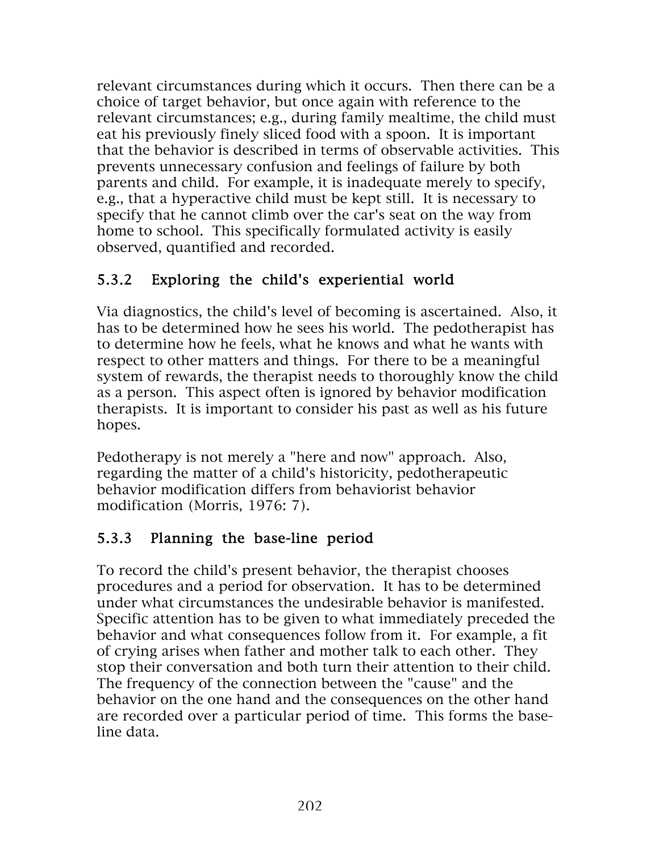relevant circumstances during which it occurs. Then there can be a choice of target behavior, but once again with reference to the relevant circumstances; e.g., during family mealtime, the child must eat his previously finely sliced food with a spoon. It is important that the behavior is described in terms of observable activities. This prevents unnecessary confusion and feelings of failure by both parents and child. For example, it is inadequate merely to specify, e.g., that a hyperactive child must be kept still. It is necessary to specify that he cannot climb over the car's seat on the way from home to school. This specifically formulated activity is easily observed, quantified and recorded.

## 5.3.2 Exploring the child's experiential world

Via diagnostics, the child's level of becoming is ascertained. Also, it has to be determined how he sees his world. The pedotherapist has to determine how he feels, what he knows and what he wants with respect to other matters and things. For there to be a meaningful system of rewards, the therapist needs to thoroughly know the child as a person. This aspect often is ignored by behavior modification therapists. It is important to consider his past as well as his future hopes.

Pedotherapy is not merely a "here and now" approach. Also, regarding the matter of a child's historicity, pedotherapeutic behavior modification differs from behaviorist behavior modification (Morris, 1976: 7).

# 5.3.3 Planning the base-line period

To record the child's present behavior, the therapist chooses procedures and a period for observation. It has to be determined under what circumstances the undesirable behavior is manifested. Specific attention has to be given to what immediately preceded the behavior and what consequences follow from it. For example, a fit of crying arises when father and mother talk to each other. They stop their conversation and both turn their attention to their child. The frequency of the connection between the "cause" and the behavior on the one hand and the consequences on the other hand are recorded over a particular period of time. This forms the baseline data.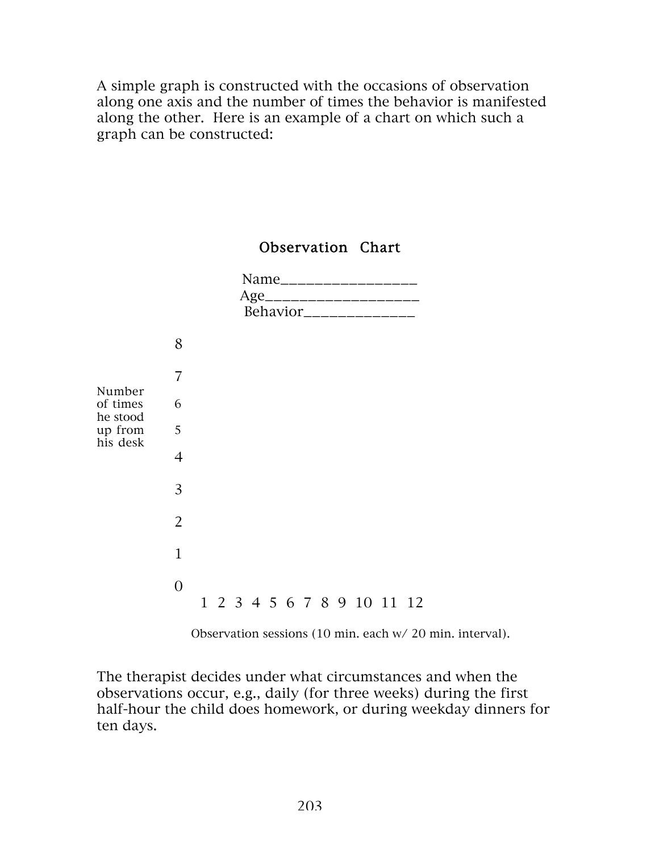A simple graph is constructed with the occasions of observation along one axis and the number of times the behavior is manifested along the other. Here is an example of a chart on which such a graph can be constructed:

### Observation Chart

|                                                       |                |  |  |  |  | Name_____________<br>Age______________________<br>Behavior______________ |  |  |
|-------------------------------------------------------|----------------|--|--|--|--|--------------------------------------------------------------------------|--|--|
|                                                       | 8              |  |  |  |  |                                                                          |  |  |
| Number<br>of times<br>he stood<br>up from<br>his desk | 7              |  |  |  |  |                                                                          |  |  |
|                                                       | 6              |  |  |  |  |                                                                          |  |  |
|                                                       | 5              |  |  |  |  |                                                                          |  |  |
|                                                       | $\overline{4}$ |  |  |  |  |                                                                          |  |  |
|                                                       | 3              |  |  |  |  |                                                                          |  |  |
|                                                       | $\overline{2}$ |  |  |  |  |                                                                          |  |  |
|                                                       | $\overline{1}$ |  |  |  |  |                                                                          |  |  |
|                                                       | $\overline{0}$ |  |  |  |  | 1 2 3 4 5 6 7 8 9 10 11 12                                               |  |  |

Observation sessions (10 min. each w/ 20 min. interval).

The therapist decides under what circumstances and when the observations occur, e.g., daily (for three weeks) during the first half-hour the child does homework, or during weekday dinners for ten days.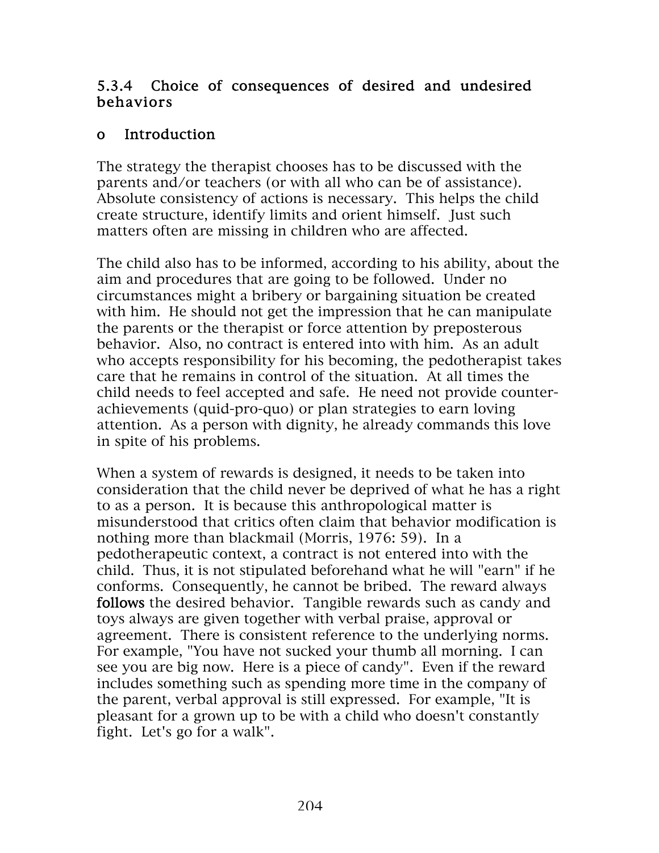### 5.3.4 Choice of consequences of desired and undesired behaviors

### o Introduction

The strategy the therapist chooses has to be discussed with the parents and/or teachers (or with all who can be of assistance). Absolute consistency of actions is necessary. This helps the child create structure, identify limits and orient himself. Just such matters often are missing in children who are affected.

The child also has to be informed, according to his ability, about the aim and procedures that are going to be followed. Under no circumstances might a bribery or bargaining situation be created with him. He should not get the impression that he can manipulate the parents or the therapist or force attention by preposterous behavior. Also, no contract is entered into with him. As an adult who accepts responsibility for his becoming, the pedotherapist takes care that he remains in control of the situation. At all times the child needs to feel accepted and safe. He need not provide counterachievements (quid-pro-quo) or plan strategies to earn loving attention. As a person with dignity, he already commands this love in spite of his problems.

When a system of rewards is designed, it needs to be taken into consideration that the child never be deprived of what he has a right to as a person. It is because this anthropological matter is misunderstood that critics often claim that behavior modification is nothing more than blackmail (Morris, 1976: 59). In a pedotherapeutic context, a contract is not entered into with the child. Thus, it is not stipulated beforehand what he will "earn" if he conforms. Consequently, he cannot be bribed. The reward always follows the desired behavior. Tangible rewards such as candy and toys always are given together with verbal praise, approval or agreement. There is consistent reference to the underlying norms. For example, "You have not sucked your thumb all morning. I can see you are big now. Here is a piece of candy". Even if the reward includes something such as spending more time in the company of the parent, verbal approval is still expressed. For example, "It is pleasant for a grown up to be with a child who doesn't constantly fight. Let's go for a walk".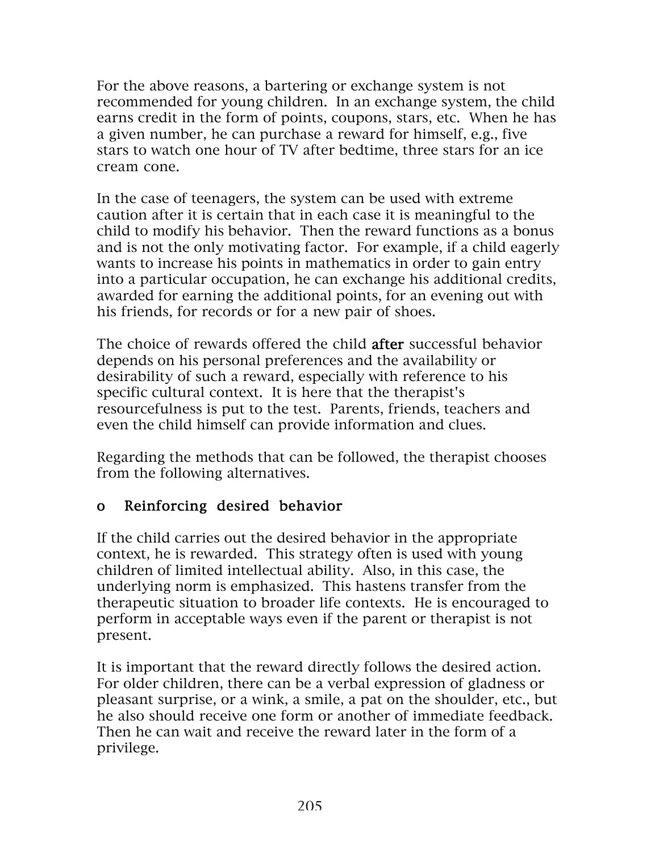For the above reasons, a bartering or exchange system is not recommended for young children. In an exchange system, the child earns credit in the form of points, coupons, stars, etc. When he has a given number, he can purchase a reward for himself, e.g., five stars to watch one hour of TV after bedtime, three stars for an ice cream cone.

In the case of teenagers, the system can be used with extreme caution after it is certain that in each case it is meaningful to the child to modify his behavior. Then the reward functions as a bonus and is not the only motivating factor. For example, if a child eagerly wants to increase his points in mathematics in order to gain entry into a particular occupation, he can exchange his additional credits, awarded for earning the additional points, for an evening out with his friends, for records or for a new pair of shoes.

The choice of rewards offered the child after successful behavior depends on his personal preferences and the availability or desirability of such a reward, especially with reference to his specific cultural context. It is here that the therapist's resourcefulness is put to the test. Parents, friends, teachers and even the child himself can provide information and clues.

Regarding the methods that can be followed, the therapist chooses from the following alternatives.

### o Reinforcing desired behavior

If the child carries out the desired behavior in the appropriate context, he is rewarded. This strategy often is used with young children of limited intellectual ability. Also, in this case, the underlying norm is emphasized. This hastens transfer from the therapeutic situation to broader life contexts. He is encouraged to perform in acceptable ways even if the parent or therapist is not present.

It is important that the reward directly follows the desired action. For older children, there can be a verbal expression of gladness or pleasant surprise, or a wink, a smile, a pat on the shoulder, etc., but he also should receive one form or another of immediate feedback. Then he can wait and receive the reward later in the form of a privilege.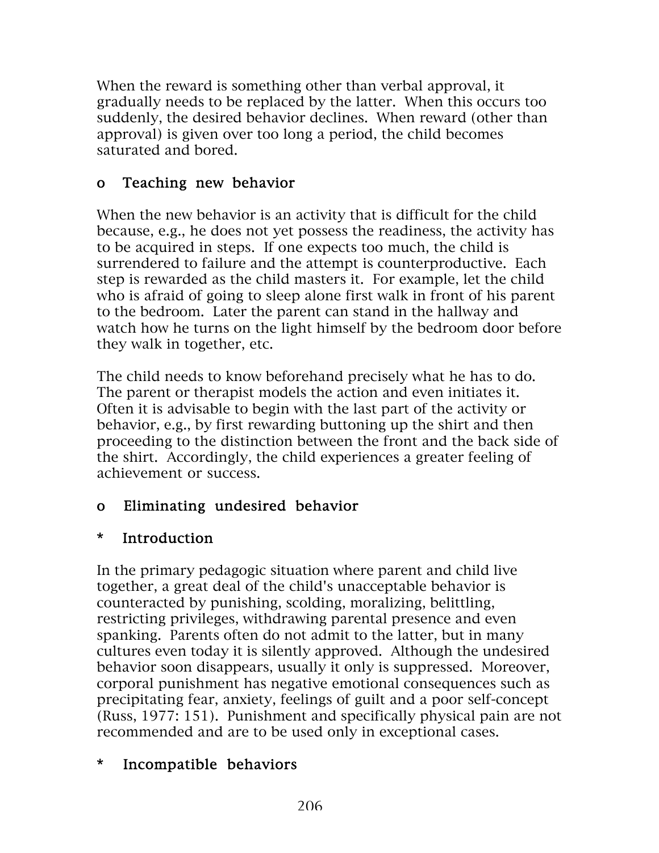When the reward is something other than verbal approval, it gradually needs to be replaced by the latter. When this occurs too suddenly, the desired behavior declines. When reward (other than approval) is given over too long a period, the child becomes saturated and bored.

## o Teaching new behavior

When the new behavior is an activity that is difficult for the child because, e.g., he does not yet possess the readiness, the activity has to be acquired in steps. If one expects too much, the child is surrendered to failure and the attempt is counterproductive. Each step is rewarded as the child masters it. For example, let the child who is afraid of going to sleep alone first walk in front of his parent to the bedroom. Later the parent can stand in the hallway and watch how he turns on the light himself by the bedroom door before they walk in together, etc.

The child needs to know beforehand precisely what he has to do. The parent or therapist models the action and even initiates it. Often it is advisable to begin with the last part of the activity or behavior, e.g., by first rewarding buttoning up the shirt and then proceeding to the distinction between the front and the back side of the shirt. Accordingly, the child experiences a greater feeling of achievement or success.

## o Eliminating undesired behavior

## \* Introduction

In the primary pedagogic situation where parent and child live together, a great deal of the child's unacceptable behavior is counteracted by punishing, scolding, moralizing, belittling, restricting privileges, withdrawing parental presence and even spanking. Parents often do not admit to the latter, but in many cultures even today it is silently approved. Although the undesired behavior soon disappears, usually it only is suppressed. Moreover, corporal punishment has negative emotional consequences such as precipitating fear, anxiety, feelings of guilt and a poor self-concept (Russ, 1977: 151). Punishment and specifically physical pain are not recommended and are to be used only in exceptional cases.

## \* Incompatible behaviors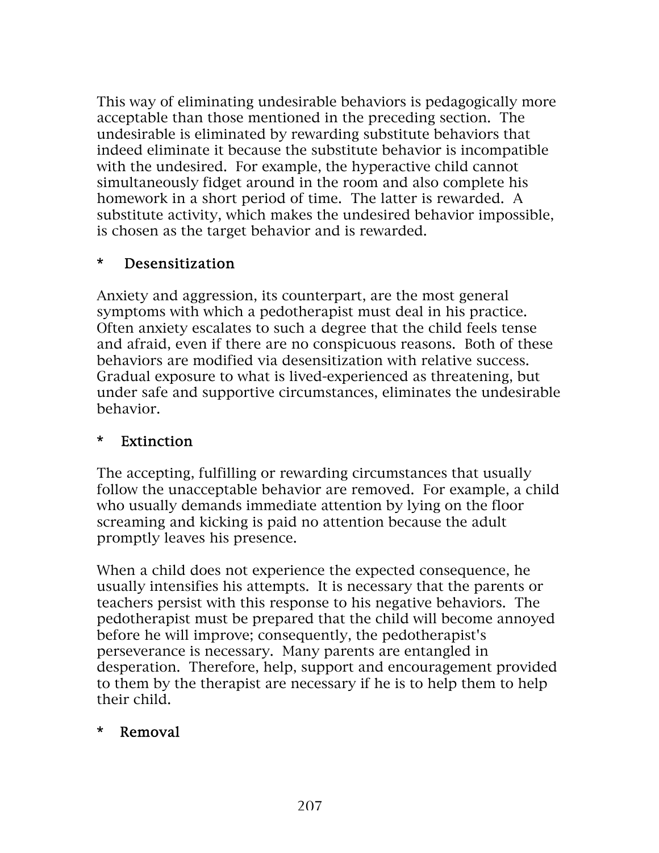This way of eliminating undesirable behaviors is pedagogically more acceptable than those mentioned in the preceding section. The undesirable is eliminated by rewarding substitute behaviors that indeed eliminate it because the substitute behavior is incompatible with the undesired. For example, the hyperactive child cannot simultaneously fidget around in the room and also complete his homework in a short period of time. The latter is rewarded. A substitute activity, which makes the undesired behavior impossible, is chosen as the target behavior and is rewarded.

### \* Desensitization

Anxiety and aggression, its counterpart, are the most general symptoms with which a pedotherapist must deal in his practice. Often anxiety escalates to such a degree that the child feels tense and afraid, even if there are no conspicuous reasons. Both of these behaviors are modified via desensitization with relative success. Gradual exposure to what is lived-experienced as threatening, but under safe and supportive circumstances, eliminates the undesirable behavior.

### \* Extinction

The accepting, fulfilling or rewarding circumstances that usually follow the unacceptable behavior are removed. For example, a child who usually demands immediate attention by lying on the floor screaming and kicking is paid no attention because the adult promptly leaves his presence.

When a child does not experience the expected consequence, he usually intensifies his attempts. It is necessary that the parents or teachers persist with this response to his negative behaviors. The pedotherapist must be prepared that the child will become annoyed before he will improve; consequently, the pedotherapist's perseverance is necessary. Many parents are entangled in desperation. Therefore, help, support and encouragement provided to them by the therapist are necessary if he is to help them to help their child.

### \* Removal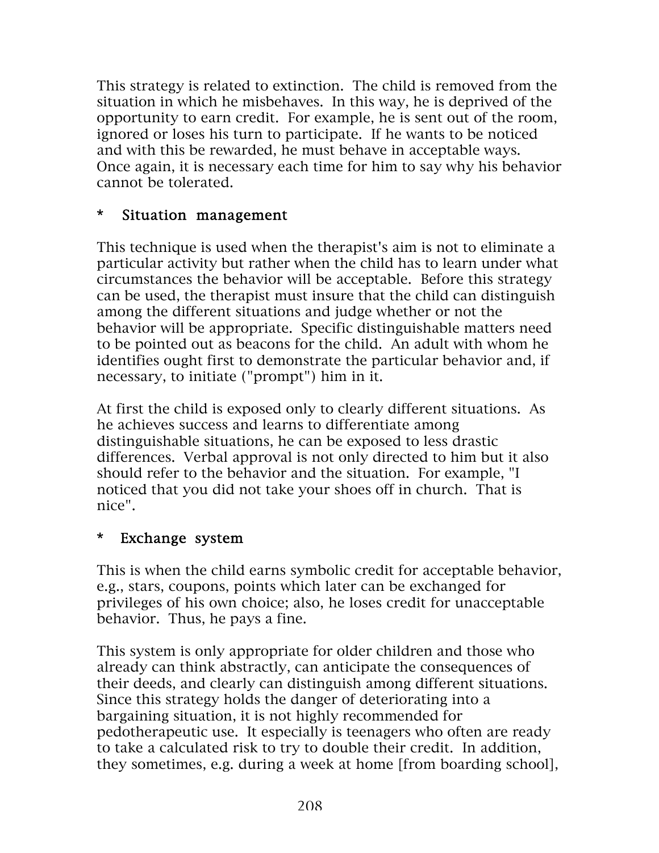This strategy is related to extinction. The child is removed from the situation in which he misbehaves. In this way, he is deprived of the opportunity to earn credit. For example, he is sent out of the room, ignored or loses his turn to participate. If he wants to be noticed and with this be rewarded, he must behave in acceptable ways. Once again, it is necessary each time for him to say why his behavior cannot be tolerated.

### \* Situation management

This technique is used when the therapist's aim is not to eliminate a particular activity but rather when the child has to learn under what circumstances the behavior will be acceptable. Before this strategy can be used, the therapist must insure that the child can distinguish among the different situations and judge whether or not the behavior will be appropriate. Specific distinguishable matters need to be pointed out as beacons for the child. An adult with whom he identifies ought first to demonstrate the particular behavior and, if necessary, to initiate ("prompt") him in it.

At first the child is exposed only to clearly different situations. As he achieves success and learns to differentiate among distinguishable situations, he can be exposed to less drastic differences. Verbal approval is not only directed to him but it also should refer to the behavior and the situation. For example, "I noticed that you did not take your shoes off in church. That is nice".

### \* Exchange system

This is when the child earns symbolic credit for acceptable behavior, e.g., stars, coupons, points which later can be exchanged for privileges of his own choice; also, he loses credit for unacceptable behavior. Thus, he pays a fine.

This system is only appropriate for older children and those who already can think abstractly, can anticipate the consequences of their deeds, and clearly can distinguish among different situations. Since this strategy holds the danger of deteriorating into a bargaining situation, it is not highly recommended for pedotherapeutic use. It especially is teenagers who often are ready to take a calculated risk to try to double their credit. In addition, they sometimes, e.g. during a week at home [from boarding school],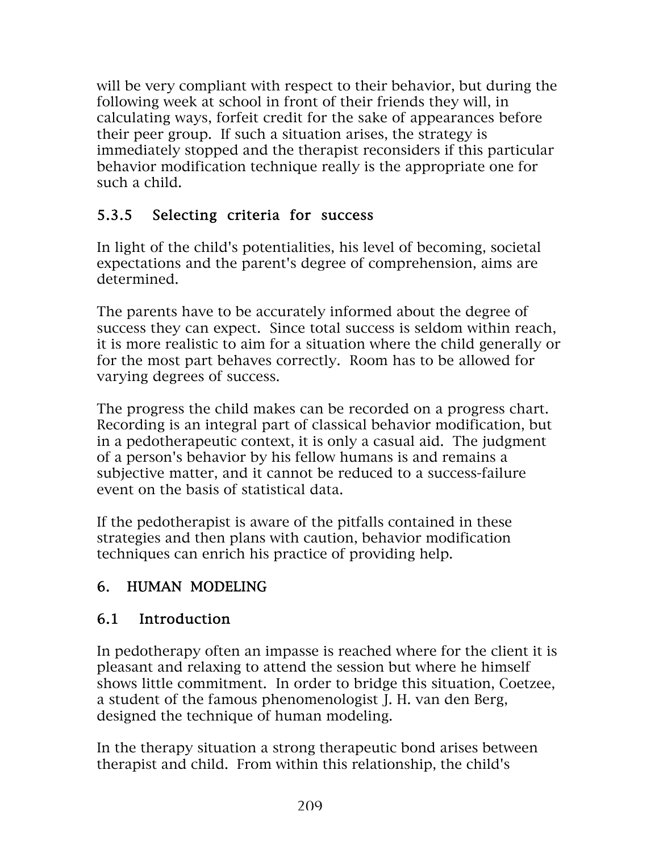will be very compliant with respect to their behavior, but during the following week at school in front of their friends they will, in calculating ways, forfeit credit for the sake of appearances before their peer group. If such a situation arises, the strategy is immediately stopped and the therapist reconsiders if this particular behavior modification technique really is the appropriate one for such a child.

## 5.3.5 Selecting criteria for success

In light of the child's potentialities, his level of becoming, societal expectations and the parent's degree of comprehension, aims are determined.

The parents have to be accurately informed about the degree of success they can expect. Since total success is seldom within reach, it is more realistic to aim for a situation where the child generally or for the most part behaves correctly. Room has to be allowed for varying degrees of success.

The progress the child makes can be recorded on a progress chart. Recording is an integral part of classical behavior modification, but in a pedotherapeutic context, it is only a casual aid. The judgment of a person's behavior by his fellow humans is and remains a subjective matter, and it cannot be reduced to a success-failure event on the basis of statistical data.

If the pedotherapist is aware of the pitfalls contained in these strategies and then plans with caution, behavior modification techniques can enrich his practice of providing help.

# 6. HUMAN MODELING

## 6.1 Introduction

In pedotherapy often an impasse is reached where for the client it is pleasant and relaxing to attend the session but where he himself shows little commitment. In order to bridge this situation, Coetzee, a student of the famous phenomenologist J. H. van den Berg, designed the technique of human modeling.

In the therapy situation a strong therapeutic bond arises between therapist and child. From within this relationship, the child's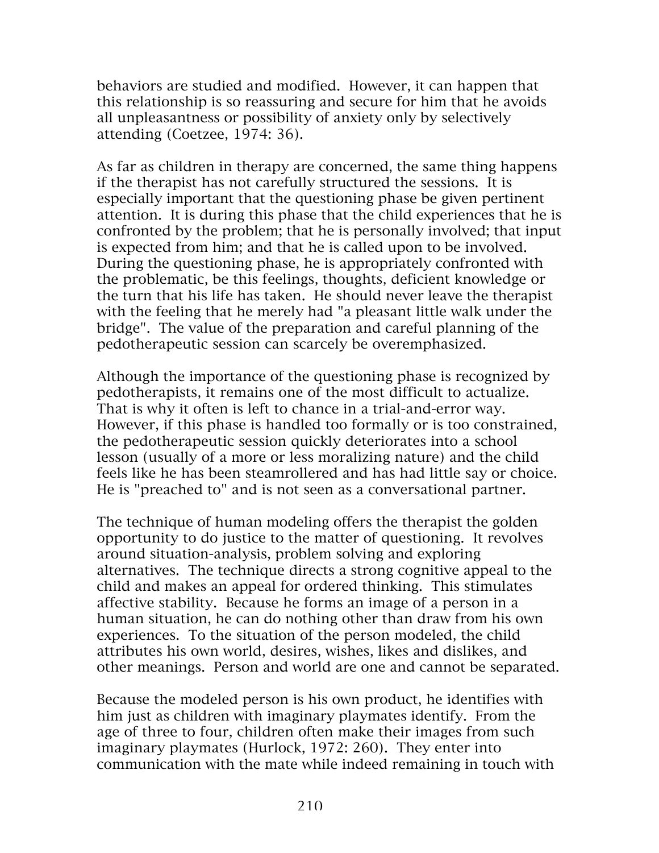behaviors are studied and modified. However, it can happen that this relationship is so reassuring and secure for him that he avoids all unpleasantness or possibility of anxiety only by selectively attending (Coetzee, 1974: 36).

As far as children in therapy are concerned, the same thing happens if the therapist has not carefully structured the sessions. It is especially important that the questioning phase be given pertinent attention. It is during this phase that the child experiences that he is confronted by the problem; that he is personally involved; that input is expected from him; and that he is called upon to be involved. During the questioning phase, he is appropriately confronted with the problematic, be this feelings, thoughts, deficient knowledge or the turn that his life has taken. He should never leave the therapist with the feeling that he merely had "a pleasant little walk under the bridge". The value of the preparation and careful planning of the pedotherapeutic session can scarcely be overemphasized.

Although the importance of the questioning phase is recognized by pedotherapists, it remains one of the most difficult to actualize. That is why it often is left to chance in a trial-and-error way. However, if this phase is handled too formally or is too constrained, the pedotherapeutic session quickly deteriorates into a school lesson (usually of a more or less moralizing nature) and the child feels like he has been steamrollered and has had little say or choice. He is "preached to" and is not seen as a conversational partner.

The technique of human modeling offers the therapist the golden opportunity to do justice to the matter of questioning. It revolves around situation-analysis, problem solving and exploring alternatives. The technique directs a strong cognitive appeal to the child and makes an appeal for ordered thinking. This stimulates affective stability. Because he forms an image of a person in a human situation, he can do nothing other than draw from his own experiences. To the situation of the person modeled, the child attributes his own world, desires, wishes, likes and dislikes, and other meanings. Person and world are one and cannot be separated.

Because the modeled person is his own product, he identifies with him just as children with imaginary playmates identify. From the age of three to four, children often make their images from such imaginary playmates (Hurlock, 1972: 260). They enter into communication with the mate while indeed remaining in touch with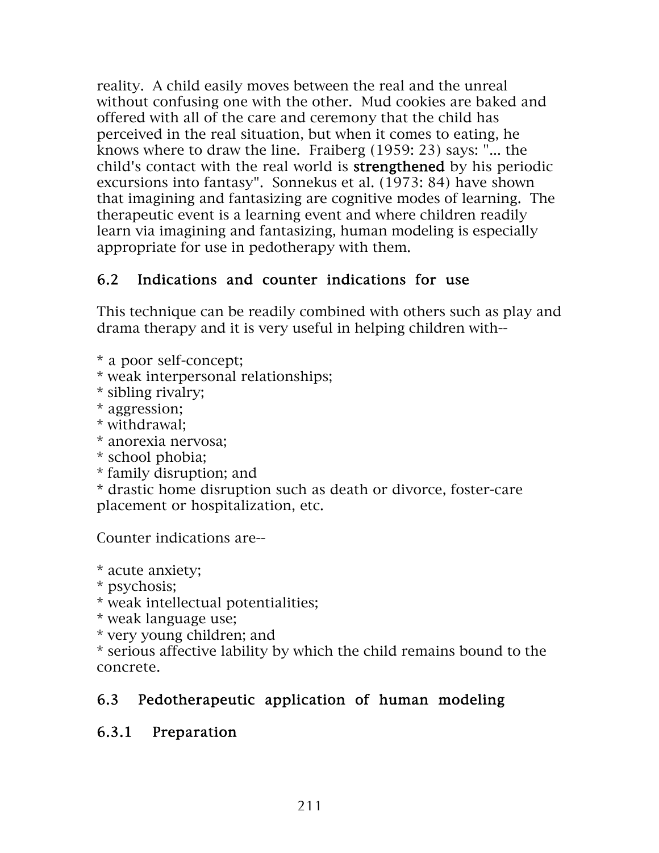reality. A child easily moves between the real and the unreal without confusing one with the other. Mud cookies are baked and offered with all of the care and ceremony that the child has perceived in the real situation, but when it comes to eating, he knows where to draw the line. Fraiberg (1959: 23) says: "... the child's contact with the real world is strengthened by his periodic excursions into fantasy". Sonnekus et al. (1973: 84) have shown that imagining and fantasizing are cognitive modes of learning. The therapeutic event is a learning event and where children readily learn via imagining and fantasizing, human modeling is especially appropriate for use in pedotherapy with them.

## 6.2 Indications and counter indications for use

This technique can be readily combined with others such as play and drama therapy and it is very useful in helping children with--

\* a poor self-concept;

\* weak interpersonal relationships;

\* sibling rivalry;

\* aggression;

\* withdrawal;

\* anorexia nervosa;

\* school phobia;

\* family disruption; and

\* drastic home disruption such as death or divorce, foster-care placement or hospitalization, etc.

Counter indications are--

\* acute anxiety;

\* psychosis;

\* weak intellectual potentialities;

\* weak language use;

\* very young children; and

\* serious affective lability by which the child remains bound to the concrete.

## 6.3 Pedotherapeutic application of human modeling

#### 6.3.1 Preparation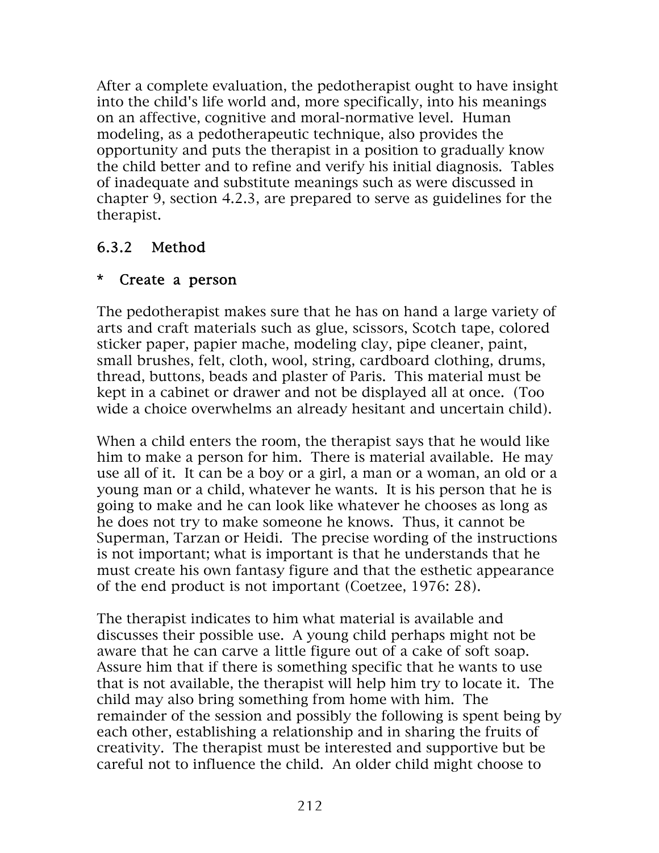After a complete evaluation, the pedotherapist ought to have insight into the child's life world and, more specifically, into his meanings on an affective, cognitive and moral-normative level. Human modeling, as a pedotherapeutic technique, also provides the opportunity and puts the therapist in a position to gradually know the child better and to refine and verify his initial diagnosis. Tables of inadequate and substitute meanings such as were discussed in chapter 9, section 4.2.3, are prepared to serve as guidelines for the therapist.

## 6.3.2 Method

#### \* Create a person

The pedotherapist makes sure that he has on hand a large variety of arts and craft materials such as glue, scissors, Scotch tape, colored sticker paper, papier mache, modeling clay, pipe cleaner, paint, small brushes, felt, cloth, wool, string, cardboard clothing, drums, thread, buttons, beads and plaster of Paris. This material must be kept in a cabinet or drawer and not be displayed all at once. (Too wide a choice overwhelms an already hesitant and uncertain child).

When a child enters the room, the therapist says that he would like him to make a person for him. There is material available. He may use all of it. It can be a boy or a girl, a man or a woman, an old or a young man or a child, whatever he wants. It is his person that he is going to make and he can look like whatever he chooses as long as he does not try to make someone he knows. Thus, it cannot be Superman, Tarzan or Heidi. The precise wording of the instructions is not important; what is important is that he understands that he must create his own fantasy figure and that the esthetic appearance of the end product is not important (Coetzee, 1976: 28).

The therapist indicates to him what material is available and discusses their possible use. A young child perhaps might not be aware that he can carve a little figure out of a cake of soft soap. Assure him that if there is something specific that he wants to use that is not available, the therapist will help him try to locate it. The child may also bring something from home with him. The remainder of the session and possibly the following is spent being by each other, establishing a relationship and in sharing the fruits of creativity. The therapist must be interested and supportive but be careful not to influence the child. An older child might choose to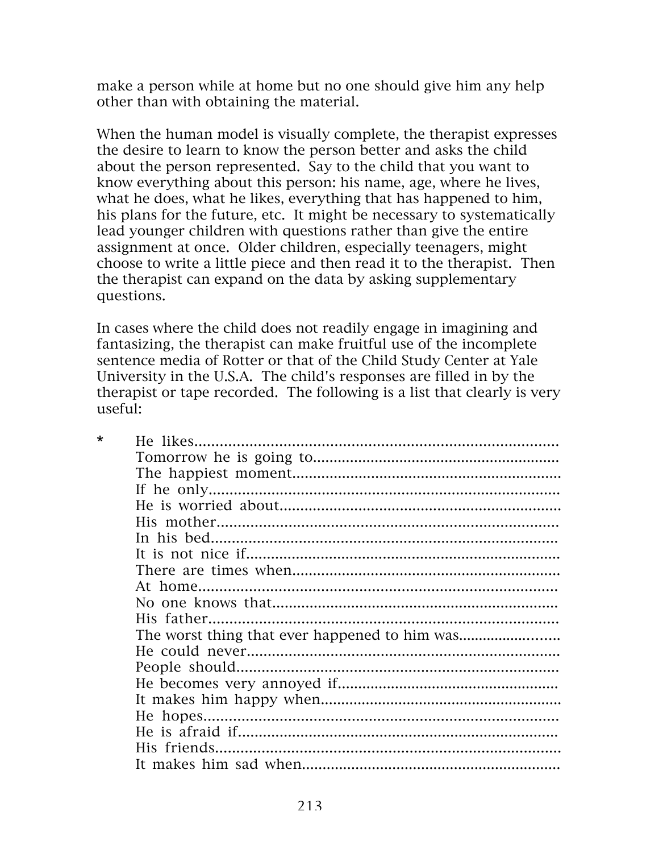make a person while at home but no one should give him any help other than with obtaining the material.

When the human model is visually complete, the therapist expresses the desire to learn to know the person better and asks the child about the person represented. Say to the child that you want to know everything about this person: his name, age, where he lives, what he does, what he likes, everything that has happened to him, his plans for the future, etc. It might be necessary to systematically lead younger children with questions rather than give the entire assignment at once. Older children, especially teenagers, might choose to write a little piece and then read it to the therapist. Then the therapist can expand on the data by asking supplementary questions.

In cases where the child does not readily engage in imagining and fantasizing, the therapist can make fruitful use of the incomplete sentence media of Rotter or that of the Child Study Center at Yale University in the U.S.A. The child's responses are filled in by the therapist or tape recorded. The following is a list that clearly is very useful: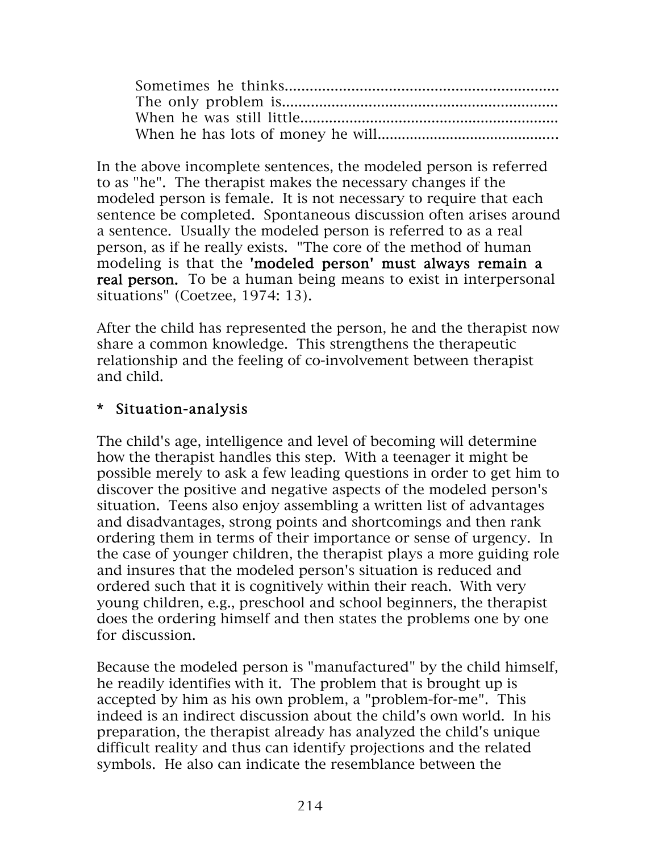In the above incomplete sentences, the modeled person is referred to as "he". The therapist makes the necessary changes if the modeled person is female. It is not necessary to require that each sentence be completed. Spontaneous discussion often arises around a sentence. Usually the modeled person is referred to as a real person, as if he really exists. "The core of the method of human modeling is that the 'modeled person' must always remain a real person. To be a human being means to exist in interpersonal situations" (Coetzee, 1974: 13).

After the child has represented the person, he and the therapist now share a common knowledge. This strengthens the therapeutic relationship and the feeling of co-involvement between therapist and child.

#### \* Situation-analysis

The child's age, intelligence and level of becoming will determine how the therapist handles this step. With a teenager it might be possible merely to ask a few leading questions in order to get him to discover the positive and negative aspects of the modeled person's situation. Teens also enjoy assembling a written list of advantages and disadvantages, strong points and shortcomings and then rank ordering them in terms of their importance or sense of urgency. In the case of younger children, the therapist plays a more guiding role and insures that the modeled person's situation is reduced and ordered such that it is cognitively within their reach. With very young children, e.g., preschool and school beginners, the therapist does the ordering himself and then states the problems one by one for discussion.

Because the modeled person is "manufactured" by the child himself, he readily identifies with it. The problem that is brought up is accepted by him as his own problem, a "problem-for-me". This indeed is an indirect discussion about the child's own world. In his preparation, the therapist already has analyzed the child's unique difficult reality and thus can identify projections and the related symbols. He also can indicate the resemblance between the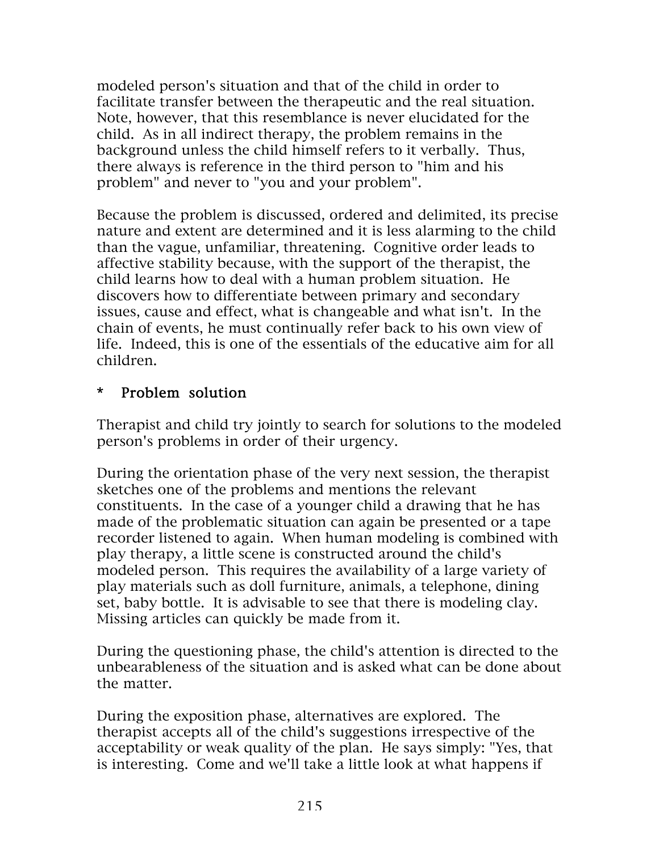modeled person's situation and that of the child in order to facilitate transfer between the therapeutic and the real situation. Note, however, that this resemblance is never elucidated for the child. As in all indirect therapy, the problem remains in the background unless the child himself refers to it verbally. Thus, there always is reference in the third person to "him and his problem" and never to "you and your problem".

Because the problem is discussed, ordered and delimited, its precise nature and extent are determined and it is less alarming to the child than the vague, unfamiliar, threatening. Cognitive order leads to affective stability because, with the support of the therapist, the child learns how to deal with a human problem situation. He discovers how to differentiate between primary and secondary issues, cause and effect, what is changeable and what isn't. In the chain of events, he must continually refer back to his own view of life. Indeed, this is one of the essentials of the educative aim for all children.

#### \* Problem solution

Therapist and child try jointly to search for solutions to the modeled person's problems in order of their urgency.

During the orientation phase of the very next session, the therapist sketches one of the problems and mentions the relevant constituents. In the case of a younger child a drawing that he has made of the problematic situation can again be presented or a tape recorder listened to again. When human modeling is combined with play therapy, a little scene is constructed around the child's modeled person. This requires the availability of a large variety of play materials such as doll furniture, animals, a telephone, dining set, baby bottle. It is advisable to see that there is modeling clay. Missing articles can quickly be made from it.

During the questioning phase, the child's attention is directed to the unbearableness of the situation and is asked what can be done about the matter.

During the exposition phase, alternatives are explored. The therapist accepts all of the child's suggestions irrespective of the acceptability or weak quality of the plan. He says simply: "Yes, that is interesting. Come and we'll take a little look at what happens if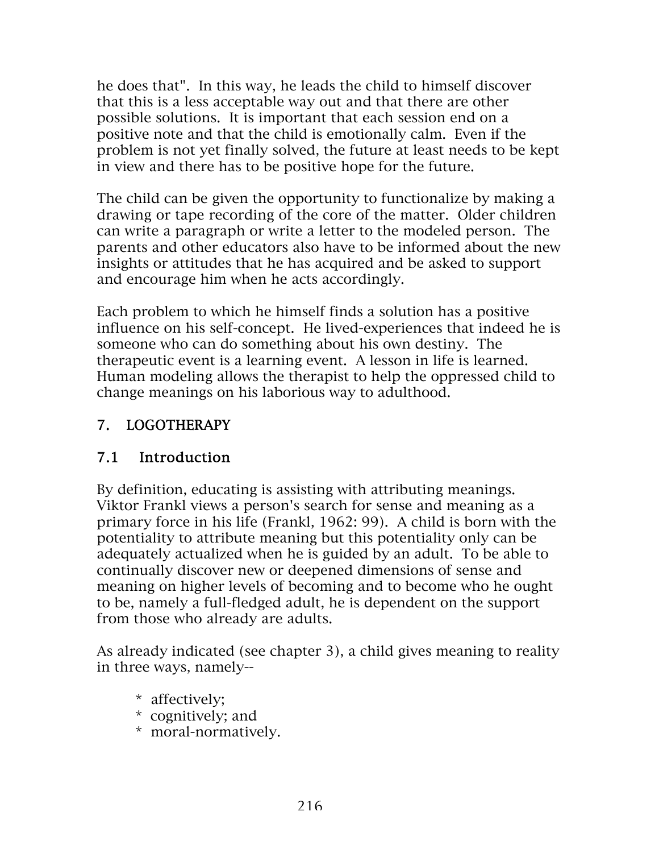he does that". In this way, he leads the child to himself discover that this is a less acceptable way out and that there are other possible solutions. It is important that each session end on a positive note and that the child is emotionally calm. Even if the problem is not yet finally solved, the future at least needs to be kept in view and there has to be positive hope for the future.

The child can be given the opportunity to functionalize by making a drawing or tape recording of the core of the matter. Older children can write a paragraph or write a letter to the modeled person. The parents and other educators also have to be informed about the new insights or attitudes that he has acquired and be asked to support and encourage him when he acts accordingly.

Each problem to which he himself finds a solution has a positive influence on his self-concept. He lived-experiences that indeed he is someone who can do something about his own destiny. The therapeutic event is a learning event. A lesson in life is learned. Human modeling allows the therapist to help the oppressed child to change meanings on his laborious way to adulthood.

## 7. LOGOTHERAPY

## 7.1 Introduction

By definition, educating is assisting with attributing meanings. Viktor Frankl views a person's search for sense and meaning as a primary force in his life (Frankl, 1962: 99). A child is born with the potentiality to attribute meaning but this potentiality only can be adequately actualized when he is guided by an adult. To be able to continually discover new or deepened dimensions of sense and meaning on higher levels of becoming and to become who he ought to be, namely a full-fledged adult, he is dependent on the support from those who already are adults.

As already indicated (see chapter 3), a child gives meaning to reality in three ways, namely--

- \* affectively;
- \* cognitively; and
- \* moral-normatively.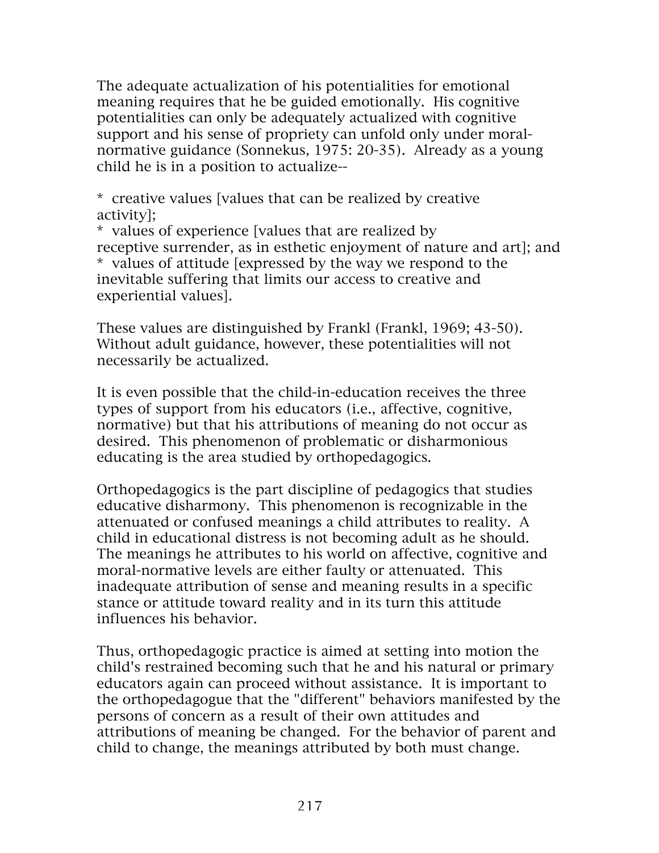The adequate actualization of his potentialities for emotional meaning requires that he be guided emotionally. His cognitive potentialities can only be adequately actualized with cognitive support and his sense of propriety can unfold only under moralnormative guidance (Sonnekus, 1975: 20-35). Already as a young child he is in a position to actualize--

\* creative values [values that can be realized by creative activity];

\* values of experience [values that are realized by receptive surrender, as in esthetic enjoyment of nature and art]; and \* values of attitude [expressed by the way we respond to the inevitable suffering that limits our access to creative and experiential values].

These values are distinguished by Frankl (Frankl, 1969; 43-50). Without adult guidance, however, these potentialities will not necessarily be actualized.

It is even possible that the child-in-education receives the three types of support from his educators (i.e., affective, cognitive, normative) but that his attributions of meaning do not occur as desired. This phenomenon of problematic or disharmonious educating is the area studied by orthopedagogics.

Orthopedagogics is the part discipline of pedagogics that studies educative disharmony. This phenomenon is recognizable in the attenuated or confused meanings a child attributes to reality. A child in educational distress is not becoming adult as he should. The meanings he attributes to his world on affective, cognitive and moral-normative levels are either faulty or attenuated. This inadequate attribution of sense and meaning results in a specific stance or attitude toward reality and in its turn this attitude influences his behavior.

Thus, orthopedagogic practice is aimed at setting into motion the child's restrained becoming such that he and his natural or primary educators again can proceed without assistance. It is important to the orthopedagogue that the "different" behaviors manifested by the persons of concern as a result of their own attitudes and attributions of meaning be changed. For the behavior of parent and child to change, the meanings attributed by both must change.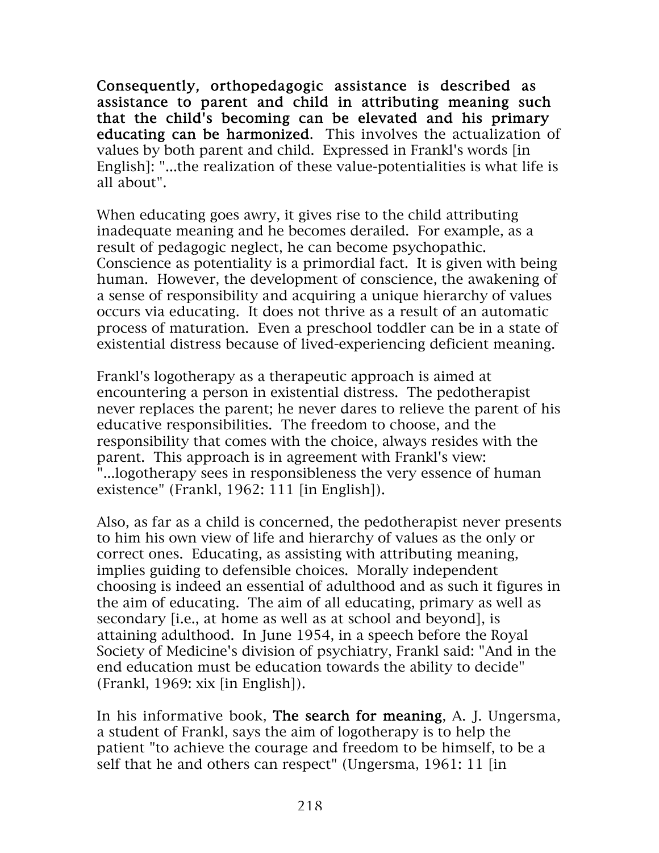Consequently, orthopedagogic assistance is described as assistance to parent and child in attributing meaning such that the child's becoming can be elevated and his primary educating can be harmonized. This involves the actualization of values by both parent and child. Expressed in Frankl's words [in English]: "...the realization of these value-potentialities is what life is all about".

When educating goes awry, it gives rise to the child attributing inadequate meaning and he becomes derailed. For example, as a result of pedagogic neglect, he can become psychopathic. Conscience as potentiality is a primordial fact. It is given with being human. However, the development of conscience, the awakening of a sense of responsibility and acquiring a unique hierarchy of values occurs via educating. It does not thrive as a result of an automatic process of maturation. Even a preschool toddler can be in a state of existential distress because of lived-experiencing deficient meaning.

Frankl's logotherapy as a therapeutic approach is aimed at encountering a person in existential distress. The pedotherapist never replaces the parent; he never dares to relieve the parent of his educative responsibilities. The freedom to choose, and the responsibility that comes with the choice, always resides with the parent. This approach is in agreement with Frankl's view: "...logotherapy sees in responsibleness the very essence of human existence" (Frankl, 1962: 111 [in English]).

Also, as far as a child is concerned, the pedotherapist never presents to him his own view of life and hierarchy of values as the only or correct ones. Educating, as assisting with attributing meaning, implies guiding to defensible choices. Morally independent choosing is indeed an essential of adulthood and as such it figures in the aim of educating. The aim of all educating, primary as well as secondary [i.e., at home as well as at school and beyond], is attaining adulthood. In June 1954, in a speech before the Royal Society of Medicine's division of psychiatry, Frankl said: "And in the end education must be education towards the ability to decide" (Frankl, 1969: xix [in English]).

In his informative book, The search for meaning, A. J. Ungersma, a student of Frankl, says the aim of logotherapy is to help the patient "to achieve the courage and freedom to be himself, to be a self that he and others can respect" (Ungersma, 1961: 11 [in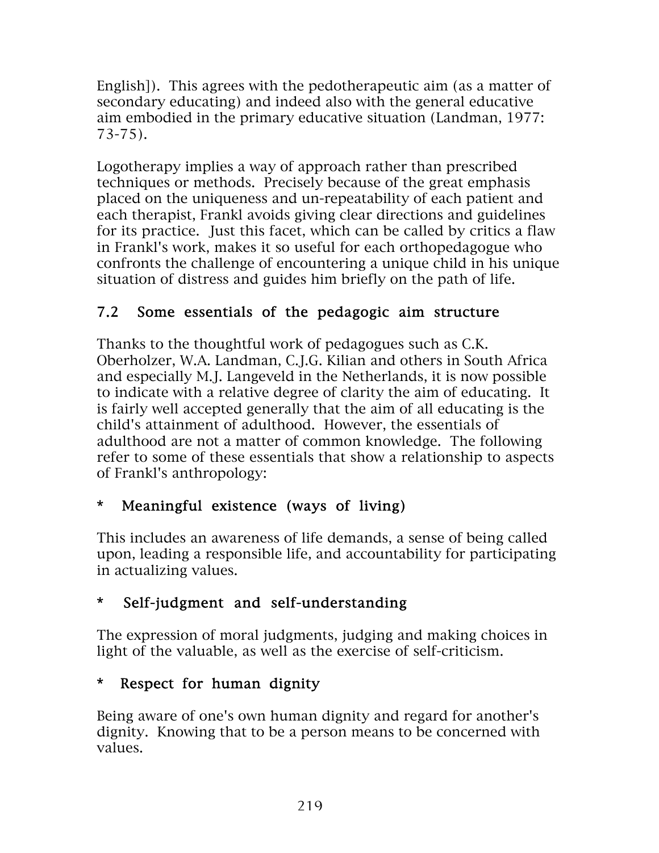English]). This agrees with the pedotherapeutic aim (as a matter of secondary educating) and indeed also with the general educative aim embodied in the primary educative situation (Landman, 1977: 73-75).

Logotherapy implies a way of approach rather than prescribed techniques or methods. Precisely because of the great emphasis placed on the uniqueness and un-repeatability of each patient and each therapist, Frankl avoids giving clear directions and guidelines for its practice. Just this facet, which can be called by critics a flaw in Frankl's work, makes it so useful for each orthopedagogue who confronts the challenge of encountering a unique child in his unique situation of distress and guides him briefly on the path of life.

## 7.2 Some essentials of the pedagogic aim structure

Thanks to the thoughtful work of pedagogues such as C.K. Oberholzer, W.A. Landman, C.J.G. Kilian and others in South Africa and especially M.J. Langeveld in the Netherlands, it is now possible to indicate with a relative degree of clarity the aim of educating. It is fairly well accepted generally that the aim of all educating is the child's attainment of adulthood. However, the essentials of adulthood are not a matter of common knowledge. The following refer to some of these essentials that show a relationship to aspects of Frankl's anthropology:

## \* Meaningful existence (ways of living)

This includes an awareness of life demands, a sense of being called upon, leading a responsible life, and accountability for participating in actualizing values.

## \* Self-judgment and self-understanding

The expression of moral judgments, judging and making choices in light of the valuable, as well as the exercise of self-criticism.

## \* Respect for human dignity

Being aware of one's own human dignity and regard for another's dignity. Knowing that to be a person means to be concerned with values.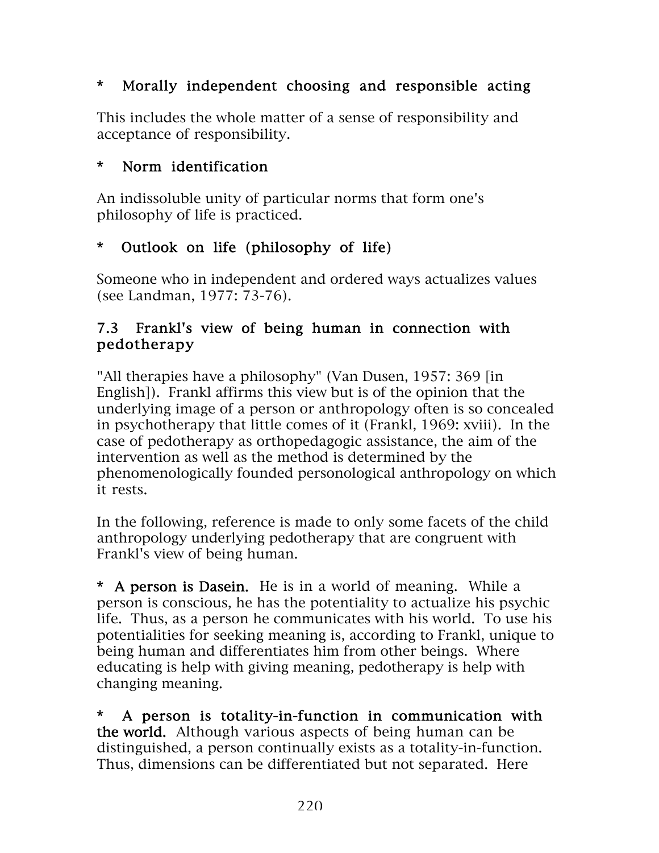## \* Morally independent choosing and responsible acting

This includes the whole matter of a sense of responsibility and acceptance of responsibility.

#### \* Norm identification

An indissoluble unity of particular norms that form one's philosophy of life is practiced.

### \* Outlook on life (philosophy of life)

Someone who in independent and ordered ways actualizes values (see Landman, 1977: 73-76).

#### 7.3 Frankl's view of being human in connection with pedotherapy

"All therapies have a philosophy" (Van Dusen, 1957: 369 [in English]). Frankl affirms this view but is of the opinion that the underlying image of a person or anthropology often is so concealed in psychotherapy that little comes of it (Frankl, 1969: xviii). In the case of pedotherapy as orthopedagogic assistance, the aim of the intervention as well as the method is determined by the phenomenologically founded personological anthropology on which it rests.

In the following, reference is made to only some facets of the child anthropology underlying pedotherapy that are congruent with Frankl's view of being human.

\* A person is Dasein. He is in a world of meaning. While a person is conscious, he has the potentiality to actualize his psychic life. Thus, as a person he communicates with his world. To use his potentialities for seeking meaning is, according to Frankl, unique to being human and differentiates him from other beings. Where educating is help with giving meaning, pedotherapy is help with changing meaning.

\* A person is totality-in-function in communication with the world. Although various aspects of being human can be distinguished, a person continually exists as a totality-in-function. Thus, dimensions can be differentiated but not separated. Here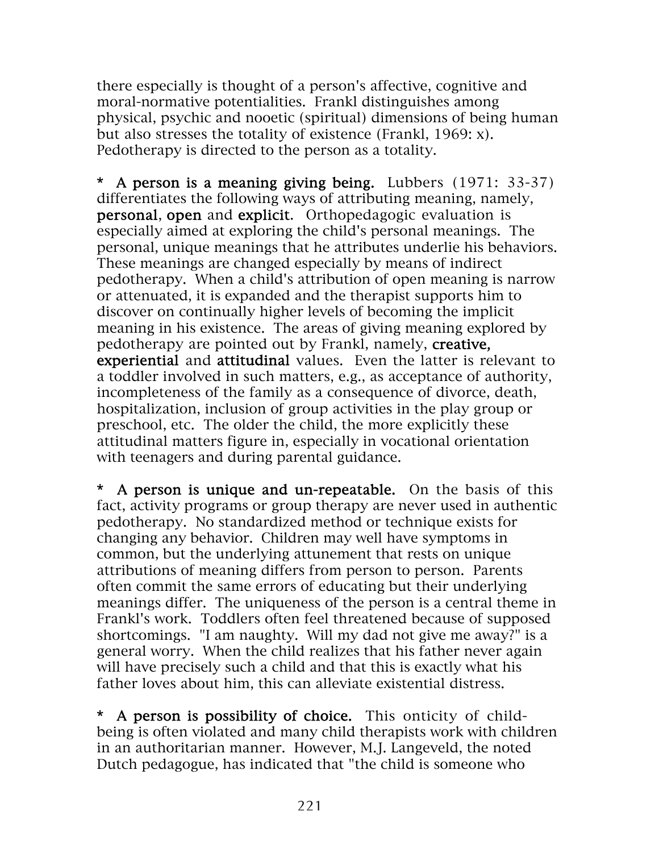there especially is thought of a person's affective, cognitive and moral-normative potentialities. Frankl distinguishes among physical, psychic and nooetic (spiritual) dimensions of being human but also stresses the totality of existence (Frankl, 1969: x). Pedotherapy is directed to the person as a totality.

\* A person is a meaning giving being. Lubbers (1971: 33-37) differentiates the following ways of attributing meaning, namely, personal, open and explicit. Orthopedagogic evaluation is especially aimed at exploring the child's personal meanings. The personal, unique meanings that he attributes underlie his behaviors. These meanings are changed especially by means of indirect pedotherapy. When a child's attribution of open meaning is narrow or attenuated, it is expanded and the therapist supports him to discover on continually higher levels of becoming the implicit meaning in his existence. The areas of giving meaning explored by pedotherapy are pointed out by Frankl, namely, creative, experiential and attitudinal values. Even the latter is relevant to a toddler involved in such matters, e.g., as acceptance of authority, incompleteness of the family as a consequence of divorce, death, hospitalization, inclusion of group activities in the play group or preschool, etc. The older the child, the more explicitly these attitudinal matters figure in, especially in vocational orientation with teenagers and during parental guidance.

\* A person is unique and un-repeatable. On the basis of this fact, activity programs or group therapy are never used in authentic pedotherapy. No standardized method or technique exists for changing any behavior. Children may well have symptoms in common, but the underlying attunement that rests on unique attributions of meaning differs from person to person. Parents often commit the same errors of educating but their underlying meanings differ. The uniqueness of the person is a central theme in Frankl's work. Toddlers often feel threatened because of supposed shortcomings. "I am naughty. Will my dad not give me away?" is a general worry. When the child realizes that his father never again will have precisely such a child and that this is exactly what his father loves about him, this can alleviate existential distress.

\* A person is possibility of choice. This onticity of childbeing is often violated and many child therapists work with children in an authoritarian manner. However, M.J. Langeveld, the noted Dutch pedagogue, has indicated that "the child is someone who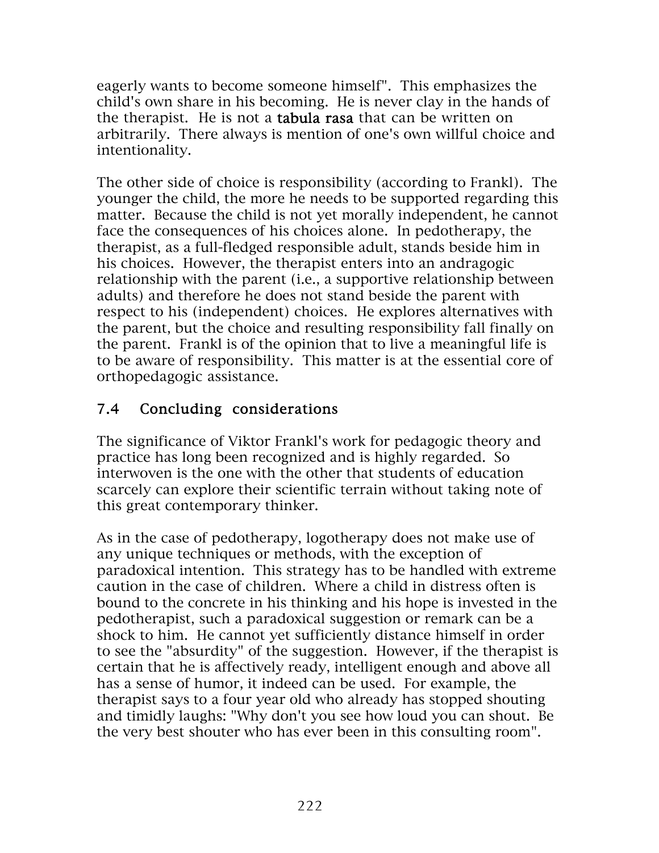eagerly wants to become someone himself". This emphasizes the child's own share in his becoming. He is never clay in the hands of the therapist. He is not a tabula rasa that can be written on arbitrarily. There always is mention of one's own willful choice and intentionality.

The other side of choice is responsibility (according to Frankl). The younger the child, the more he needs to be supported regarding this matter. Because the child is not yet morally independent, he cannot face the consequences of his choices alone. In pedotherapy, the therapist, as a full-fledged responsible adult, stands beside him in his choices. However, the therapist enters into an andragogic relationship with the parent (i.e., a supportive relationship between adults) and therefore he does not stand beside the parent with respect to his (independent) choices. He explores alternatives with the parent, but the choice and resulting responsibility fall finally on the parent. Frankl is of the opinion that to live a meaningful life is to be aware of responsibility. This matter is at the essential core of orthopedagogic assistance.

## 7.4 Concluding considerations

The significance of Viktor Frankl's work for pedagogic theory and practice has long been recognized and is highly regarded. So interwoven is the one with the other that students of education scarcely can explore their scientific terrain without taking note of this great contemporary thinker.

As in the case of pedotherapy, logotherapy does not make use of any unique techniques or methods, with the exception of paradoxical intention. This strategy has to be handled with extreme caution in the case of children. Where a child in distress often is bound to the concrete in his thinking and his hope is invested in the pedotherapist, such a paradoxical suggestion or remark can be a shock to him. He cannot yet sufficiently distance himself in order to see the "absurdity" of the suggestion. However, if the therapist is certain that he is affectively ready, intelligent enough and above all has a sense of humor, it indeed can be used. For example, the therapist says to a four year old who already has stopped shouting and timidly laughs: "Why don't you see how loud you can shout. Be the very best shouter who has ever been in this consulting room".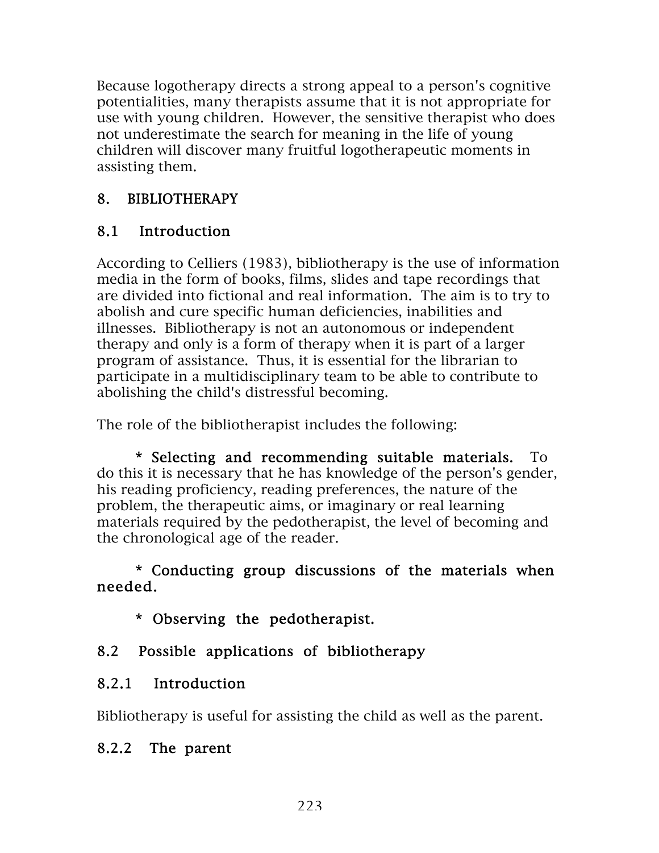Because logotherapy directs a strong appeal to a person's cognitive potentialities, many therapists assume that it is not appropriate for use with young children. However, the sensitive therapist who does not underestimate the search for meaning in the life of young children will discover many fruitful logotherapeutic moments in assisting them.

## 8. BIBLIOTHERAPY

## 8.1 Introduction

According to Celliers (1983), bibliotherapy is the use of information media in the form of books, films, slides and tape recordings that are divided into fictional and real information. The aim is to try to abolish and cure specific human deficiencies, inabilities and illnesses. Bibliotherapy is not an autonomous or independent therapy and only is a form of therapy when it is part of a larger program of assistance. Thus, it is essential for the librarian to participate in a multidisciplinary team to be able to contribute to abolishing the child's distressful becoming.

The role of the bibliotherapist includes the following:

\* Selecting and recommending suitable materials. To do this it is necessary that he has knowledge of the person's gender, his reading proficiency, reading preferences, the nature of the problem, the therapeutic aims, or imaginary or real learning materials required by the pedotherapist, the level of becoming and the chronological age of the reader.

\* Conducting group discussions of the materials when needed.

\* Observing the pedotherapist.

## 8.2 Possible applications of bibliotherapy

## 8.2.1 Introduction

Bibliotherapy is useful for assisting the child as well as the parent.

## 8.2.2 The parent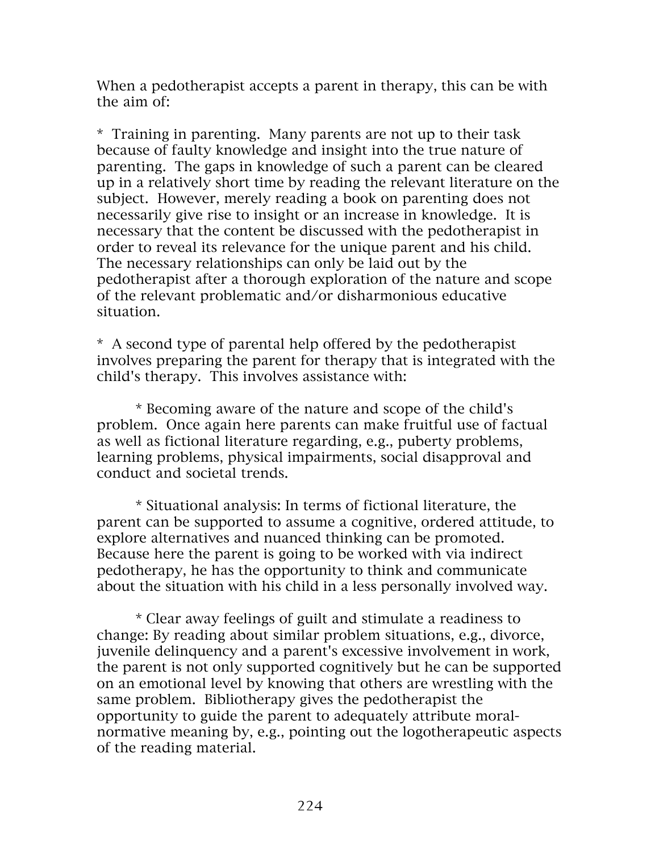When a pedotherapist accepts a parent in therapy, this can be with the aim of:

\* Training in parenting. Many parents are not up to their task because of faulty knowledge and insight into the true nature of parenting. The gaps in knowledge of such a parent can be cleared up in a relatively short time by reading the relevant literature on the subject. However, merely reading a book on parenting does not necessarily give rise to insight or an increase in knowledge. It is necessary that the content be discussed with the pedotherapist in order to reveal its relevance for the unique parent and his child. The necessary relationships can only be laid out by the pedotherapist after a thorough exploration of the nature and scope of the relevant problematic and/or disharmonious educative situation.

\* A second type of parental help offered by the pedotherapist involves preparing the parent for therapy that is integrated with the child's therapy. This involves assistance with:

\* Becoming aware of the nature and scope of the child's problem. Once again here parents can make fruitful use of factual as well as fictional literature regarding, e.g., puberty problems, learning problems, physical impairments, social disapproval and conduct and societal trends.

\* Situational analysis: In terms of fictional literature, the parent can be supported to assume a cognitive, ordered attitude, to explore alternatives and nuanced thinking can be promoted. Because here the parent is going to be worked with via indirect pedotherapy, he has the opportunity to think and communicate about the situation with his child in a less personally involved way.

\* Clear away feelings of guilt and stimulate a readiness to change: By reading about similar problem situations, e.g., divorce, juvenile delinquency and a parent's excessive involvement in work, the parent is not only supported cognitively but he can be supported on an emotional level by knowing that others are wrestling with the same problem. Bibliotherapy gives the pedotherapist the opportunity to guide the parent to adequately attribute moralnormative meaning by, e.g., pointing out the logotherapeutic aspects of the reading material.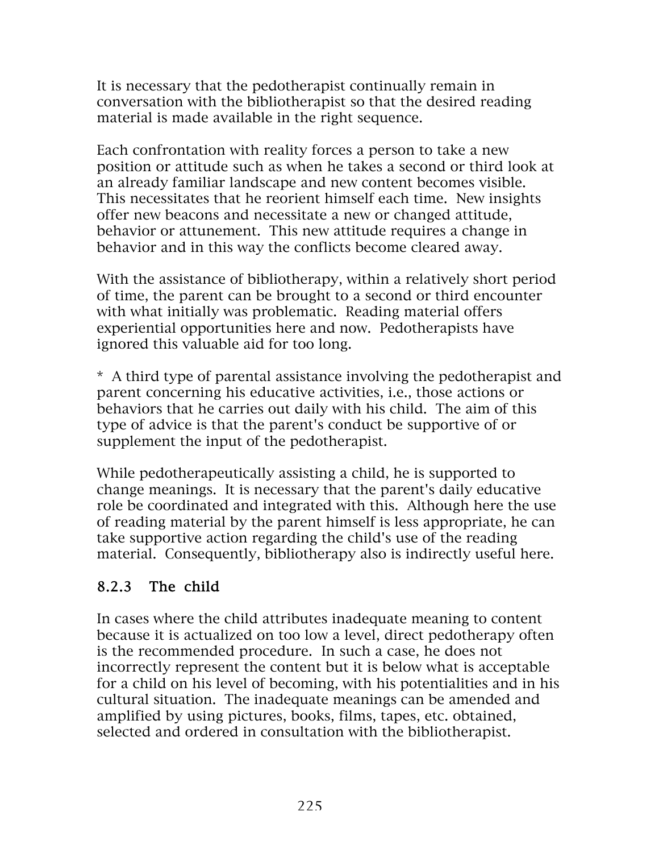It is necessary that the pedotherapist continually remain in conversation with the bibliotherapist so that the desired reading material is made available in the right sequence.

Each confrontation with reality forces a person to take a new position or attitude such as when he takes a second or third look at an already familiar landscape and new content becomes visible. This necessitates that he reorient himself each time. New insights offer new beacons and necessitate a new or changed attitude, behavior or attunement. This new attitude requires a change in behavior and in this way the conflicts become cleared away.

With the assistance of bibliotherapy, within a relatively short period of time, the parent can be brought to a second or third encounter with what initially was problematic. Reading material offers experiential opportunities here and now. Pedotherapists have ignored this valuable aid for too long.

\* A third type of parental assistance involving the pedotherapist and parent concerning his educative activities, i.e., those actions or behaviors that he carries out daily with his child. The aim of this type of advice is that the parent's conduct be supportive of or supplement the input of the pedotherapist.

While pedotherapeutically assisting a child, he is supported to change meanings. It is necessary that the parent's daily educative role be coordinated and integrated with this. Although here the use of reading material by the parent himself is less appropriate, he can take supportive action regarding the child's use of the reading material. Consequently, bibliotherapy also is indirectly useful here.

## 8.2.3 The child

In cases where the child attributes inadequate meaning to content because it is actualized on too low a level, direct pedotherapy often is the recommended procedure. In such a case, he does not incorrectly represent the content but it is below what is acceptable for a child on his level of becoming, with his potentialities and in his cultural situation. The inadequate meanings can be amended and amplified by using pictures, books, films, tapes, etc. obtained, selected and ordered in consultation with the bibliotherapist.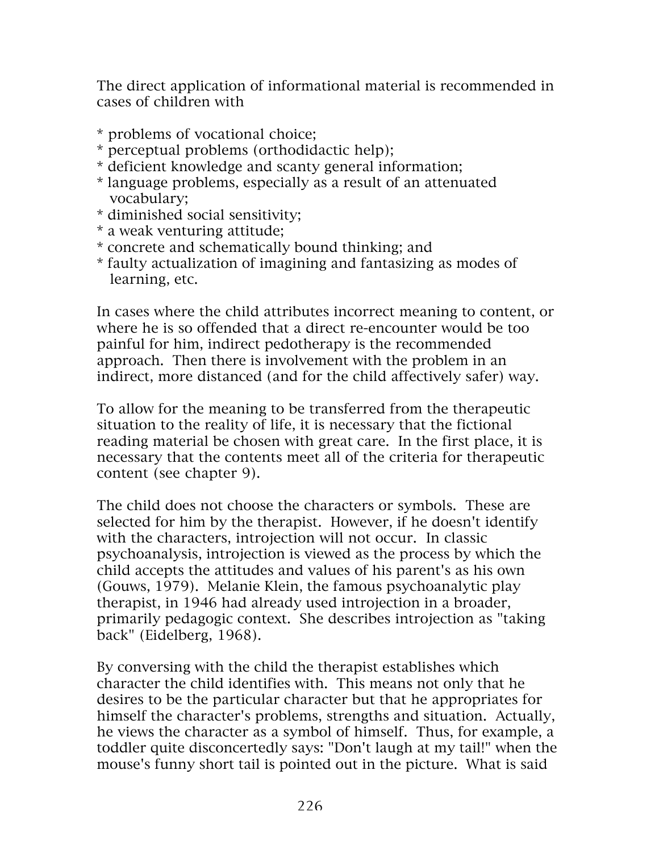The direct application of informational material is recommended in cases of children with

- \* problems of vocational choice;
- \* perceptual problems (orthodidactic help);
- \* deficient knowledge and scanty general information;
- \* language problems, especially as a result of an attenuated vocabulary;
- \* diminished social sensitivity;
- \* a weak venturing attitude;
- \* concrete and schematically bound thinking; and
- \* faulty actualization of imagining and fantasizing as modes of learning, etc.

In cases where the child attributes incorrect meaning to content, or where he is so offended that a direct re-encounter would be too painful for him, indirect pedotherapy is the recommended approach. Then there is involvement with the problem in an indirect, more distanced (and for the child affectively safer) way.

To allow for the meaning to be transferred from the therapeutic situation to the reality of life, it is necessary that the fictional reading material be chosen with great care. In the first place, it is necessary that the contents meet all of the criteria for therapeutic content (see chapter 9).

The child does not choose the characters or symbols. These are selected for him by the therapist. However, if he doesn't identify with the characters, introjection will not occur. In classic psychoanalysis, introjection is viewed as the process by which the child accepts the attitudes and values of his parent's as his own (Gouws, 1979). Melanie Klein, the famous psychoanalytic play therapist, in 1946 had already used introjection in a broader, primarily pedagogic context. She describes introjection as "taking back" (Eidelberg, 1968).

By conversing with the child the therapist establishes which character the child identifies with. This means not only that he desires to be the particular character but that he appropriates for himself the character's problems, strengths and situation. Actually, he views the character as a symbol of himself. Thus, for example, a toddler quite disconcertedly says: "Don't laugh at my tail!" when the mouse's funny short tail is pointed out in the picture. What is said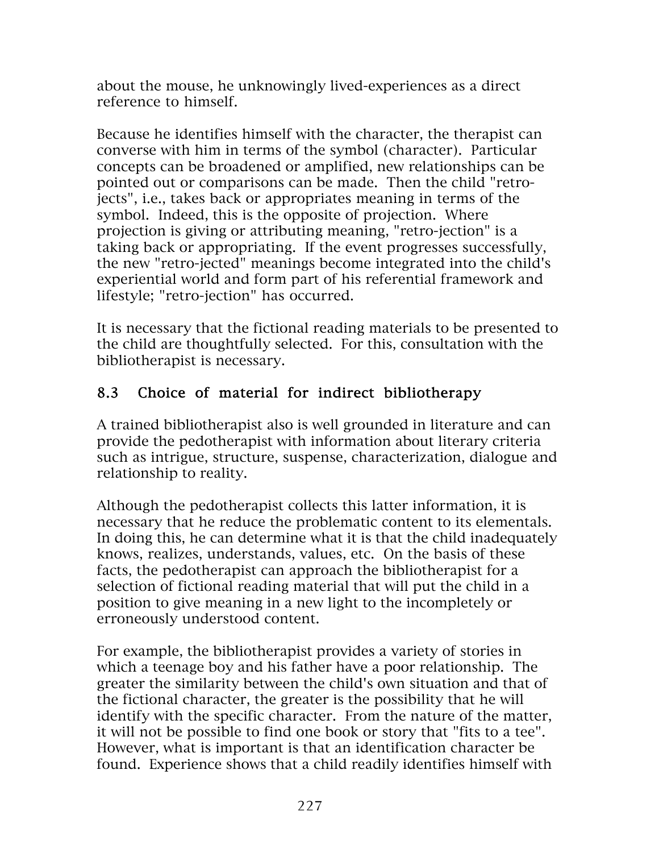about the mouse, he unknowingly lived-experiences as a direct reference to himself.

Because he identifies himself with the character, the therapist can converse with him in terms of the symbol (character). Particular concepts can be broadened or amplified, new relationships can be pointed out or comparisons can be made. Then the child "retrojects", i.e., takes back or appropriates meaning in terms of the symbol. Indeed, this is the opposite of projection. Where projection is giving or attributing meaning, "retro-jection" is a taking back or appropriating. If the event progresses successfully, the new "retro-jected" meanings become integrated into the child's experiential world and form part of his referential framework and lifestyle; "retro-jection" has occurred.

It is necessary that the fictional reading materials to be presented to the child are thoughtfully selected. For this, consultation with the bibliotherapist is necessary.

## 8.3 Choice of material for indirect bibliotherapy

A trained bibliotherapist also is well grounded in literature and can provide the pedotherapist with information about literary criteria such as intrigue, structure, suspense, characterization, dialogue and relationship to reality.

Although the pedotherapist collects this latter information, it is necessary that he reduce the problematic content to its elementals. In doing this, he can determine what it is that the child inadequately knows, realizes, understands, values, etc. On the basis of these facts, the pedotherapist can approach the bibliotherapist for a selection of fictional reading material that will put the child in a position to give meaning in a new light to the incompletely or erroneously understood content.

For example, the bibliotherapist provides a variety of stories in which a teenage boy and his father have a poor relationship. The greater the similarity between the child's own situation and that of the fictional character, the greater is the possibility that he will identify with the specific character. From the nature of the matter, it will not be possible to find one book or story that "fits to a tee". However, what is important is that an identification character be found. Experience shows that a child readily identifies himself with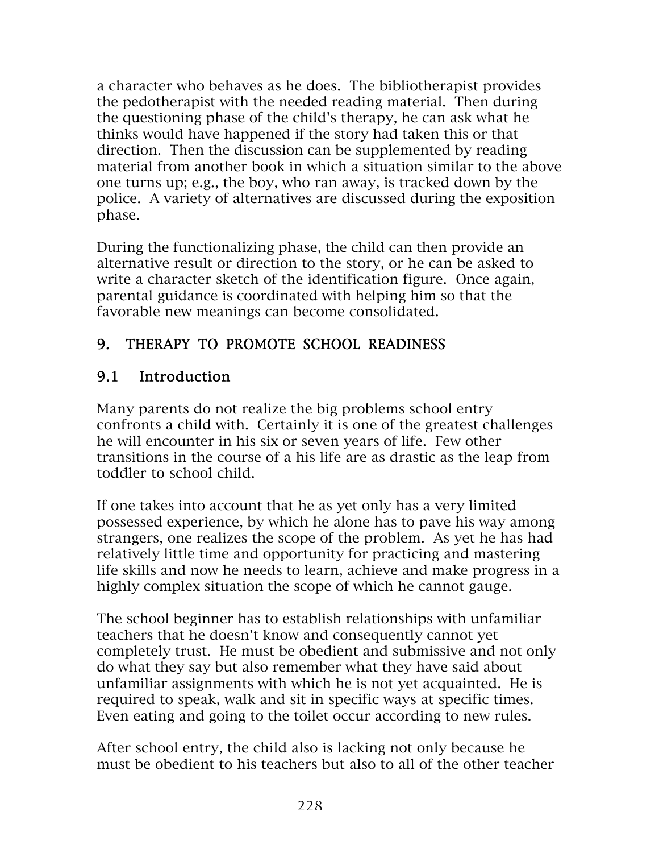a character who behaves as he does. The bibliotherapist provides the pedotherapist with the needed reading material. Then during the questioning phase of the child's therapy, he can ask what he thinks would have happened if the story had taken this or that direction. Then the discussion can be supplemented by reading material from another book in which a situation similar to the above one turns up; e.g., the boy, who ran away, is tracked down by the police. A variety of alternatives are discussed during the exposition phase.

During the functionalizing phase, the child can then provide an alternative result or direction to the story, or he can be asked to write a character sketch of the identification figure. Once again, parental guidance is coordinated with helping him so that the favorable new meanings can become consolidated.

## 9. THERAPY TO PROMOTE SCHOOL READINESS

## 9.1 Introduction

Many parents do not realize the big problems school entry confronts a child with. Certainly it is one of the greatest challenges he will encounter in his six or seven years of life. Few other transitions in the course of a his life are as drastic as the leap from toddler to school child.

If one takes into account that he as yet only has a very limited possessed experience, by which he alone has to pave his way among strangers, one realizes the scope of the problem. As yet he has had relatively little time and opportunity for practicing and mastering life skills and now he needs to learn, achieve and make progress in a highly complex situation the scope of which he cannot gauge.

The school beginner has to establish relationships with unfamiliar teachers that he doesn't know and consequently cannot yet completely trust. He must be obedient and submissive and not only do what they say but also remember what they have said about unfamiliar assignments with which he is not yet acquainted. He is required to speak, walk and sit in specific ways at specific times. Even eating and going to the toilet occur according to new rules.

After school entry, the child also is lacking not only because he must be obedient to his teachers but also to all of the other teacher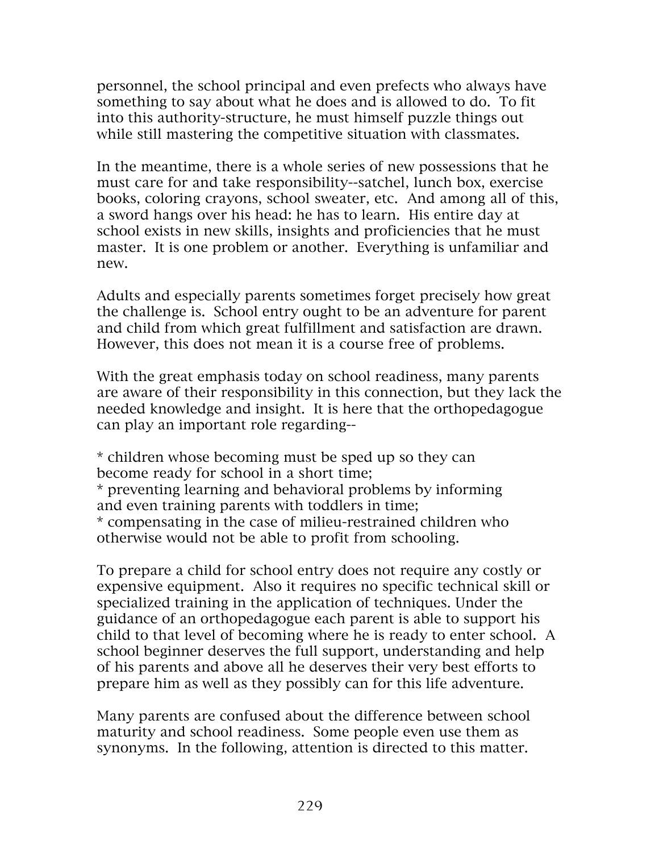personnel, the school principal and even prefects who always have something to say about what he does and is allowed to do. To fit into this authority-structure, he must himself puzzle things out while still mastering the competitive situation with classmates.

In the meantime, there is a whole series of new possessions that he must care for and take responsibility--satchel, lunch box, exercise books, coloring crayons, school sweater, etc. And among all of this, a sword hangs over his head: he has to learn. His entire day at school exists in new skills, insights and proficiencies that he must master. It is one problem or another. Everything is unfamiliar and new.

Adults and especially parents sometimes forget precisely how great the challenge is. School entry ought to be an adventure for parent and child from which great fulfillment and satisfaction are drawn. However, this does not mean it is a course free of problems.

With the great emphasis today on school readiness, many parents are aware of their responsibility in this connection, but they lack the needed knowledge and insight. It is here that the orthopedagogue can play an important role regarding--

\* children whose becoming must be sped up so they can become ready for school in a short time; \* preventing learning and behavioral problems by informing and even training parents with toddlers in time; \* compensating in the case of milieu-restrained children who

otherwise would not be able to profit from schooling.

To prepare a child for school entry does not require any costly or expensive equipment. Also it requires no specific technical skill or specialized training in the application of techniques. Under the guidance of an orthopedagogue each parent is able to support his child to that level of becoming where he is ready to enter school. A school beginner deserves the full support, understanding and help of his parents and above all he deserves their very best efforts to prepare him as well as they possibly can for this life adventure.

Many parents are confused about the difference between school maturity and school readiness. Some people even use them as synonyms. In the following, attention is directed to this matter.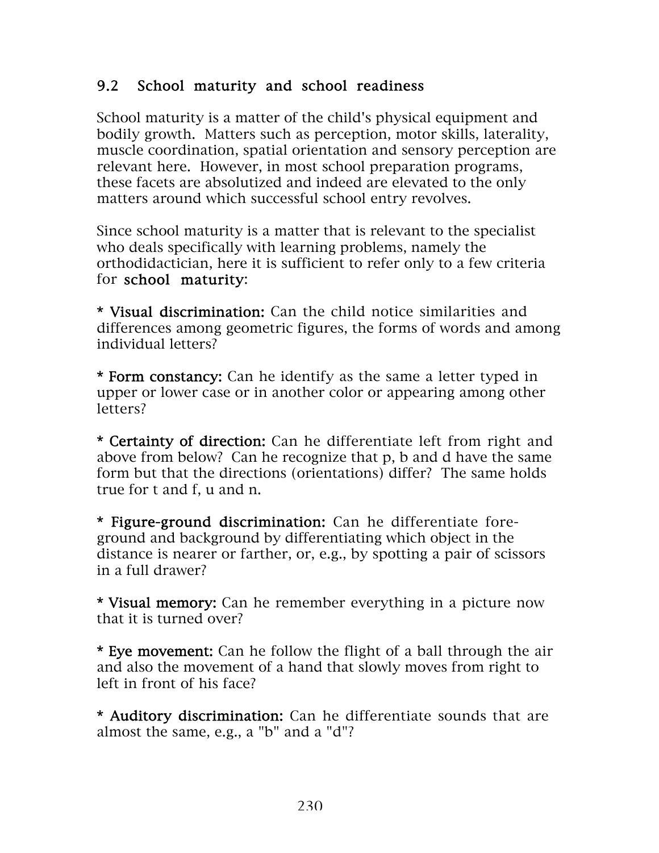### 9.2 School maturity and school readiness

School maturity is a matter of the child's physical equipment and bodily growth. Matters such as perception, motor skills, laterality, muscle coordination, spatial orientation and sensory perception are relevant here. However, in most school preparation programs, these facets are absolutized and indeed are elevated to the only matters around which successful school entry revolves.

Since school maturity is a matter that is relevant to the specialist who deals specifically with learning problems, namely the orthodidactician, here it is sufficient to refer only to a few criteria for school maturity:

\* Visual discrimination: Can the child notice similarities and differences among geometric figures, the forms of words and among individual letters?

\* Form constancy: Can he identify as the same a letter typed in upper or lower case or in another color or appearing among other letters?

\* Certainty of direction: Can he differentiate left from right and above from below? Can he recognize that p, b and d have the same form but that the directions (orientations) differ? The same holds true for t and f, u and n.

\* Figure-ground discrimination: Can he differentiate foreground and background by differentiating which object in the distance is nearer or farther, or, e.g., by spotting a pair of scissors in a full drawer?

\* Visual memory: Can he remember everything in a picture now that it is turned over?

\* Eye movement: Can he follow the flight of a ball through the air and also the movement of a hand that slowly moves from right to left in front of his face?

\* Auditory discrimination: Can he differentiate sounds that are almost the same, e.g., a "b" and a "d"?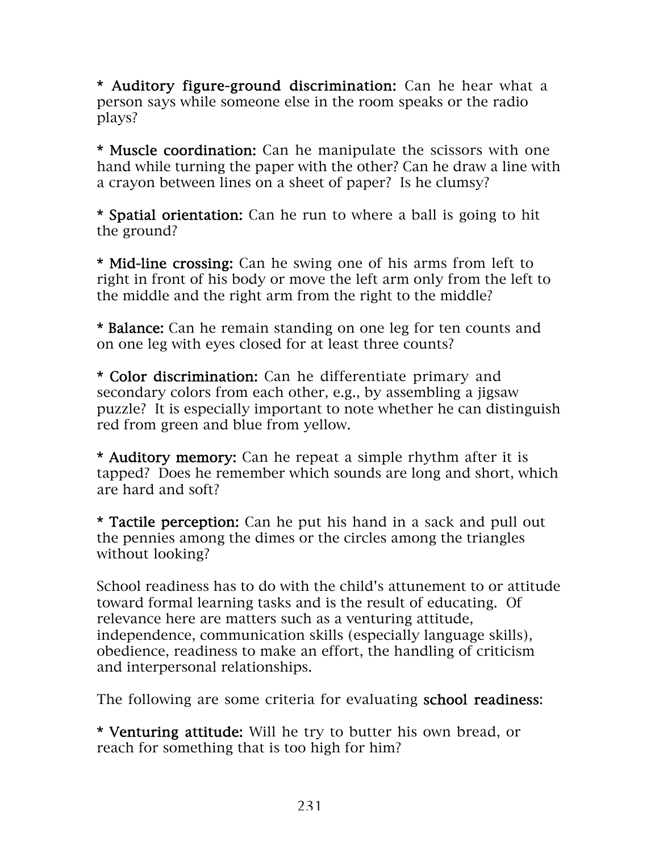\* Auditory figure-ground discrimination: Can he hear what a person says while someone else in the room speaks or the radio plays?

\* Muscle coordination: Can he manipulate the scissors with one hand while turning the paper with the other? Can he draw a line with a crayon between lines on a sheet of paper? Is he clumsy?

\* Spatial orientation: Can he run to where a ball is going to hit the ground?

\* Mid-line crossing: Can he swing one of his arms from left to right in front of his body or move the left arm only from the left to the middle and the right arm from the right to the middle?

\* Balance: Can he remain standing on one leg for ten counts and on one leg with eyes closed for at least three counts?

\* Color discrimination: Can he differentiate primary and secondary colors from each other, e.g., by assembling a jigsaw puzzle? It is especially important to note whether he can distinguish red from green and blue from yellow.

\* Auditory memory: Can he repeat a simple rhythm after it is tapped? Does he remember which sounds are long and short, which are hard and soft?

\* Tactile perception: Can he put his hand in a sack and pull out the pennies among the dimes or the circles among the triangles without looking?

School readiness has to do with the child's attunement to or attitude toward formal learning tasks and is the result of educating. Of relevance here are matters such as a venturing attitude, independence, communication skills (especially language skills), obedience, readiness to make an effort, the handling of criticism and interpersonal relationships.

The following are some criteria for evaluating school readiness:

\* Venturing attitude: Will he try to butter his own bread, or reach for something that is too high for him?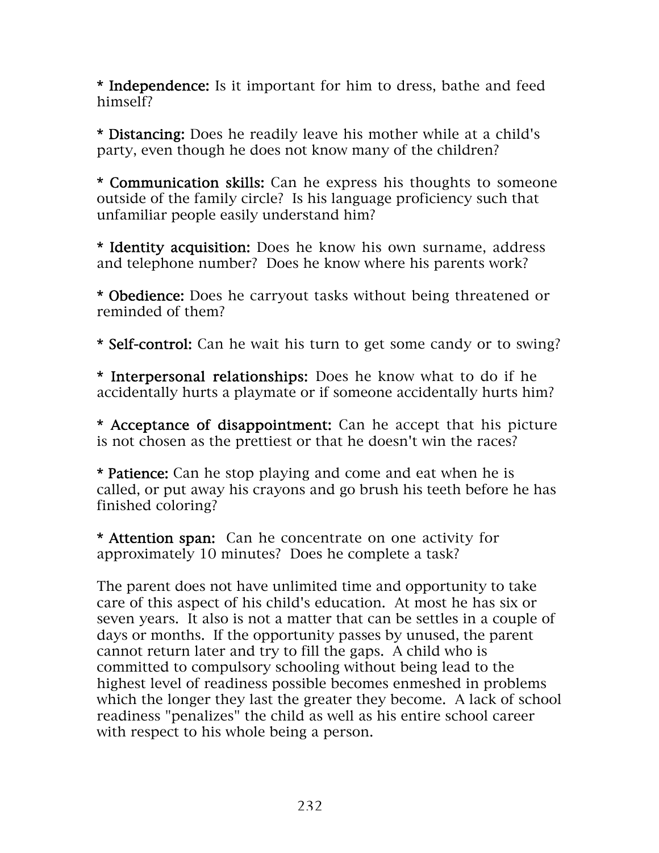\* Independence: Is it important for him to dress, bathe and feed himself?

\* Distancing: Does he readily leave his mother while at a child's party, even though he does not know many of the children?

\* Communication skills: Can he express his thoughts to someone outside of the family circle? Is his language proficiency such that unfamiliar people easily understand him?

\* Identity acquisition: Does he know his own surname, address and telephone number? Does he know where his parents work?

\* Obedience: Does he carryout tasks without being threatened or reminded of them?

\* Self-control: Can he wait his turn to get some candy or to swing?

\* Interpersonal relationships: Does he know what to do if he accidentally hurts a playmate or if someone accidentally hurts him?

\* Acceptance of disappointment: Can he accept that his picture is not chosen as the prettiest or that he doesn't win the races?

\* Patience: Can he stop playing and come and eat when he is called, or put away his crayons and go brush his teeth before he has finished coloring?

\* Attention span: Can he concentrate on one activity for approximately 10 minutes? Does he complete a task?

The parent does not have unlimited time and opportunity to take care of this aspect of his child's education. At most he has six or seven years. It also is not a matter that can be settles in a couple of days or months. If the opportunity passes by unused, the parent cannot return later and try to fill the gaps. A child who is committed to compulsory schooling without being lead to the highest level of readiness possible becomes enmeshed in problems which the longer they last the greater they become. A lack of school readiness "penalizes" the child as well as his entire school career with respect to his whole being a person.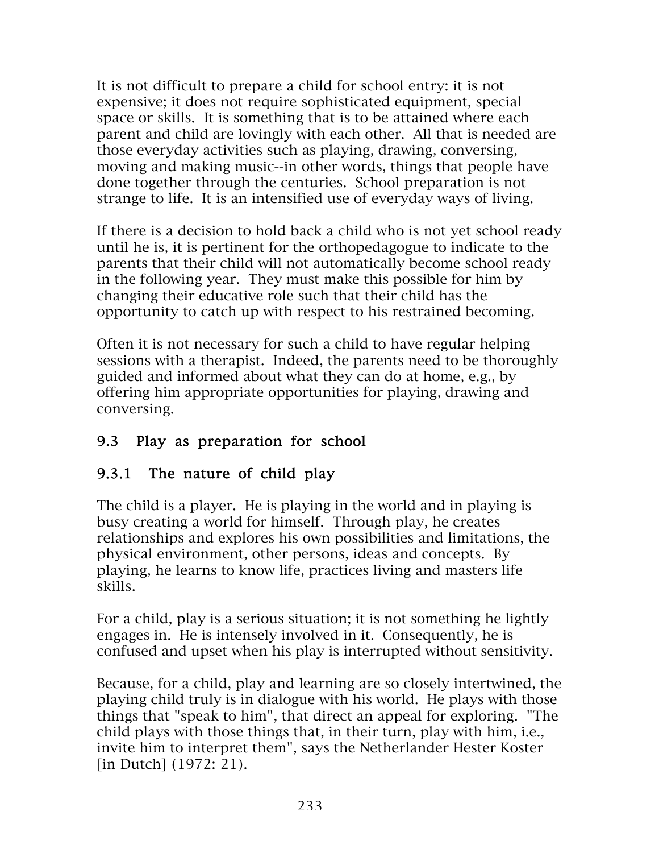It is not difficult to prepare a child for school entry: it is not expensive; it does not require sophisticated equipment, special space or skills. It is something that is to be attained where each parent and child are lovingly with each other. All that is needed are those everyday activities such as playing, drawing, conversing, moving and making music--in other words, things that people have done together through the centuries. School preparation is not strange to life. It is an intensified use of everyday ways of living.

If there is a decision to hold back a child who is not yet school ready until he is, it is pertinent for the orthopedagogue to indicate to the parents that their child will not automatically become school ready in the following year. They must make this possible for him by changing their educative role such that their child has the opportunity to catch up with respect to his restrained becoming.

Often it is not necessary for such a child to have regular helping sessions with a therapist. Indeed, the parents need to be thoroughly guided and informed about what they can do at home, e.g., by offering him appropriate opportunities for playing, drawing and conversing.

#### 9.3 Play as preparation for school

#### 9.3.1 The nature of child play

The child is a player. He is playing in the world and in playing is busy creating a world for himself. Through play, he creates relationships and explores his own possibilities and limitations, the physical environment, other persons, ideas and concepts. By playing, he learns to know life, practices living and masters life skills.

For a child, play is a serious situation; it is not something he lightly engages in. He is intensely involved in it. Consequently, he is confused and upset when his play is interrupted without sensitivity.

Because, for a child, play and learning are so closely intertwined, the playing child truly is in dialogue with his world. He plays with those things that "speak to him", that direct an appeal for exploring. "The child plays with those things that, in their turn, play with him, i.e., invite him to interpret them", says the Netherlander Hester Koster [in Dutch] (1972: 21).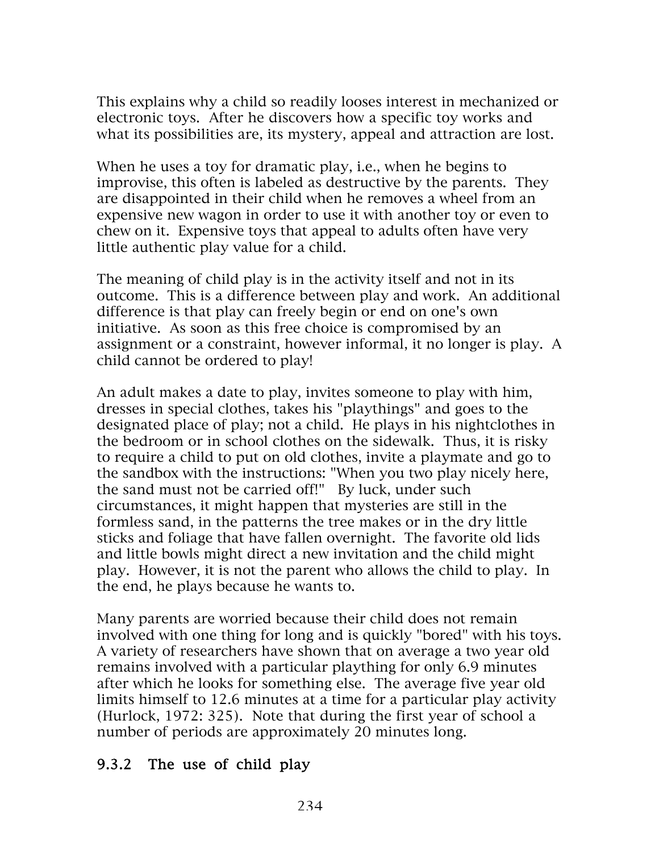This explains why a child so readily looses interest in mechanized or electronic toys. After he discovers how a specific toy works and what its possibilities are, its mystery, appeal and attraction are lost.

When he uses a toy for dramatic play, i.e., when he begins to improvise, this often is labeled as destructive by the parents. They are disappointed in their child when he removes a wheel from an expensive new wagon in order to use it with another toy or even to chew on it. Expensive toys that appeal to adults often have very little authentic play value for a child.

The meaning of child play is in the activity itself and not in its outcome. This is a difference between play and work. An additional difference is that play can freely begin or end on one's own initiative. As soon as this free choice is compromised by an assignment or a constraint, however informal, it no longer is play. A child cannot be ordered to play!

An adult makes a date to play, invites someone to play with him, dresses in special clothes, takes his "playthings" and goes to the designated place of play; not a child. He plays in his nightclothes in the bedroom or in school clothes on the sidewalk. Thus, it is risky to require a child to put on old clothes, invite a playmate and go to the sandbox with the instructions: "When you two play nicely here, the sand must not be carried off!" By luck, under such circumstances, it might happen that mysteries are still in the formless sand, in the patterns the tree makes or in the dry little sticks and foliage that have fallen overnight. The favorite old lids and little bowls might direct a new invitation and the child might play. However, it is not the parent who allows the child to play. In the end, he plays because he wants to.

Many parents are worried because their child does not remain involved with one thing for long and is quickly "bored" with his toys. A variety of researchers have shown that on average a two year old remains involved with a particular plaything for only 6.9 minutes after which he looks for something else. The average five year old limits himself to 12.6 minutes at a time for a particular play activity (Hurlock, 1972: 325). Note that during the first year of school a number of periods are approximately 20 minutes long.

#### 9.3.2 The use of child play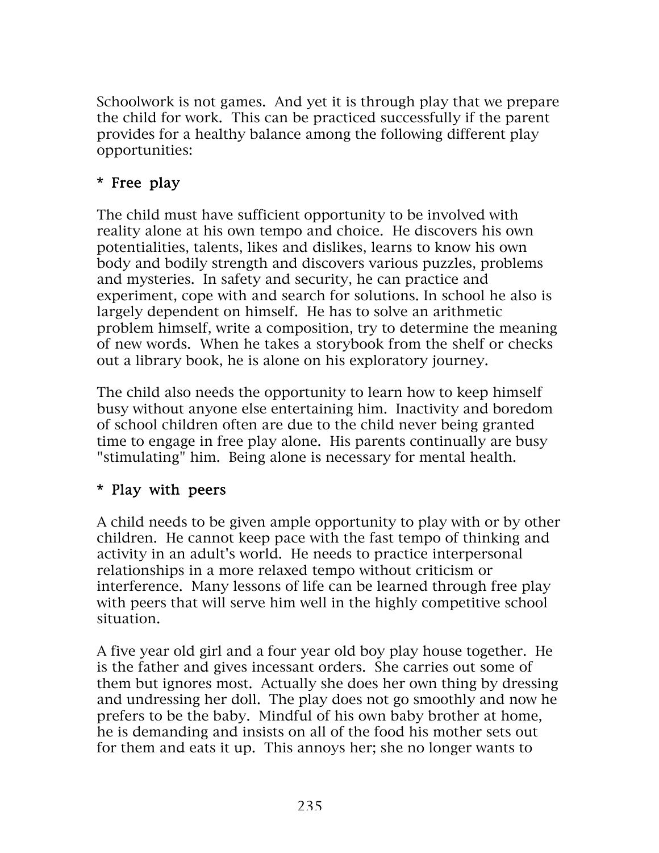Schoolwork is not games. And yet it is through play that we prepare the child for work. This can be practiced successfully if the parent provides for a healthy balance among the following different play opportunities:

## \* Free play

The child must have sufficient opportunity to be involved with reality alone at his own tempo and choice. He discovers his own potentialities, talents, likes and dislikes, learns to know his own body and bodily strength and discovers various puzzles, problems and mysteries. In safety and security, he can practice and experiment, cope with and search for solutions. In school he also is largely dependent on himself. He has to solve an arithmetic problem himself, write a composition, try to determine the meaning of new words. When he takes a storybook from the shelf or checks out a library book, he is alone on his exploratory journey.

The child also needs the opportunity to learn how to keep himself busy without anyone else entertaining him. Inactivity and boredom of school children often are due to the child never being granted time to engage in free play alone. His parents continually are busy "stimulating" him. Being alone is necessary for mental health.

#### \* Play with peers

A child needs to be given ample opportunity to play with or by other children. He cannot keep pace with the fast tempo of thinking and activity in an adult's world. He needs to practice interpersonal relationships in a more relaxed tempo without criticism or interference. Many lessons of life can be learned through free play with peers that will serve him well in the highly competitive school situation.

A five year old girl and a four year old boy play house together. He is the father and gives incessant orders. She carries out some of them but ignores most. Actually she does her own thing by dressing and undressing her doll. The play does not go smoothly and now he prefers to be the baby. Mindful of his own baby brother at home, he is demanding and insists on all of the food his mother sets out for them and eats it up. This annoys her; she no longer wants to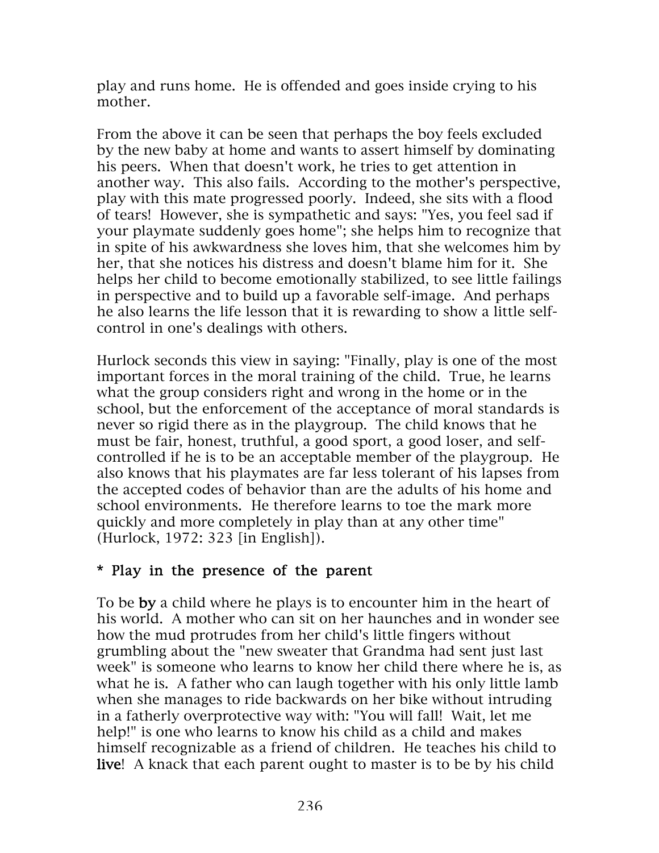play and runs home. He is offended and goes inside crying to his mother.

From the above it can be seen that perhaps the boy feels excluded by the new baby at home and wants to assert himself by dominating his peers. When that doesn't work, he tries to get attention in another way. This also fails. According to the mother's perspective, play with this mate progressed poorly. Indeed, she sits with a flood of tears! However, she is sympathetic and says: "Yes, you feel sad if your playmate suddenly goes home"; she helps him to recognize that in spite of his awkwardness she loves him, that she welcomes him by her, that she notices his distress and doesn't blame him for it. She helps her child to become emotionally stabilized, to see little failings in perspective and to build up a favorable self-image. And perhaps he also learns the life lesson that it is rewarding to show a little selfcontrol in one's dealings with others.

Hurlock seconds this view in saying: "Finally, play is one of the most important forces in the moral training of the child. True, he learns what the group considers right and wrong in the home or in the school, but the enforcement of the acceptance of moral standards is never so rigid there as in the playgroup. The child knows that he must be fair, honest, truthful, a good sport, a good loser, and selfcontrolled if he is to be an acceptable member of the playgroup. He also knows that his playmates are far less tolerant of his lapses from the accepted codes of behavior than are the adults of his home and school environments. He therefore learns to toe the mark more quickly and more completely in play than at any other time" (Hurlock, 1972: 323 [in English]).

#### \* Play in the presence of the parent

To be by a child where he plays is to encounter him in the heart of his world. A mother who can sit on her haunches and in wonder see how the mud protrudes from her child's little fingers without grumbling about the "new sweater that Grandma had sent just last week" is someone who learns to know her child there where he is, as what he is. A father who can laugh together with his only little lamb when she manages to ride backwards on her bike without intruding in a fatherly overprotective way with: "You will fall! Wait, let me help!" is one who learns to know his child as a child and makes himself recognizable as a friend of children. He teaches his child to live! A knack that each parent ought to master is to be by his child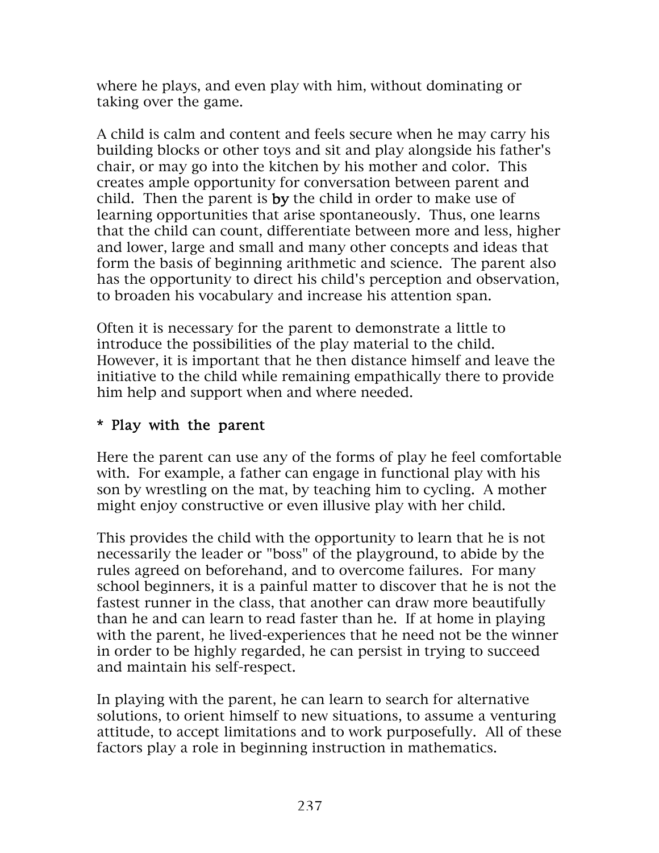where he plays, and even play with him, without dominating or taking over the game.

A child is calm and content and feels secure when he may carry his building blocks or other toys and sit and play alongside his father's chair, or may go into the kitchen by his mother and color. This creates ample opportunity for conversation between parent and child. Then the parent is by the child in order to make use of learning opportunities that arise spontaneously. Thus, one learns that the child can count, differentiate between more and less, higher and lower, large and small and many other concepts and ideas that form the basis of beginning arithmetic and science. The parent also has the opportunity to direct his child's perception and observation, to broaden his vocabulary and increase his attention span.

Often it is necessary for the parent to demonstrate a little to introduce the possibilities of the play material to the child. However, it is important that he then distance himself and leave the initiative to the child while remaining empathically there to provide him help and support when and where needed.

#### \* Play with the parent

Here the parent can use any of the forms of play he feel comfortable with. For example, a father can engage in functional play with his son by wrestling on the mat, by teaching him to cycling. A mother might enjoy constructive or even illusive play with her child.

This provides the child with the opportunity to learn that he is not necessarily the leader or "boss" of the playground, to abide by the rules agreed on beforehand, and to overcome failures. For many school beginners, it is a painful matter to discover that he is not the fastest runner in the class, that another can draw more beautifully than he and can learn to read faster than he. If at home in playing with the parent, he lived-experiences that he need not be the winner in order to be highly regarded, he can persist in trying to succeed and maintain his self-respect.

In playing with the parent, he can learn to search for alternative solutions, to orient himself to new situations, to assume a venturing attitude, to accept limitations and to work purposefully. All of these factors play a role in beginning instruction in mathematics.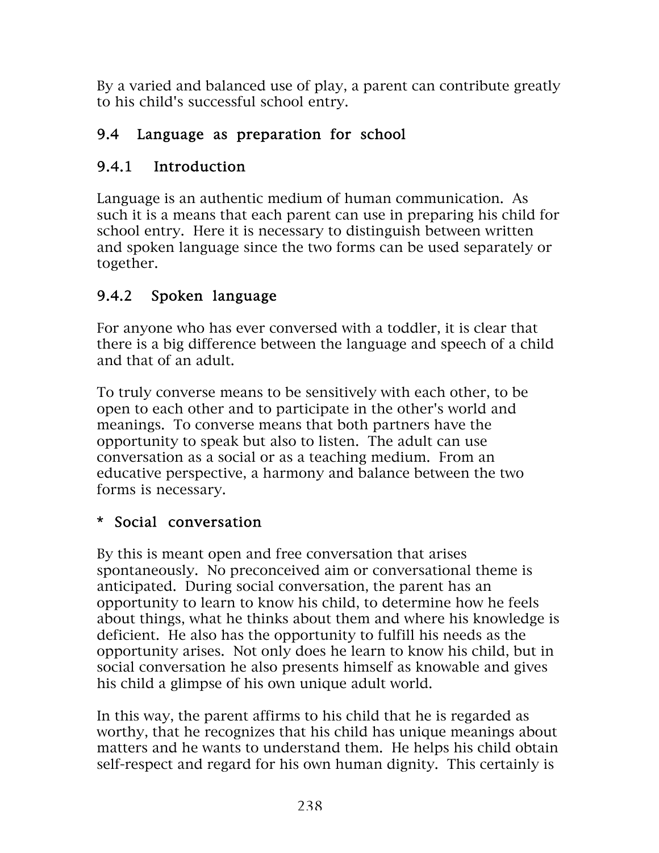By a varied and balanced use of play, a parent can contribute greatly to his child's successful school entry.

## 9.4 Language as preparation for school

## 9.4.1 Introduction

Language is an authentic medium of human communication. As such it is a means that each parent can use in preparing his child for school entry. Here it is necessary to distinguish between written and spoken language since the two forms can be used separately or together.

# 9.4.2 Spoken language

For anyone who has ever conversed with a toddler, it is clear that there is a big difference between the language and speech of a child and that of an adult.

To truly converse means to be sensitively with each other, to be open to each other and to participate in the other's world and meanings. To converse means that both partners have the opportunity to speak but also to listen. The adult can use conversation as a social or as a teaching medium. From an educative perspective, a harmony and balance between the two forms is necessary.

## \* Social conversation

By this is meant open and free conversation that arises spontaneously. No preconceived aim or conversational theme is anticipated. During social conversation, the parent has an opportunity to learn to know his child, to determine how he feels about things, what he thinks about them and where his knowledge is deficient. He also has the opportunity to fulfill his needs as the opportunity arises. Not only does he learn to know his child, but in social conversation he also presents himself as knowable and gives his child a glimpse of his own unique adult world.

In this way, the parent affirms to his child that he is regarded as worthy, that he recognizes that his child has unique meanings about matters and he wants to understand them. He helps his child obtain self-respect and regard for his own human dignity. This certainly is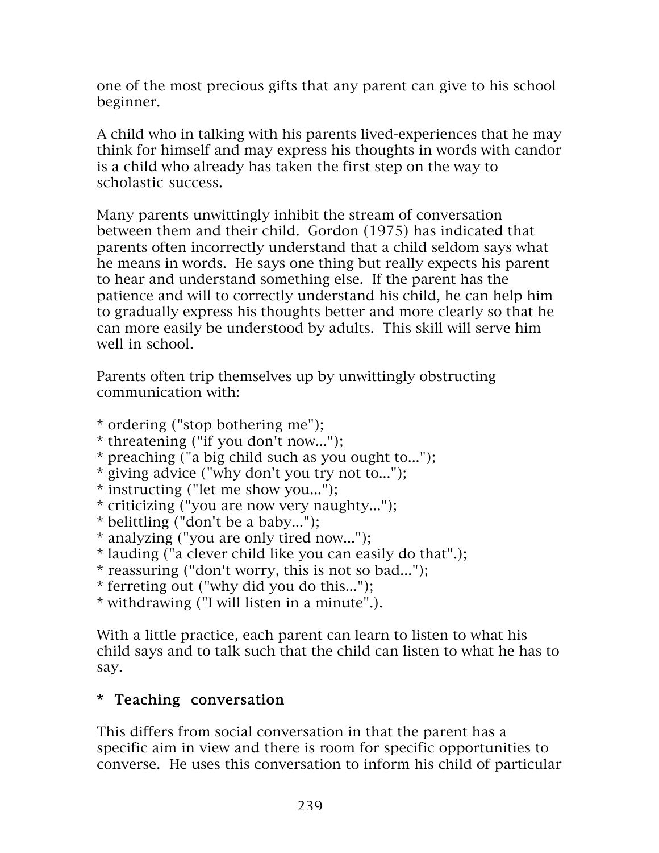one of the most precious gifts that any parent can give to his school beginner.

A child who in talking with his parents lived-experiences that he may think for himself and may express his thoughts in words with candor is a child who already has taken the first step on the way to scholastic success.

Many parents unwittingly inhibit the stream of conversation between them and their child. Gordon (1975) has indicated that parents often incorrectly understand that a child seldom says what he means in words. He says one thing but really expects his parent to hear and understand something else. If the parent has the patience and will to correctly understand his child, he can help him to gradually express his thoughts better and more clearly so that he can more easily be understood by adults. This skill will serve him well in school.

Parents often trip themselves up by unwittingly obstructing communication with:

- \* ordering ("stop bothering me");
- \* threatening ("if you don't now...");
- \* preaching ("a big child such as you ought to...");
- \* giving advice ("why don't you try not to...");
- \* instructing ("let me show you...");
- \* criticizing ("you are now very naughty...");
- \* belittling ("don't be a baby...");
- \* analyzing ("you are only tired now...");
- \* lauding ("a clever child like you can easily do that".);
- \* reassuring ("don't worry, this is not so bad...");
- \* ferreting out ("why did you do this...");
- \* withdrawing ("I will listen in a minute".).

With a little practice, each parent can learn to listen to what his child says and to talk such that the child can listen to what he has to say.

# \* Teaching conversation

This differs from social conversation in that the parent has a specific aim in view and there is room for specific opportunities to converse. He uses this conversation to inform his child of particular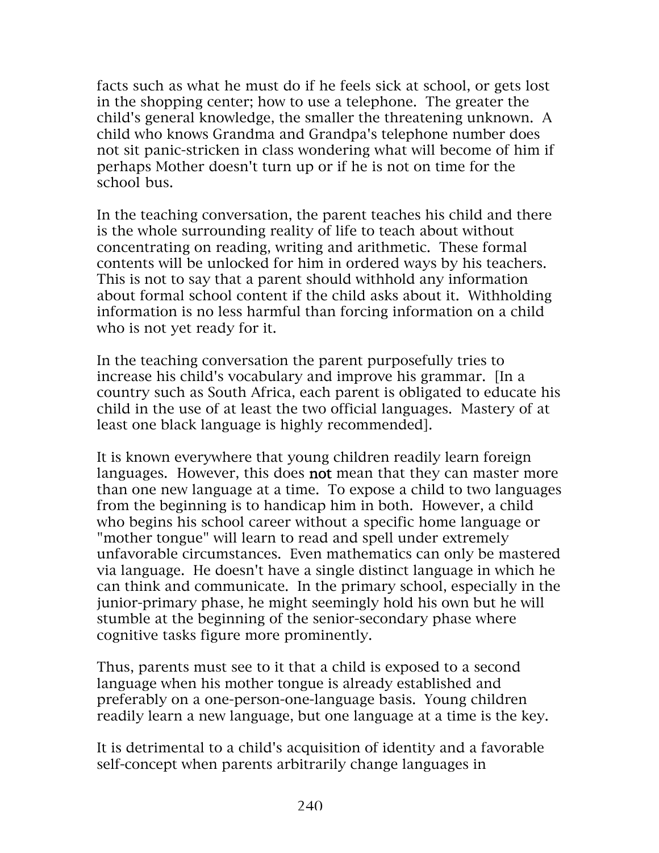facts such as what he must do if he feels sick at school, or gets lost in the shopping center; how to use a telephone. The greater the child's general knowledge, the smaller the threatening unknown. A child who knows Grandma and Grandpa's telephone number does not sit panic-stricken in class wondering what will become of him if perhaps Mother doesn't turn up or if he is not on time for the school bus.

In the teaching conversation, the parent teaches his child and there is the whole surrounding reality of life to teach about without concentrating on reading, writing and arithmetic. These formal contents will be unlocked for him in ordered ways by his teachers. This is not to say that a parent should withhold any information about formal school content if the child asks about it. Withholding information is no less harmful than forcing information on a child who is not yet ready for it.

In the teaching conversation the parent purposefully tries to increase his child's vocabulary and improve his grammar. [In a country such as South Africa, each parent is obligated to educate his child in the use of at least the two official languages. Mastery of at least one black language is highly recommended].

It is known everywhere that young children readily learn foreign languages. However, this does **not** mean that they can master more than one new language at a time. To expose a child to two languages from the beginning is to handicap him in both. However, a child who begins his school career without a specific home language or "mother tongue" will learn to read and spell under extremely unfavorable circumstances. Even mathematics can only be mastered via language. He doesn't have a single distinct language in which he can think and communicate. In the primary school, especially in the junior-primary phase, he might seemingly hold his own but he will stumble at the beginning of the senior-secondary phase where cognitive tasks figure more prominently.

Thus, parents must see to it that a child is exposed to a second language when his mother tongue is already established and preferably on a one-person-one-language basis. Young children readily learn a new language, but one language at a time is the key.

It is detrimental to a child's acquisition of identity and a favorable self-concept when parents arbitrarily change languages in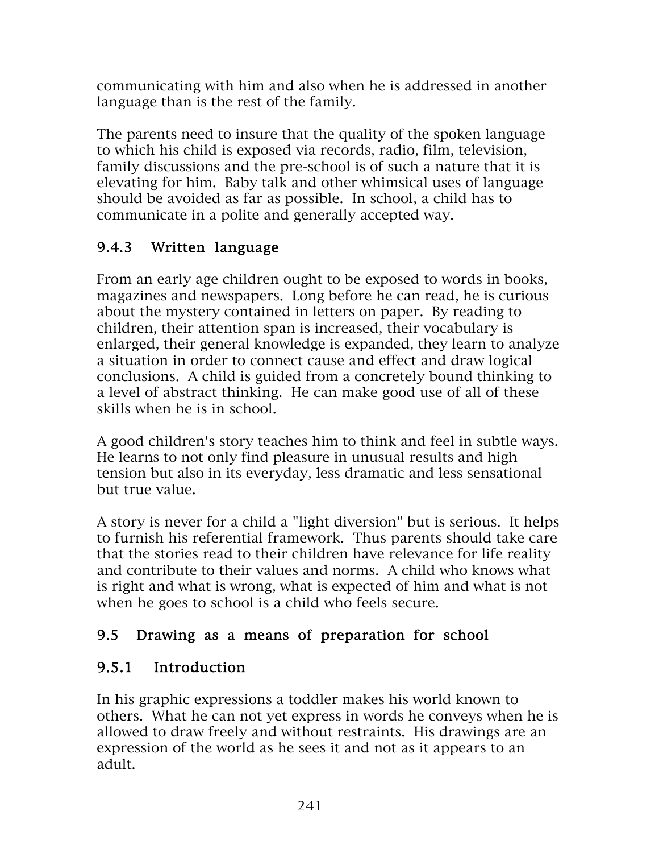communicating with him and also when he is addressed in another language than is the rest of the family.

The parents need to insure that the quality of the spoken language to which his child is exposed via records, radio, film, television, family discussions and the pre-school is of such a nature that it is elevating for him. Baby talk and other whimsical uses of language should be avoided as far as possible. In school, a child has to communicate in a polite and generally accepted way.

## 9.4.3 Written language

From an early age children ought to be exposed to words in books, magazines and newspapers. Long before he can read, he is curious about the mystery contained in letters on paper. By reading to children, their attention span is increased, their vocabulary is enlarged, their general knowledge is expanded, they learn to analyze a situation in order to connect cause and effect and draw logical conclusions. A child is guided from a concretely bound thinking to a level of abstract thinking. He can make good use of all of these skills when he is in school.

A good children's story teaches him to think and feel in subtle ways. He learns to not only find pleasure in unusual results and high tension but also in its everyday, less dramatic and less sensational but true value.

A story is never for a child a "light diversion" but is serious. It helps to furnish his referential framework. Thus parents should take care that the stories read to their children have relevance for life reality and contribute to their values and norms. A child who knows what is right and what is wrong, what is expected of him and what is not when he goes to school is a child who feels secure.

## 9.5 Drawing as a means of preparation for school

## 9.5.1 Introduction

In his graphic expressions a toddler makes his world known to others. What he can not yet express in words he conveys when he is allowed to draw freely and without restraints. His drawings are an expression of the world as he sees it and not as it appears to an adult.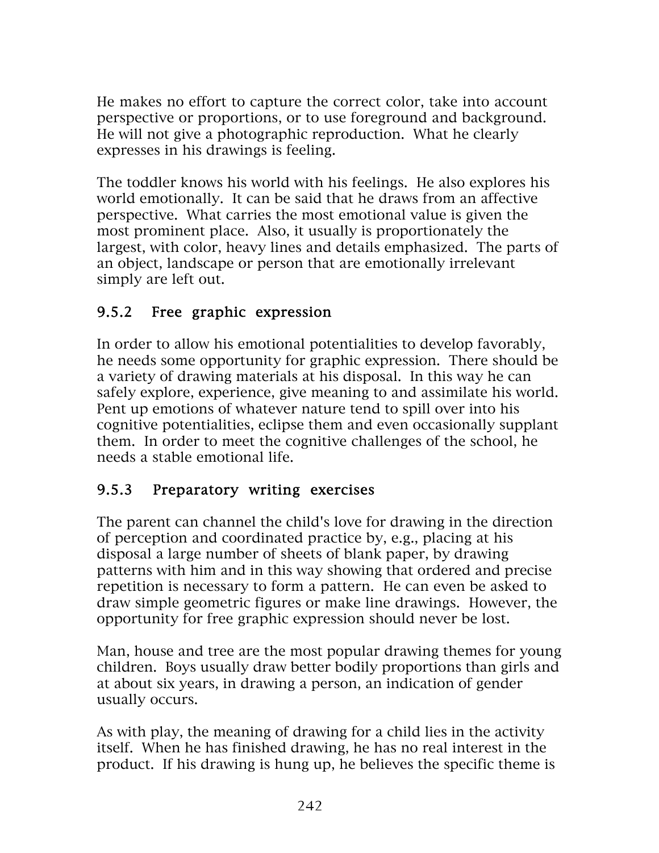He makes no effort to capture the correct color, take into account perspective or proportions, or to use foreground and background. He will not give a photographic reproduction. What he clearly expresses in his drawings is feeling.

The toddler knows his world with his feelings. He also explores his world emotionally. It can be said that he draws from an affective perspective. What carries the most emotional value is given the most prominent place. Also, it usually is proportionately the largest, with color, heavy lines and details emphasized. The parts of an object, landscape or person that are emotionally irrelevant simply are left out.

### 9.5.2 Free graphic expression

In order to allow his emotional potentialities to develop favorably, he needs some opportunity for graphic expression. There should be a variety of drawing materials at his disposal. In this way he can safely explore, experience, give meaning to and assimilate his world. Pent up emotions of whatever nature tend to spill over into his cognitive potentialities, eclipse them and even occasionally supplant them. In order to meet the cognitive challenges of the school, he needs a stable emotional life.

#### 9.5.3 Preparatory writing exercises

The parent can channel the child's love for drawing in the direction of perception and coordinated practice by, e.g., placing at his disposal a large number of sheets of blank paper, by drawing patterns with him and in this way showing that ordered and precise repetition is necessary to form a pattern. He can even be asked to draw simple geometric figures or make line drawings. However, the opportunity for free graphic expression should never be lost.

Man, house and tree are the most popular drawing themes for young children. Boys usually draw better bodily proportions than girls and at about six years, in drawing a person, an indication of gender usually occurs.

As with play, the meaning of drawing for a child lies in the activity itself. When he has finished drawing, he has no real interest in the product. If his drawing is hung up, he believes the specific theme is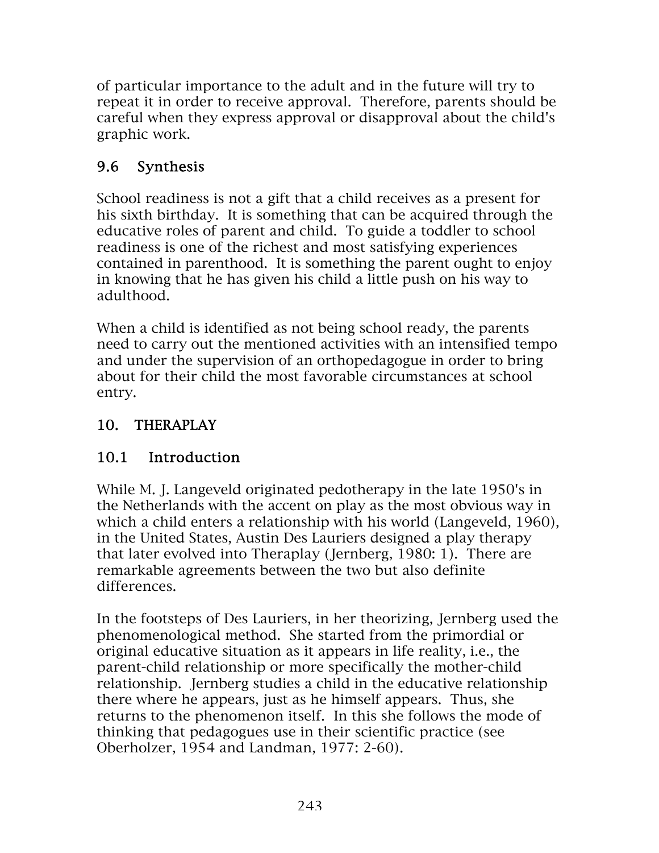of particular importance to the adult and in the future will try to repeat it in order to receive approval. Therefore, parents should be careful when they express approval or disapproval about the child's graphic work.

## 9.6 Synthesis

School readiness is not a gift that a child receives as a present for his sixth birthday. It is something that can be acquired through the educative roles of parent and child. To guide a toddler to school readiness is one of the richest and most satisfying experiences contained in parenthood. It is something the parent ought to enjoy in knowing that he has given his child a little push on his way to adulthood.

When a child is identified as not being school ready, the parents need to carry out the mentioned activities with an intensified tempo and under the supervision of an orthopedagogue in order to bring about for their child the most favorable circumstances at school entry.

### 10. THERAPLAY

#### 10.1 Introduction

While M. J. Langeveld originated pedotherapy in the late 1950's in the Netherlands with the accent on play as the most obvious way in which a child enters a relationship with his world (Langeveld, 1960), in the United States, Austin Des Lauriers designed a play therapy that later evolved into Theraplay (Jernberg, 1980: 1). There are remarkable agreements between the two but also definite differences.

In the footsteps of Des Lauriers, in her theorizing, Jernberg used the phenomenological method. She started from the primordial or original educative situation as it appears in life reality, i.e., the parent-child relationship or more specifically the mother-child relationship. Jernberg studies a child in the educative relationship there where he appears, just as he himself appears. Thus, she returns to the phenomenon itself. In this she follows the mode of thinking that pedagogues use in their scientific practice (see Oberholzer, 1954 and Landman, 1977: 2-60).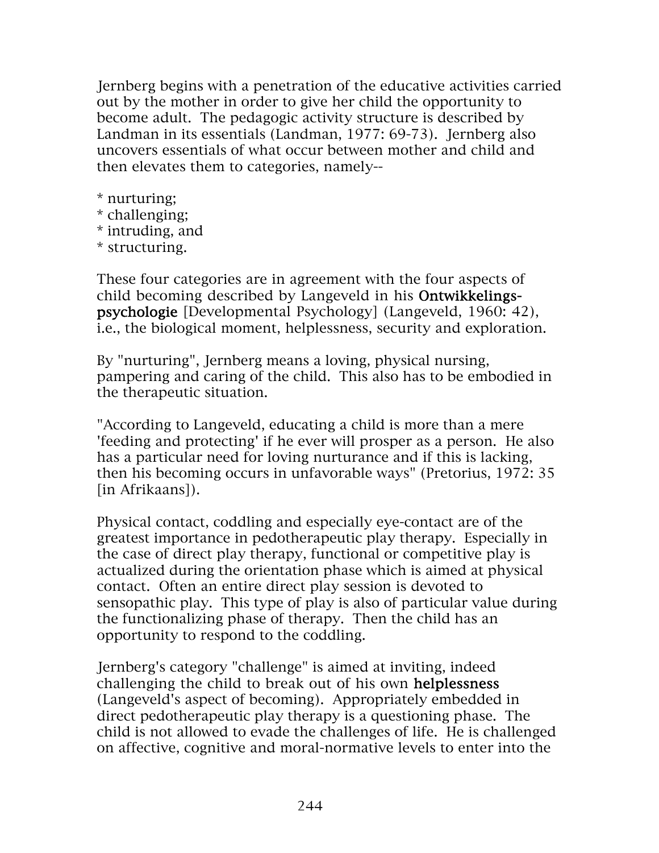Jernberg begins with a penetration of the educative activities carried out by the mother in order to give her child the opportunity to become adult. The pedagogic activity structure is described by Landman in its essentials (Landman, 1977: 69-73). Jernberg also uncovers essentials of what occur between mother and child and then elevates them to categories, namely--

- \* nurturing;
- \* challenging;
- \* intruding, and
- \* structuring.

These four categories are in agreement with the four aspects of child becoming described by Langeveld in his Ontwikkelingspsychologie [Developmental Psychology] (Langeveld, 1960: 42), i.e., the biological moment, helplessness, security and exploration.

By "nurturing", Jernberg means a loving, physical nursing, pampering and caring of the child. This also has to be embodied in the therapeutic situation.

"According to Langeveld, educating a child is more than a mere 'feeding and protecting' if he ever will prosper as a person. He also has a particular need for loving nurturance and if this is lacking, then his becoming occurs in unfavorable ways" (Pretorius, 1972: 35 [in Afrikaans]).

Physical contact, coddling and especially eye-contact are of the greatest importance in pedotherapeutic play therapy. Especially in the case of direct play therapy, functional or competitive play is actualized during the orientation phase which is aimed at physical contact. Often an entire direct play session is devoted to sensopathic play. This type of play is also of particular value during the functionalizing phase of therapy. Then the child has an opportunity to respond to the coddling.

Jernberg's category "challenge" is aimed at inviting, indeed challenging the child to break out of his own helplessness (Langeveld's aspect of becoming). Appropriately embedded in direct pedotherapeutic play therapy is a questioning phase. The child is not allowed to evade the challenges of life. He is challenged on affective, cognitive and moral-normative levels to enter into the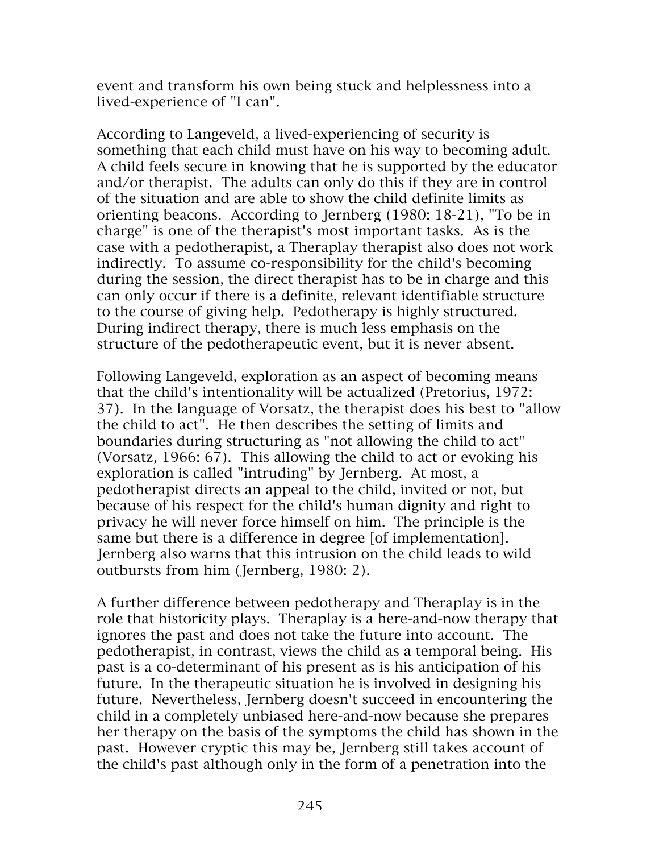event and transform his own being stuck and helplessness into a lived-experience of "I can".

According to Langeveld, a lived-experiencing of security is something that each child must have on his way to becoming adult. A child feels secure in knowing that he is supported by the educator and/or therapist. The adults can only do this if they are in control of the situation and are able to show the child definite limits as orienting beacons. According to Jernberg (1980: 18-21), "To be in charge" is one of the therapist's most important tasks. As is the case with a pedotherapist, a Theraplay therapist also does not work indirectly. To assume co-responsibility for the child's becoming during the session, the direct therapist has to be in charge and this can only occur if there is a definite, relevant identifiable structure to the course of giving help. Pedotherapy is highly structured. During indirect therapy, there is much less emphasis on the structure of the pedotherapeutic event, but it is never absent.

Following Langeveld, exploration as an aspect of becoming means that the child's intentionality will be actualized (Pretorius, 1972: 37). In the language of Vorsatz, the therapist does his best to "allow the child to act". He then describes the setting of limits and boundaries during structuring as "not allowing the child to act" (Vorsatz, 1966: 67). This allowing the child to act or evoking his exploration is called "intruding" by Jernberg. At most, a pedotherapist directs an appeal to the child, invited or not, but because of his respect for the child's human dignity and right to privacy he will never force himself on him. The principle is the same but there is a difference in degree [of implementation]. Jernberg also warns that this intrusion on the child leads to wild outbursts from him (Jernberg, 1980: 2).

A further difference between pedotherapy and Theraplay is in the role that historicity plays. Theraplay is a here-and-now therapy that ignores the past and does not take the future into account. The pedotherapist, in contrast, views the child as a temporal being. His past is a co-determinant of his present as is his anticipation of his future. In the therapeutic situation he is involved in designing his future. Nevertheless, Jernberg doesn't succeed in encountering the child in a completely unbiased here-and-now because she prepares her therapy on the basis of the symptoms the child has shown in the past. However cryptic this may be, Jernberg still takes account of the child's past although only in the form of a penetration into the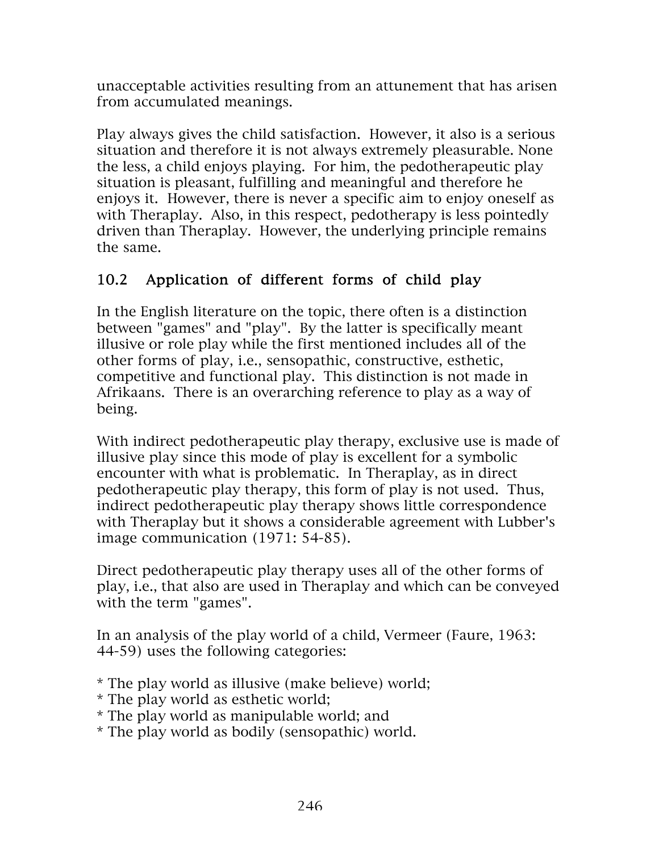unacceptable activities resulting from an attunement that has arisen from accumulated meanings.

Play always gives the child satisfaction. However, it also is a serious situation and therefore it is not always extremely pleasurable. None the less, a child enjoys playing. For him, the pedotherapeutic play situation is pleasant, fulfilling and meaningful and therefore he enjoys it. However, there is never a specific aim to enjoy oneself as with Theraplay. Also, in this respect, pedotherapy is less pointedly driven than Theraplay. However, the underlying principle remains the same.

## 10.2 Application of different forms of child play

In the English literature on the topic, there often is a distinction between "games" and "play". By the latter is specifically meant illusive or role play while the first mentioned includes all of the other forms of play, i.e., sensopathic, constructive, esthetic, competitive and functional play. This distinction is not made in Afrikaans. There is an overarching reference to play as a way of being.

With indirect pedotherapeutic play therapy, exclusive use is made of illusive play since this mode of play is excellent for a symbolic encounter with what is problematic. In Theraplay, as in direct pedotherapeutic play therapy, this form of play is not used. Thus, indirect pedotherapeutic play therapy shows little correspondence with Theraplay but it shows a considerable agreement with Lubber's image communication (1971: 54-85).

Direct pedotherapeutic play therapy uses all of the other forms of play, i.e., that also are used in Theraplay and which can be conveyed with the term "games".

In an analysis of the play world of a child, Vermeer (Faure, 1963: 44-59) uses the following categories:

\* The play world as illusive (make believe) world;

- \* The play world as esthetic world;
- \* The play world as manipulable world; and
- \* The play world as bodily (sensopathic) world.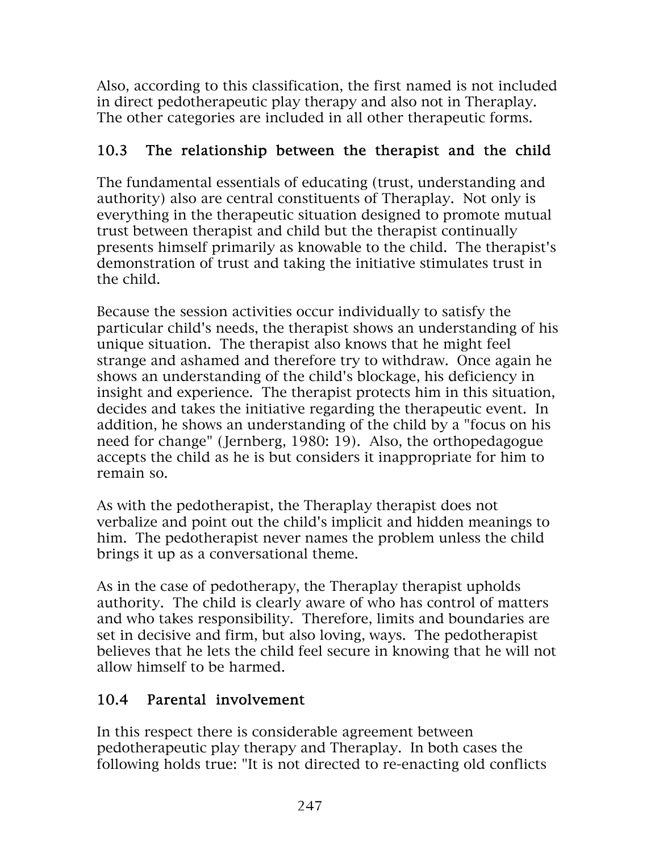Also, according to this classification, the first named is not included in direct pedotherapeutic play therapy and also not in Theraplay. The other categories are included in all other therapeutic forms.

#### 10.3 The relationship between the therapist and the child

The fundamental essentials of educating (trust, understanding and authority) also are central constituents of Theraplay. Not only is everything in the therapeutic situation designed to promote mutual trust between therapist and child but the therapist continually presents himself primarily as knowable to the child. The therapist's demonstration of trust and taking the initiative stimulates trust in the child.

Because the session activities occur individually to satisfy the particular child's needs, the therapist shows an understanding of his unique situation. The therapist also knows that he might feel strange and ashamed and therefore try to withdraw. Once again he shows an understanding of the child's blockage, his deficiency in insight and experience. The therapist protects him in this situation, decides and takes the initiative regarding the therapeutic event. In addition, he shows an understanding of the child by a "focus on his need for change" (Jernberg, 1980: 19). Also, the orthopedagogue accepts the child as he is but considers it inappropriate for him to remain so.

As with the pedotherapist, the Theraplay therapist does not verbalize and point out the child's implicit and hidden meanings to him. The pedotherapist never names the problem unless the child brings it up as a conversational theme.

As in the case of pedotherapy, the Theraplay therapist upholds authority. The child is clearly aware of who has control of matters and who takes responsibility. Therefore, limits and boundaries are set in decisive and firm, but also loving, ways. The pedotherapist believes that he lets the child feel secure in knowing that he will not allow himself to be harmed.

## 10.4 Parental involvement

In this respect there is considerable agreement between pedotherapeutic play therapy and Theraplay. In both cases the following holds true: "It is not directed to re-enacting old conflicts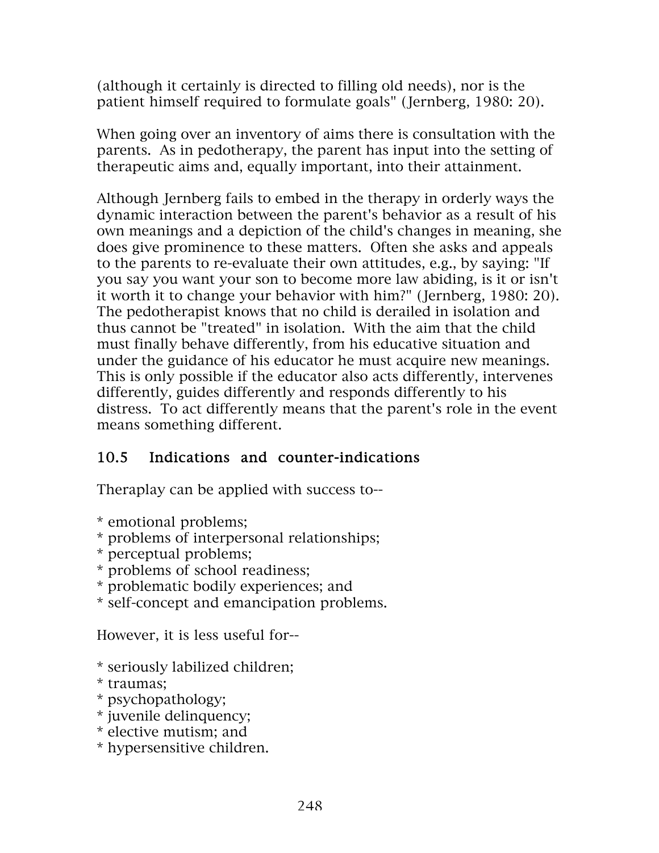(although it certainly is directed to filling old needs), nor is the patient himself required to formulate goals" (Jernberg, 1980: 20).

When going over an inventory of aims there is consultation with the parents. As in pedotherapy, the parent has input into the setting of therapeutic aims and, equally important, into their attainment.

Although Jernberg fails to embed in the therapy in orderly ways the dynamic interaction between the parent's behavior as a result of his own meanings and a depiction of the child's changes in meaning, she does give prominence to these matters. Often she asks and appeals to the parents to re-evaluate their own attitudes, e.g., by saying: "If you say you want your son to become more law abiding, is it or isn't it worth it to change your behavior with him?" (Jernberg, 1980: 20). The pedotherapist knows that no child is derailed in isolation and thus cannot be "treated" in isolation. With the aim that the child must finally behave differently, from his educative situation and under the guidance of his educator he must acquire new meanings. This is only possible if the educator also acts differently, intervenes differently, guides differently and responds differently to his distress. To act differently means that the parent's role in the event means something different.

## 10.5 Indications and counter-indications

Theraplay can be applied with success to--

\* emotional problems;

- \* problems of interpersonal relationships;
- \* perceptual problems;
- \* problems of school readiness;
- \* problematic bodily experiences; and
- \* self-concept and emancipation problems.

However, it is less useful for--

- \* seriously labilized children;
- \* traumas;
- \* psychopathology;
- \* juvenile delinquency;
- \* elective mutism; and
- \* hypersensitive children.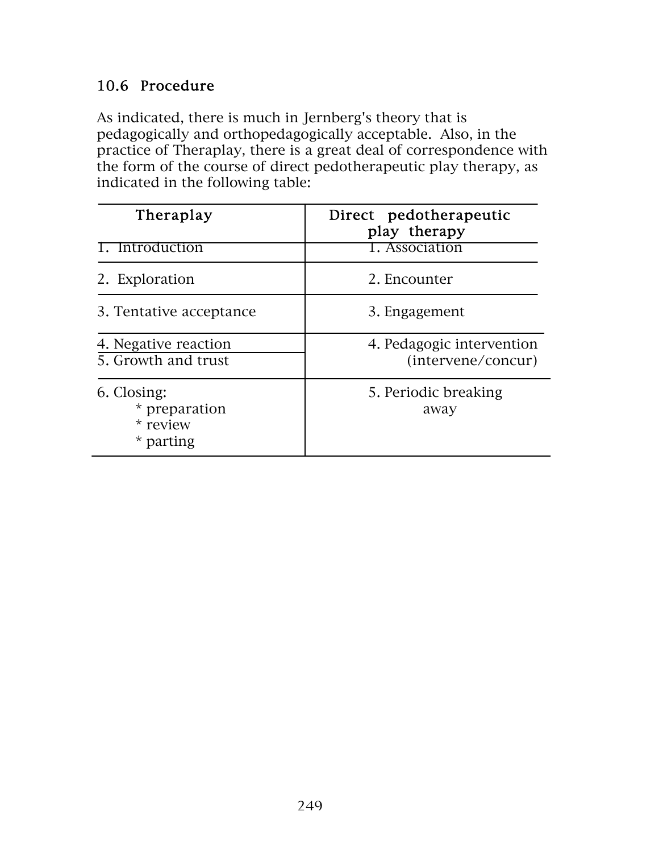## 10.6 Procedure

As indicated, there is much in Jernberg's theory that is pedagogically and orthopedagogically acceptable. Also, in the practice of Theraplay, there is a great deal of correspondence with the form of the course of direct pedotherapeutic play therapy, as indicated in the following table:

| Theraplay                                             | Direct pedotherapeutic<br>play therapy          |
|-------------------------------------------------------|-------------------------------------------------|
| Introduction                                          | 1. Association                                  |
| 2. Exploration                                        | 2. Encounter                                    |
| 3. Tentative acceptance                               | 3. Engagement                                   |
| 4. Negative reaction<br>5. Growth and trust           | 4. Pedagogic intervention<br>(intervene/concur) |
| 6. Closing:<br>* preparation<br>* review<br>* parting | 5. Periodic breaking<br>away                    |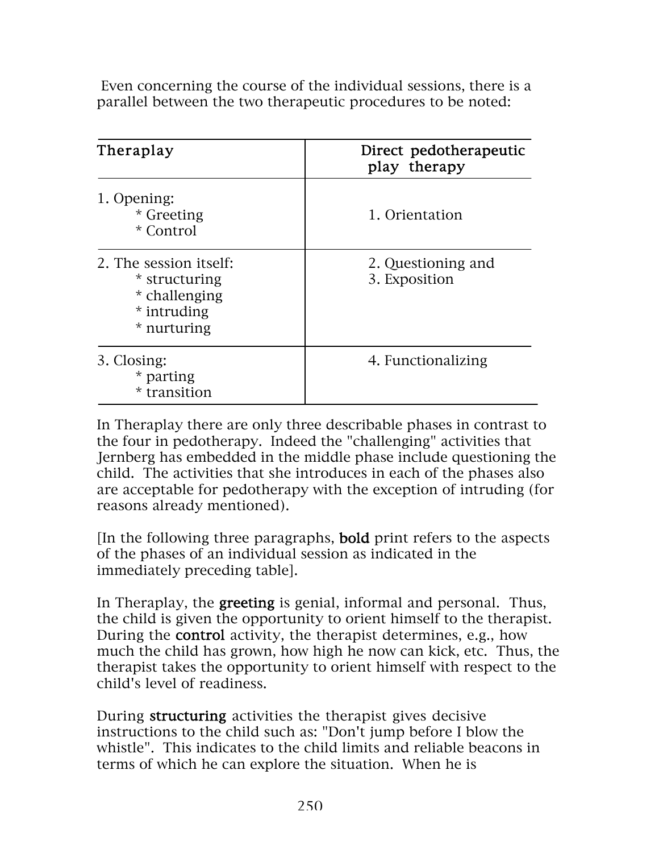Even concerning the course of the individual sessions, there is a parallel between the two therapeutic procedures to be noted:

| Theraplay                                                                              | Direct pedotherapeutic<br>play therapy |
|----------------------------------------------------------------------------------------|----------------------------------------|
| 1. Opening:<br>* Greeting<br>* Control                                                 | 1. Orientation                         |
| 2. The session itself:<br>* structuring<br>* challenging<br>* intruding<br>* nurturing | 2. Questioning and<br>3. Exposition    |
| 3. Closing:<br>* parting<br>* transition                                               | 4. Functionalizing                     |

In Theraplay there are only three describable phases in contrast to the four in pedotherapy. Indeed the "challenging" activities that Jernberg has embedded in the middle phase include questioning the child. The activities that she introduces in each of the phases also are acceptable for pedotherapy with the exception of intruding (for reasons already mentioned).

[In the following three paragraphs, bold print refers to the aspects of the phases of an individual session as indicated in the immediately preceding table].

In Theraplay, the **greeting** is genial, informal and personal. Thus, the child is given the opportunity to orient himself to the therapist. During the control activity, the therapist determines, e.g., how much the child has grown, how high he now can kick, etc. Thus, the therapist takes the opportunity to orient himself with respect to the child's level of readiness.

During structuring activities the therapist gives decisive instructions to the child such as: "Don't jump before I blow the whistle". This indicates to the child limits and reliable beacons in terms of which he can explore the situation. When he is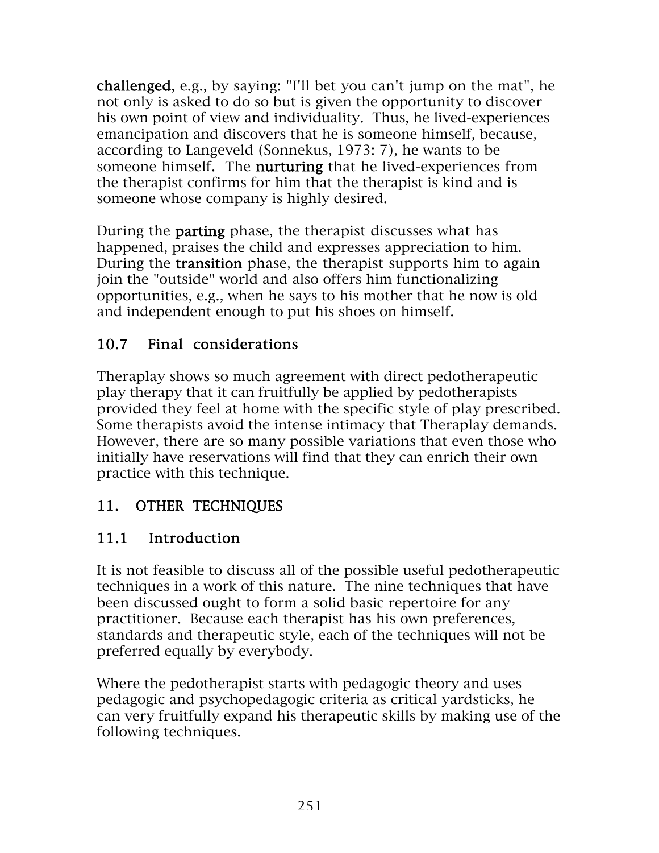challenged, e.g., by saying: "I'll bet you can't jump on the mat", he not only is asked to do so but is given the opportunity to discover his own point of view and individuality. Thus, he lived-experiences emancipation and discovers that he is someone himself, because, according to Langeveld (Sonnekus, 1973: 7), he wants to be someone himself. The **nurturing** that he lived-experiences from the therapist confirms for him that the therapist is kind and is someone whose company is highly desired.

During the parting phase, the therapist discusses what has happened, praises the child and expresses appreciation to him. During the transition phase, the therapist supports him to again join the "outside" world and also offers him functionalizing opportunities, e.g., when he says to his mother that he now is old and independent enough to put his shoes on himself.

## 10.7 Final considerations

Theraplay shows so much agreement with direct pedotherapeutic play therapy that it can fruitfully be applied by pedotherapists provided they feel at home with the specific style of play prescribed. Some therapists avoid the intense intimacy that Theraplay demands. However, there are so many possible variations that even those who initially have reservations will find that they can enrich their own practice with this technique.

# 11. OTHER TECHNIQUES

# 11.1 Introduction

It is not feasible to discuss all of the possible useful pedotherapeutic techniques in a work of this nature. The nine techniques that have been discussed ought to form a solid basic repertoire for any practitioner. Because each therapist has his own preferences, standards and therapeutic style, each of the techniques will not be preferred equally by everybody.

Where the pedotherapist starts with pedagogic theory and uses pedagogic and psychopedagogic criteria as critical yardsticks, he can very fruitfully expand his therapeutic skills by making use of the following techniques.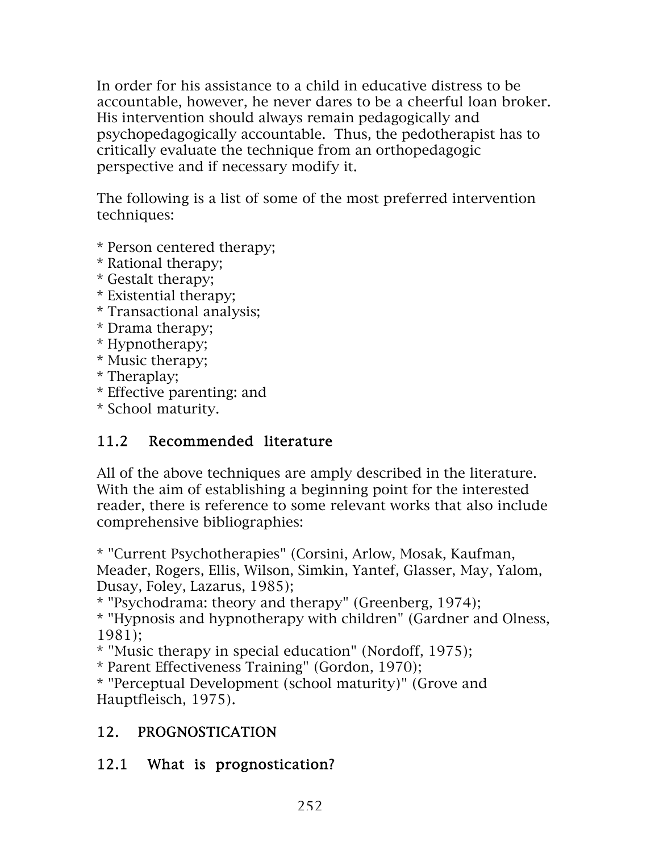In order for his assistance to a child in educative distress to be accountable, however, he never dares to be a cheerful loan broker. His intervention should always remain pedagogically and psychopedagogically accountable. Thus, the pedotherapist has to critically evaluate the technique from an orthopedagogic perspective and if necessary modify it.

The following is a list of some of the most preferred intervention techniques:

- \* Person centered therapy;
- \* Rational therapy;
- \* Gestalt therapy;
- \* Existential therapy;
- \* Transactional analysis;
- \* Drama therapy;
- \* Hypnotherapy;
- \* Music therapy;
- \* Theraplay;
- \* Effective parenting: and
- \* School maturity.

## 11.2 Recommended literature

All of the above techniques are amply described in the literature. With the aim of establishing a beginning point for the interested reader, there is reference to some relevant works that also include comprehensive bibliographies:

\* "Current Psychotherapies" (Corsini, Arlow, Mosak, Kaufman, Meader, Rogers, Ellis, Wilson, Simkin, Yantef, Glasser, May, Yalom, Dusay, Foley, Lazarus, 1985);

\* "Psychodrama: theory and therapy" (Greenberg, 1974);

\* "Hypnosis and hypnotherapy with children" (Gardner and Olness, 1981);

\* "Music therapy in special education" (Nordoff, 1975);

\* Parent Effectiveness Training" (Gordon, 1970);

\* "Perceptual Development (school maturity)" (Grove and Hauptfleisch, 1975).

## 12. PROGNOSTICATION

## 12.1 What is prognostication?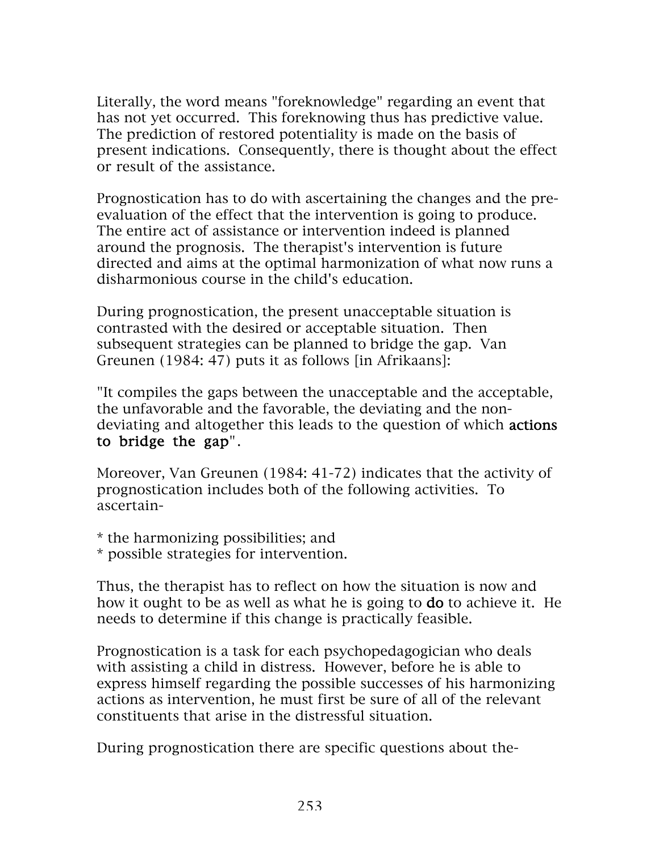Literally, the word means "foreknowledge" regarding an event that has not yet occurred. This foreknowing thus has predictive value. The prediction of restored potentiality is made on the basis of present indications. Consequently, there is thought about the effect or result of the assistance.

Prognostication has to do with ascertaining the changes and the preevaluation of the effect that the intervention is going to produce. The entire act of assistance or intervention indeed is planned around the prognosis. The therapist's intervention is future directed and aims at the optimal harmonization of what now runs a disharmonious course in the child's education.

During prognostication, the present unacceptable situation is contrasted with the desired or acceptable situation. Then subsequent strategies can be planned to bridge the gap. Van Greunen (1984: 47) puts it as follows [in Afrikaans]:

"It compiles the gaps between the unacceptable and the acceptable, the unfavorable and the favorable, the deviating and the nondeviating and altogether this leads to the question of which actions to bridge the gap".

Moreover, Van Greunen (1984: 41-72) indicates that the activity of prognostication includes both of the following activities. To ascertain-

\* the harmonizing possibilities; and

\* possible strategies for intervention.

Thus, the therapist has to reflect on how the situation is now and how it ought to be as well as what he is going to do to achieve it. He needs to determine if this change is practically feasible.

Prognostication is a task for each psychopedagogician who deals with assisting a child in distress. However, before he is able to express himself regarding the possible successes of his harmonizing actions as intervention, he must first be sure of all of the relevant constituents that arise in the distressful situation.

During prognostication there are specific questions about the-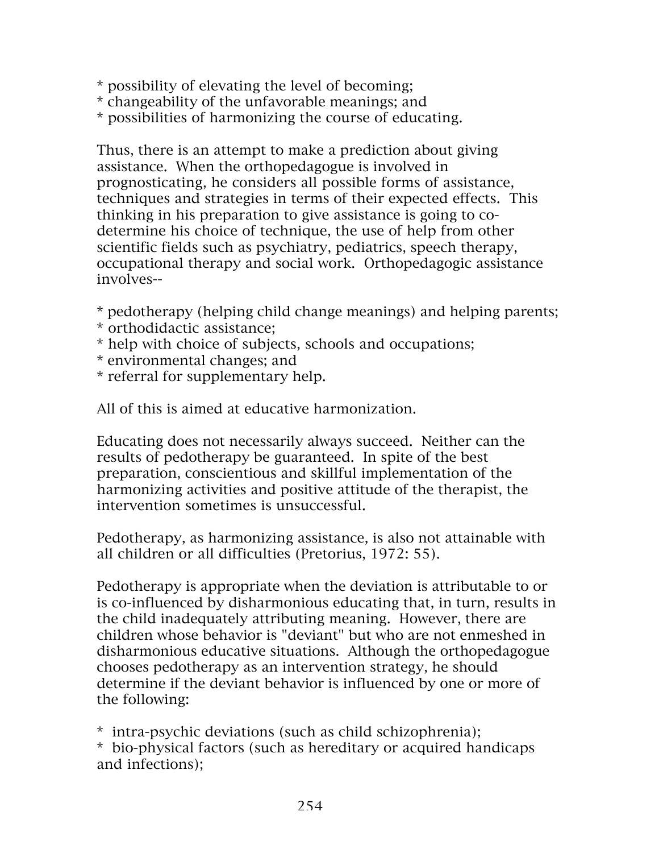- \* possibility of elevating the level of becoming;
- \* changeability of the unfavorable meanings; and
- \* possibilities of harmonizing the course of educating.

Thus, there is an attempt to make a prediction about giving assistance. When the orthopedagogue is involved in prognosticating, he considers all possible forms of assistance, techniques and strategies in terms of their expected effects. This thinking in his preparation to give assistance is going to codetermine his choice of technique, the use of help from other scientific fields such as psychiatry, pediatrics, speech therapy, occupational therapy and social work. Orthopedagogic assistance involves--

- \* pedotherapy (helping child change meanings) and helping parents;
- \* orthodidactic assistance;
- \* help with choice of subjects, schools and occupations;
- \* environmental changes; and
- \* referral for supplementary help.

All of this is aimed at educative harmonization.

Educating does not necessarily always succeed. Neither can the results of pedotherapy be guaranteed. In spite of the best preparation, conscientious and skillful implementation of the harmonizing activities and positive attitude of the therapist, the intervention sometimes is unsuccessful.

Pedotherapy, as harmonizing assistance, is also not attainable with all children or all difficulties (Pretorius, 1972: 55).

Pedotherapy is appropriate when the deviation is attributable to or is co-influenced by disharmonious educating that, in turn, results in the child inadequately attributing meaning. However, there are children whose behavior is "deviant" but who are not enmeshed in disharmonious educative situations. Although the orthopedagogue chooses pedotherapy as an intervention strategy, he should determine if the deviant behavior is influenced by one or more of the following:

\* intra-psychic deviations (such as child schizophrenia); \* bio-physical factors (such as hereditary or acquired handicaps and infections);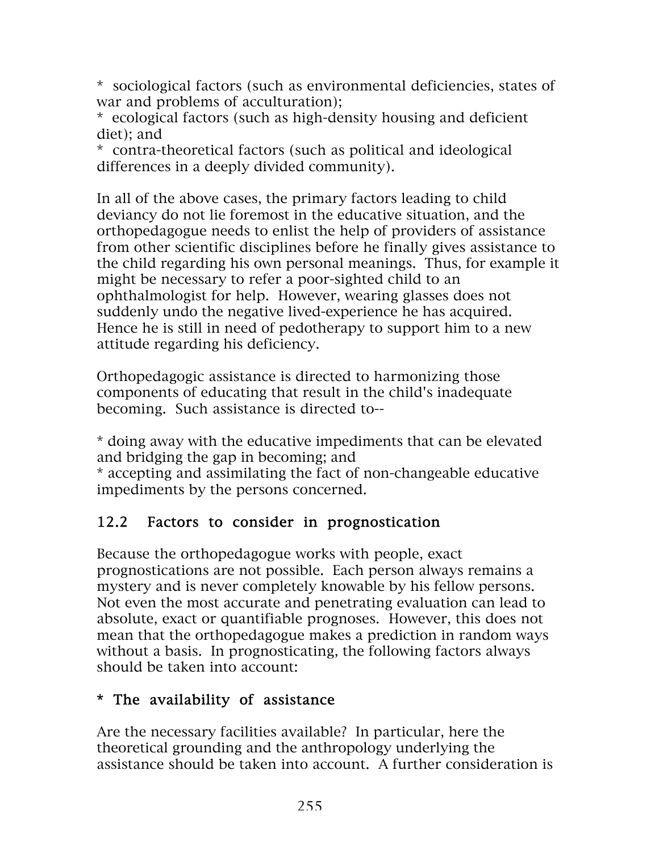\* sociological factors (such as environmental deficiencies, states of war and problems of acculturation);

\* ecological factors (such as high-density housing and deficient diet); and

\* contra-theoretical factors (such as political and ideological differences in a deeply divided community).

In all of the above cases, the primary factors leading to child deviancy do not lie foremost in the educative situation, and the orthopedagogue needs to enlist the help of providers of assistance from other scientific disciplines before he finally gives assistance to the child regarding his own personal meanings. Thus, for example it might be necessary to refer a poor-sighted child to an ophthalmologist for help. However, wearing glasses does not suddenly undo the negative lived-experience he has acquired. Hence he is still in need of pedotherapy to support him to a new attitude regarding his deficiency.

Orthopedagogic assistance is directed to harmonizing those components of educating that result in the child's inadequate becoming. Such assistance is directed to--

\* doing away with the educative impediments that can be elevated and bridging the gap in becoming; and

\* accepting and assimilating the fact of non-changeable educative impediments by the persons concerned.

## 12.2 Factors to consider in prognostication

Because the orthopedagogue works with people, exact prognostications are not possible. Each person always remains a mystery and is never completely knowable by his fellow persons. Not even the most accurate and penetrating evaluation can lead to absolute, exact or quantifiable prognoses. However, this does not mean that the orthopedagogue makes a prediction in random ways without a basis. In prognosticating, the following factors always should be taken into account:

#### \* The availability of assistance

Are the necessary facilities available? In particular, here the theoretical grounding and the anthropology underlying the assistance should be taken into account. A further consideration is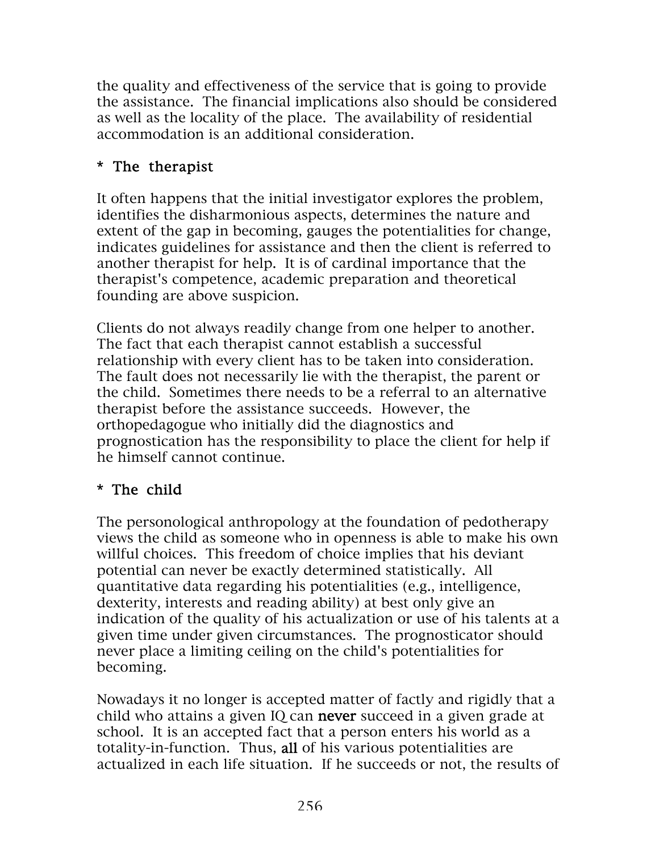the quality and effectiveness of the service that is going to provide the assistance. The financial implications also should be considered as well as the locality of the place. The availability of residential accommodation is an additional consideration.

#### \* The therapist

It often happens that the initial investigator explores the problem, identifies the disharmonious aspects, determines the nature and extent of the gap in becoming, gauges the potentialities for change, indicates guidelines for assistance and then the client is referred to another therapist for help. It is of cardinal importance that the therapist's competence, academic preparation and theoretical founding are above suspicion.

Clients do not always readily change from one helper to another. The fact that each therapist cannot establish a successful relationship with every client has to be taken into consideration. The fault does not necessarily lie with the therapist, the parent or the child. Sometimes there needs to be a referral to an alternative therapist before the assistance succeeds. However, the orthopedagogue who initially did the diagnostics and prognostication has the responsibility to place the client for help if he himself cannot continue.

## \* The child

The personological anthropology at the foundation of pedotherapy views the child as someone who in openness is able to make his own willful choices. This freedom of choice implies that his deviant potential can never be exactly determined statistically. All quantitative data regarding his potentialities (e.g., intelligence, dexterity, interests and reading ability) at best only give an indication of the quality of his actualization or use of his talents at a given time under given circumstances. The prognosticator should never place a limiting ceiling on the child's potentialities for becoming.

Nowadays it no longer is accepted matter of factly and rigidly that a child who attains a given IQ can never succeed in a given grade at school. It is an accepted fact that a person enters his world as a totality-in-function. Thus, all of his various potentialities are actualized in each life situation. If he succeeds or not, the results of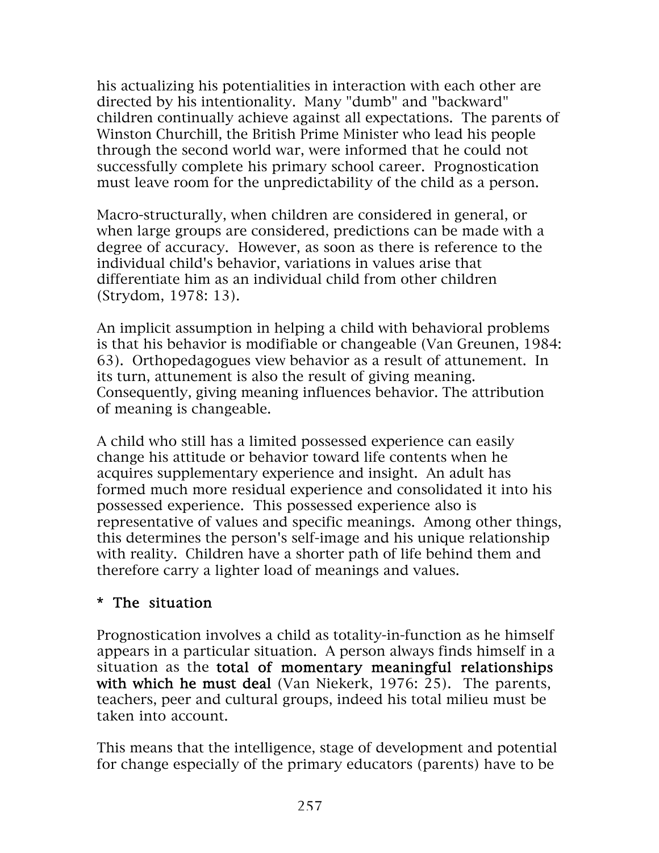his actualizing his potentialities in interaction with each other are directed by his intentionality. Many "dumb" and "backward" children continually achieve against all expectations. The parents of Winston Churchill, the British Prime Minister who lead his people through the second world war, were informed that he could not successfully complete his primary school career. Prognostication must leave room for the unpredictability of the child as a person.

Macro-structurally, when children are considered in general, or when large groups are considered, predictions can be made with a degree of accuracy. However, as soon as there is reference to the individual child's behavior, variations in values arise that differentiate him as an individual child from other children (Strydom, 1978: 13).

An implicit assumption in helping a child with behavioral problems is that his behavior is modifiable or changeable (Van Greunen, 1984: 63). Orthopedagogues view behavior as a result of attunement. In its turn, attunement is also the result of giving meaning. Consequently, giving meaning influences behavior. The attribution of meaning is changeable.

A child who still has a limited possessed experience can easily change his attitude or behavior toward life contents when he acquires supplementary experience and insight. An adult has formed much more residual experience and consolidated it into his possessed experience. This possessed experience also is representative of values and specific meanings. Among other things, this determines the person's self-image and his unique relationship with reality. Children have a shorter path of life behind them and therefore carry a lighter load of meanings and values.

#### \* The situation

Prognostication involves a child as totality-in-function as he himself appears in a particular situation. A person always finds himself in a situation as the total of momentary meaningful relationships with which he must deal (Van Niekerk, 1976: 25). The parents, teachers, peer and cultural groups, indeed his total milieu must be taken into account.

This means that the intelligence, stage of development and potential for change especially of the primary educators (parents) have to be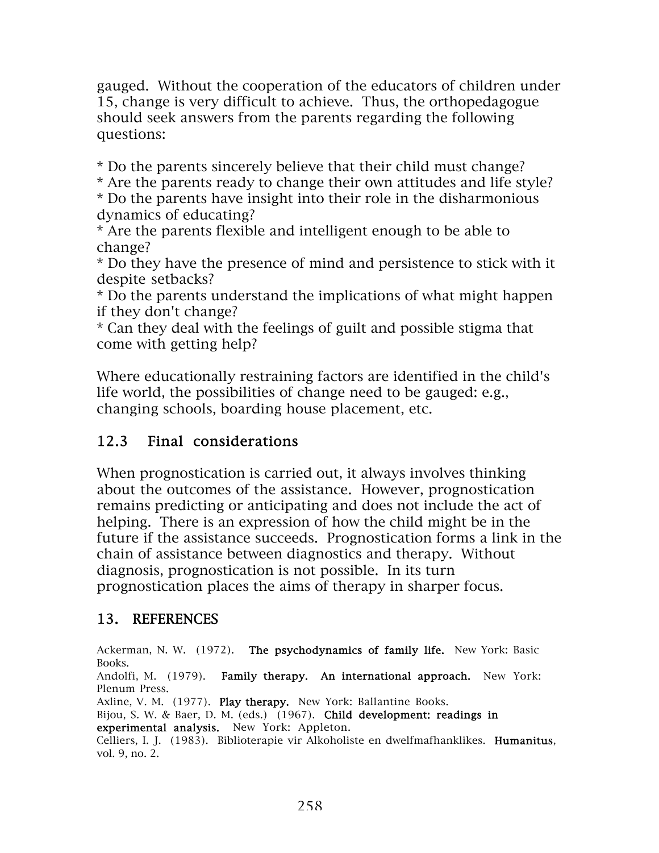gauged. Without the cooperation of the educators of children under 15, change is very difficult to achieve. Thus, the orthopedagogue should seek answers from the parents regarding the following questions:

\* Do the parents sincerely believe that their child must change?

\* Are the parents ready to change their own attitudes and life style?

\* Do the parents have insight into their role in the disharmonious dynamics of educating?

\* Are the parents flexible and intelligent enough to be able to change?

\* Do they have the presence of mind and persistence to stick with it despite setbacks?

\* Do the parents understand the implications of what might happen if they don't change?

\* Can they deal with the feelings of guilt and possible stigma that come with getting help?

Where educationally restraining factors are identified in the child's life world, the possibilities of change need to be gauged: e.g., changing schools, boarding house placement, etc.

## 12.3 Final considerations

When prognostication is carried out, it always involves thinking about the outcomes of the assistance. However, prognostication remains predicting or anticipating and does not include the act of helping. There is an expression of how the child might be in the future if the assistance succeeds. Prognostication forms a link in the chain of assistance between diagnostics and therapy. Without diagnosis, prognostication is not possible. In its turn prognostication places the aims of therapy in sharper focus.

#### 13. REFERENCES

Ackerman, N. W. (1972). The psychodynamics of family life. New York: Basic Books. Andolfi, M. (1979). Family therapy. An international approach. New York: Plenum Press. Axline, V. M. (1977). Play therapy. New York: Ballantine Books. Bijou, S. W. & Baer, D. M. (eds.) (1967). Child development: readings in experimental analysis. New York: Appleton. Celliers, I. J. (1983). Biblioterapie vir Alkoholiste en dwelfmafhanklikes. Humanitus, vol. 9, no. 2.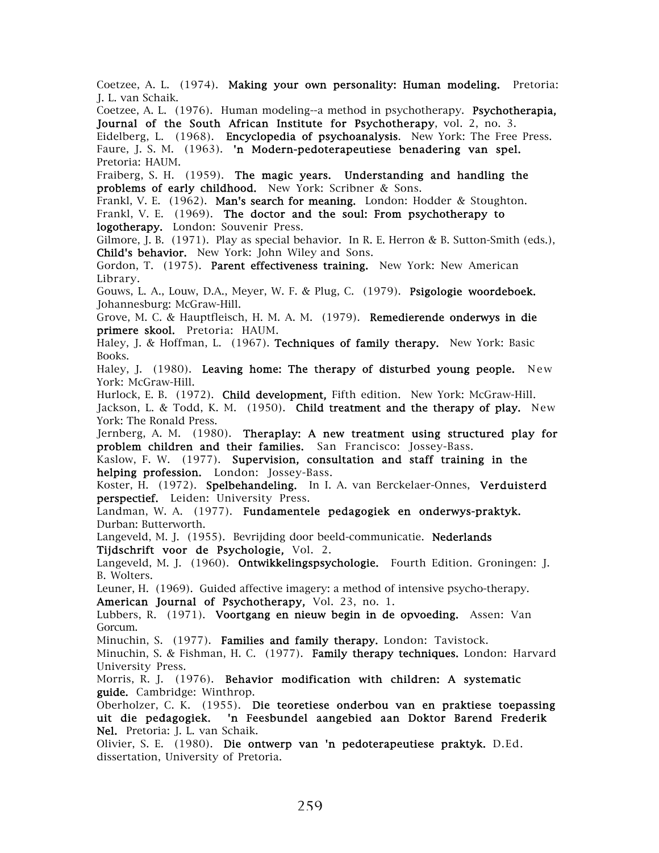Coetzee, A. L. (1974). Making your own personality: Human modeling. Pretoria: J. L. van Schaik.

Coetzee, A. L. (1976). Human modeling--a method in psychotherapy. Psychotherapia, Journal of the South African Institute for Psychotherapy, vol. 2, no. 3.

Eidelberg, L. (1968). Encyclopedia of psychoanalysis. New York: The Free Press. Faure, J. S. M. (1963). 'n Modern-pedoterapeutiese benadering van spel. Pretoria: HAUM.

Fraiberg, S. H. (1959). The magic years. Understanding and handling the problems of early childhood. New York: Scribner & Sons.

Frankl, V. E.  $(1962)$ . Man's search for meaning. London: Hodder & Stoughton. Frankl, V. E. (1969). The doctor and the soul: From psychotherapy to logotherapy. London: Souvenir Press.

Gilmore, J. B. (1971). Play as special behavior. In R. E. Herron & B. Sutton-Smith (eds.), Child's behavior. New York: John Wiley and Sons.

Gordon, T. (1975). Parent effectiveness training. New York: New American Library.

Gouws, L. A., Louw, D.A., Meyer, W. F. & Plug, C. (1979). Psigologie woordeboek. Johannesburg: McGraw-Hill.

Grove, M. C. & Hauptfleisch, H. M. A. M. (1979). Remedierende onderwys in die primere skool. Pretoria: HAUM.

Haley, J. & Hoffman, L. (1967). Techniques of family therapy. New York: Basic Books.

Haley, J. (1980). Leaving home: The therapy of disturbed young people. New York: McGraw-Hill.

Hurlock, E. B. (1972). Child development, Fifth edition. New York: McGraw-Hill. Jackson, L. & Todd, K. M. (1950). Child treatment and the therapy of play. New York: The Ronald Press.

Jernberg, A. M. (1980). Theraplay: A new treatment using structured play for problem children and their families. San Francisco: Jossey-Bass.

Kaslow, F. W. (1977). Supervision, consultation and staff training in the helping profession. London: Jossey-Bass.

Koster, H. (1972). Spelbehandeling. In I. A. van Berckelaer-Onnes, Verduisterd perspectief. Leiden: University Press.

Landman, W. A. (1977). Fundamentele pedagogiek en onderwys-praktyk. Durban: Butterworth.

Langeveld, M. J. (1955). Bevrijding door beeld-communicatie. **Nederlands** Tijdschrift voor de Psychologie, Vol. 2.

Langeveld, M. J. (1960). Ontwikkelingspsychologie. Fourth Edition. Groningen: J. B. Wolters.

Leuner, H. (1969). Guided affective imagery: a method of intensive psycho-therapy. American Journal of Psychotherapy, Vol. 23, no. 1.

Lubbers, R. (1971). Voortgang en nieuw begin in de opvoeding. Assen: Van Gorcum.

Minuchin, S. (1977). Families and family therapy. London: Tavistock.

Minuchin, S. & Fishman, H. C. (1977). Family therapy techniques. London: Harvard University Press.

Morris, R. J. (1976). Behavior modification with children: A systematic guide. Cambridge: Winthrop.

Oberholzer, C. K. (1955). Die teoretiese onderbou van en praktiese toepassing uit die pedagogiek. 'n Feesbundel aangebied aan Doktor Barend Frederik Nel. Pretoria: J. L. van Schaik.

Olivier, S. E. (1980). Die ontwerp van 'n pedoterapeutiese praktyk. D.Ed. dissertation, University of Pretoria.